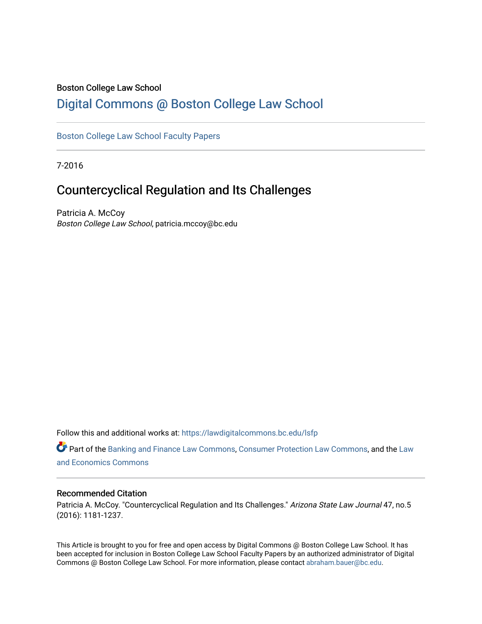## Boston College Law School

## [Digital Commons @ Boston College Law School](https://lawdigitalcommons.bc.edu/)

## [Boston College Law School Faculty Papers](https://lawdigitalcommons.bc.edu/lsfp)

7-2016

# Countercyclical Regulation and Its Challenges

Patricia A. McCoy Boston College Law School, patricia.mccoy@bc.edu

Follow this and additional works at: [https://lawdigitalcommons.bc.edu/lsfp](https://lawdigitalcommons.bc.edu/lsfp?utm_source=lawdigitalcommons.bc.edu%2Flsfp%2F934&utm_medium=PDF&utm_campaign=PDFCoverPages) 

Part of the [Banking and Finance Law Commons,](http://network.bepress.com/hgg/discipline/833?utm_source=lawdigitalcommons.bc.edu%2Flsfp%2F934&utm_medium=PDF&utm_campaign=PDFCoverPages) [Consumer Protection Law Commons](http://network.bepress.com/hgg/discipline/838?utm_source=lawdigitalcommons.bc.edu%2Flsfp%2F934&utm_medium=PDF&utm_campaign=PDFCoverPages), and the [Law](http://network.bepress.com/hgg/discipline/612?utm_source=lawdigitalcommons.bc.edu%2Flsfp%2F934&utm_medium=PDF&utm_campaign=PDFCoverPages)  [and Economics Commons](http://network.bepress.com/hgg/discipline/612?utm_source=lawdigitalcommons.bc.edu%2Flsfp%2F934&utm_medium=PDF&utm_campaign=PDFCoverPages) 

#### Recommended Citation

Patricia A. McCoy. "Countercyclical Regulation and Its Challenges." Arizona State Law Journal 47, no.5 (2016): 1181-1237.

This Article is brought to you for free and open access by Digital Commons @ Boston College Law School. It has been accepted for inclusion in Boston College Law School Faculty Papers by an authorized administrator of Digital Commons @ Boston College Law School. For more information, please contact [abraham.bauer@bc.edu.](mailto:abraham.bauer@bc.edu)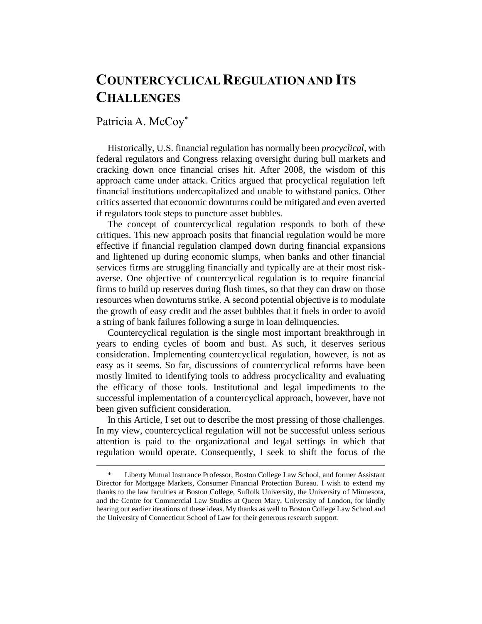# **COUNTERCYCLICAL REGULATION AND ITS CHALLENGES**

## Patricia A. McCoy<sup>\*</sup>

 $\overline{a}$ 

Historically, U.S. financial regulation has normally been *procyclical*, with federal regulators and Congress relaxing oversight during bull markets and cracking down once financial crises hit. After 2008, the wisdom of this approach came under attack. Critics argued that procyclical regulation left financial institutions undercapitalized and unable to withstand panics. Other critics asserted that economic downturns could be mitigated and even averted if regulators took steps to puncture asset bubbles.

The concept of countercyclical regulation responds to both of these critiques. This new approach posits that financial regulation would be more effective if financial regulation clamped down during financial expansions and lightened up during economic slumps, when banks and other financial services firms are struggling financially and typically are at their most riskaverse. One objective of countercyclical regulation is to require financial firms to build up reserves during flush times, so that they can draw on those resources when downturns strike. A second potential objective is to modulate the growth of easy credit and the asset bubbles that it fuels in order to avoid a string of bank failures following a surge in loan delinquencies.

Countercyclical regulation is the single most important breakthrough in years to ending cycles of boom and bust. As such, it deserves serious consideration. Implementing countercyclical regulation, however, is not as easy as it seems. So far, discussions of countercyclical reforms have been mostly limited to identifying tools to address procyclicality and evaluating the efficacy of those tools. Institutional and legal impediments to the successful implementation of a countercyclical approach, however, have not been given sufficient consideration.

In this Article, I set out to describe the most pressing of those challenges. In my view, countercyclical regulation will not be successful unless serious attention is paid to the organizational and legal settings in which that regulation would operate. Consequently, I seek to shift the focus of the

<sup>\*</sup> Liberty Mutual Insurance Professor, Boston College Law School, and former Assistant Director for Mortgage Markets, Consumer Financial Protection Bureau. I wish to extend my thanks to the law faculties at Boston College, Suffolk University, the University of Minnesota, and the Centre for Commercial Law Studies at Queen Mary, University of London, for kindly hearing out earlier iterations of these ideas. My thanks as well to Boston College Law School and the University of Connecticut School of Law for their generous research support.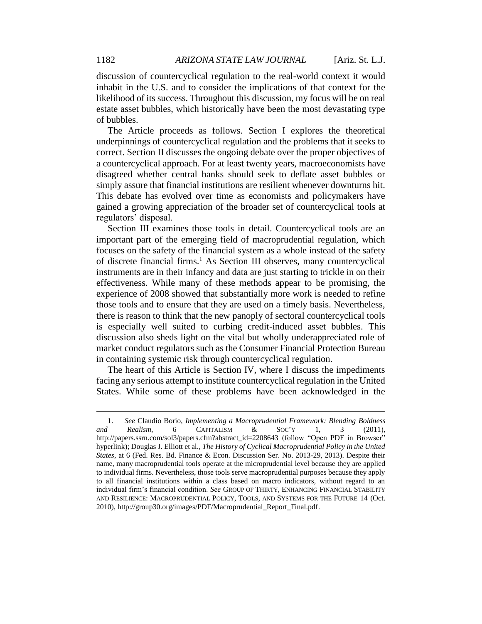discussion of countercyclical regulation to the real-world context it would inhabit in the U.S. and to consider the implications of that context for the likelihood of its success. Throughout this discussion, my focus will be on real estate asset bubbles, which historically have been the most devastating type of bubbles.

The Article proceeds as follows. Section I explores the theoretical underpinnings of countercyclical regulation and the problems that it seeks to correct. Section II discusses the ongoing debate over the proper objectives of a countercyclical approach. For at least twenty years, macroeconomists have disagreed whether central banks should seek to deflate asset bubbles or simply assure that financial institutions are resilient whenever downturns hit. This debate has evolved over time as economists and policymakers have gained a growing appreciation of the broader set of countercyclical tools at regulators' disposal.

Section III examines those tools in detail. Countercyclical tools are an important part of the emerging field of macroprudential regulation, which focuses on the safety of the financial system as a whole instead of the safety of discrete financial firms.<sup>1</sup> As Section III observes, many countercyclical instruments are in their infancy and data are just starting to trickle in on their effectiveness. While many of these methods appear to be promising, the experience of 2008 showed that substantially more work is needed to refine those tools and to ensure that they are used on a timely basis. Nevertheless, there is reason to think that the new panoply of sectoral countercyclical tools is especially well suited to curbing credit-induced asset bubbles. This discussion also sheds light on the vital but wholly underappreciated role of market conduct regulators such as the Consumer Financial Protection Bureau in containing systemic risk through countercyclical regulation.

The heart of this Article is Section IV, where I discuss the impediments facing any serious attempt to institute countercyclical regulation in the United States. While some of these problems have been acknowledged in the

<sup>1.</sup> *See* Claudio Borio, *Implementing a Macroprudential Framework: Blending Boldness and Realism*, 6 CAPITALISM & SOC'Y 1, 3 (2011), http://papers.ssrn.com/sol3/papers.cfm?abstract\_id=2208643 (follow "Open PDF in Browser" hyperlink); Douglas J. Elliott et al., *The History of Cyclical Macroprudential Policy in the United States*, at 6 (Fed. Res. Bd. Finance & Econ. Discussion Ser. No. 2013-29, 2013). Despite their name, many macroprudential tools operate at the microprudential level because they are applied to individual firms. Nevertheless, those tools serve macroprudential purposes because they apply to all financial institutions within a class based on macro indicators, without regard to an individual firm's financial condition. *See* GROUP OF THIRTY, ENHANCING FINANCIAL STABILITY AND RESILIENCE: MACROPRUDENTIAL POLICY, TOOLS, AND SYSTEMS FOR THE FUTURE 14 (Oct. 2010), http://group30.org/images/PDF/Macroprudential\_Report\_Final.pdf.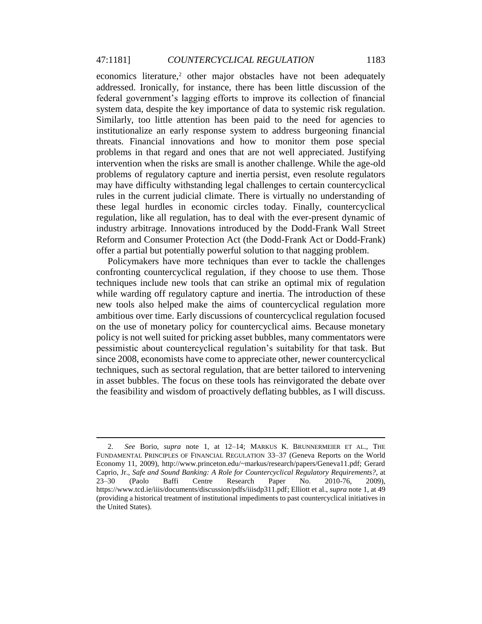economics literature,<sup>2</sup> other major obstacles have not been adequately addressed. Ironically, for instance, there has been little discussion of the federal government's lagging efforts to improve its collection of financial system data, despite the key importance of data to systemic risk regulation. Similarly, too little attention has been paid to the need for agencies to institutionalize an early response system to address burgeoning financial threats. Financial innovations and how to monitor them pose special problems in that regard and ones that are not well appreciated. Justifying intervention when the risks are small is another challenge. While the age-old problems of regulatory capture and inertia persist, even resolute regulators may have difficulty withstanding legal challenges to certain countercyclical rules in the current judicial climate. There is virtually no understanding of these legal hurdles in economic circles today. Finally, countercyclical regulation, like all regulation, has to deal with the ever-present dynamic of industry arbitrage. Innovations introduced by the Dodd-Frank Wall Street Reform and Consumer Protection Act (the Dodd-Frank Act or Dodd-Frank) offer a partial but potentially powerful solution to that nagging problem.

Policymakers have more techniques than ever to tackle the challenges confronting countercyclical regulation, if they choose to use them. Those techniques include new tools that can strike an optimal mix of regulation while warding off regulatory capture and inertia. The introduction of these new tools also helped make the aims of countercyclical regulation more ambitious over time. Early discussions of countercyclical regulation focused on the use of monetary policy for countercyclical aims. Because monetary policy is not well suited for pricking asset bubbles, many commentators were pessimistic about countercyclical regulation's suitability for that task. But since 2008, economists have come to appreciate other, newer countercyclical techniques, such as sectoral regulation, that are better tailored to intervening in asset bubbles. The focus on these tools has reinvigorated the debate over the feasibility and wisdom of proactively deflating bubbles, as I will discuss.

<sup>2.</sup> *See* Borio, *supra* note 1, at 12–14; MARKUS K. BRUNNERMEIER ET AL., THE FUNDAMENTAL PRINCIPLES OF FINANCIAL REGULATION 33–37 (Geneva Reports on the World Economy 11, 2009), http://www.princeton.edu/~markus/research/papers/Geneva11.pdf; Gerard Caprio, Jr., *Safe and Sound Banking: A Role for Countercyclical Regulatory Requirements?*, at 23–30 (Paolo Baffi Centre Research Paper No. 2010-76, 2009), https://www.tcd.ie/iiis/documents/discussion/pdfs/iiisdp311.pdf; Elliott et al., *supra* note 1, at 49 (providing a historical treatment of institutional impediments to past countercyclical initiatives in the United States).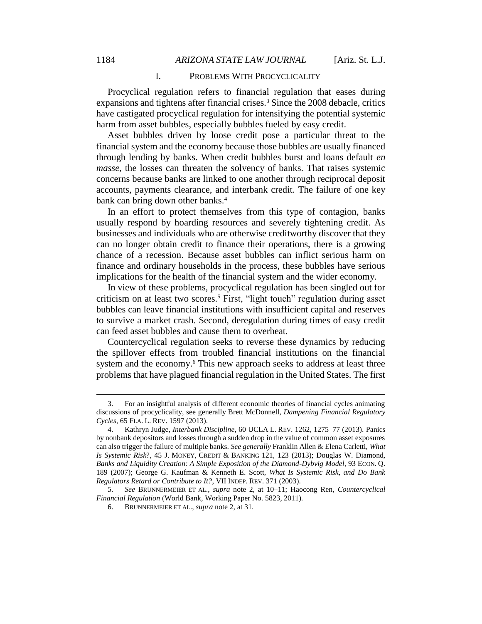#### I. PROBLEMS WITH PROCYCLICALITY

Procyclical regulation refers to financial regulation that eases during expansions and tightens after financial crises.<sup>3</sup> Since the 2008 debacle, critics have castigated procyclical regulation for intensifying the potential systemic harm from asset bubbles, especially bubbles fueled by easy credit.

Asset bubbles driven by loose credit pose a particular threat to the financial system and the economy because those bubbles are usually financed through lending by banks. When credit bubbles burst and loans default *en masse*, the losses can threaten the solvency of banks. That raises systemic concerns because banks are linked to one another through reciprocal deposit accounts, payments clearance, and interbank credit. The failure of one key bank can bring down other banks.<sup>4</sup>

In an effort to protect themselves from this type of contagion, banks usually respond by hoarding resources and severely tightening credit. As businesses and individuals who are otherwise creditworthy discover that they can no longer obtain credit to finance their operations, there is a growing chance of a recession. Because asset bubbles can inflict serious harm on finance and ordinary households in the process, these bubbles have serious implications for the health of the financial system and the wider economy.

In view of these problems, procyclical regulation has been singled out for criticism on at least two scores.<sup>5</sup> First, "light touch" regulation during asset bubbles can leave financial institutions with insufficient capital and reserves to survive a market crash. Second, deregulation during times of easy credit can feed asset bubbles and cause them to overheat.

Countercyclical regulation seeks to reverse these dynamics by reducing the spillover effects from troubled financial institutions on the financial system and the economy. <sup>6</sup> This new approach seeks to address at least three problems that have plagued financial regulation in the United States. The first

<sup>3.</sup> For an insightful analysis of different economic theories of financial cycles animating discussions of procyclicality, see generally Brett McDonnell, *Dampening Financial Regulatory Cycles*, 65 FLA. L. REV. 1597 (2013).

<sup>4.</sup> Kathryn Judge, *Interbank Discipline*, 60 UCLA L. REV. 1262, 1275–77 (2013). Panics by nonbank depositors and losses through a sudden drop in the value of common asset exposures can also trigger the failure of multiple banks. *See generally* Franklin Allen & Elena Carletti, *What Is Systemic Risk*?, 45 J. MONEY, CREDIT & BANKING 121, 123 (2013); Douglas W. Diamond, *Banks and Liquidity Creation: A Simple Exposition of the Diamond-Dybvig Model*, 93 ECON. Q. 189 (2007); George G. Kaufman & Kenneth E. Scott, *What Is Systemic Risk, and Do Bank Regulators Retard or Contribute to It?*, VII INDEP. REV. 371 (2003).

<sup>5.</sup> *See* BRUNNERMEIER ET AL., *supra* note 2, at 10–11; Haocong Ren, *Countercyclical Financial Regulation* (World Bank, Working Paper No. 5823, 2011).

<sup>6.</sup> BRUNNERMEIER ET AL., *supra* note 2, at 31.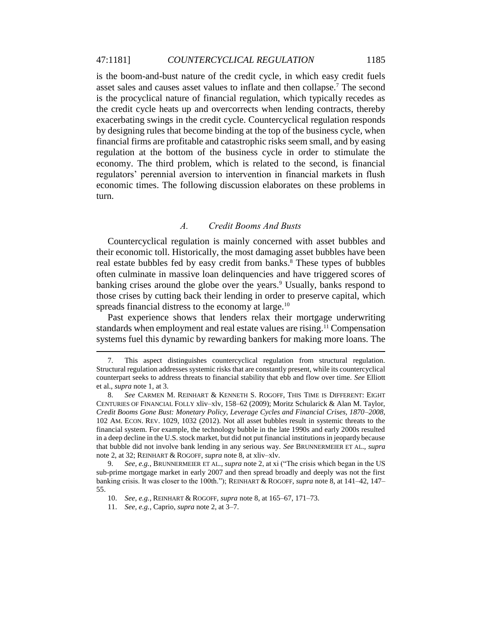is the boom-and-bust nature of the credit cycle, in which easy credit fuels asset sales and causes asset values to inflate and then collapse.<sup>7</sup> The second is the procyclical nature of financial regulation, which typically recedes as the credit cycle heats up and overcorrects when lending contracts, thereby exacerbating swings in the credit cycle. Countercyclical regulation responds by designing rules that become binding at the top of the business cycle, when financial firms are profitable and catastrophic risks seem small, and by easing regulation at the bottom of the business cycle in order to stimulate the economy. The third problem, which is related to the second, is financial regulators' perennial aversion to intervention in financial markets in flush economic times. The following discussion elaborates on these problems in turn.

#### *A. Credit Booms And Busts*

Countercyclical regulation is mainly concerned with asset bubbles and their economic toll. Historically, the most damaging asset bubbles have been real estate bubbles fed by easy credit from banks.<sup>8</sup> These types of bubbles often culminate in massive loan delinquencies and have triggered scores of banking crises around the globe over the years.<sup>9</sup> Usually, banks respond to those crises by cutting back their lending in order to preserve capital, which spreads financial distress to the economy at large.<sup>10</sup>

Past experience shows that lenders relax their mortgage underwriting standards when employment and real estate values are rising. <sup>11</sup> Compensation systems fuel this dynamic by rewarding bankers for making more loans. The

<sup>7.</sup> This aspect distinguishes countercyclical regulation from structural regulation. Structural regulation addresses systemic risks that are constantly present, while its countercyclical counterpart seeks to address threats to financial stability that ebb and flow over time. *See* Elliott et al., *supra* note 1, at 3.

<sup>8.</sup> *See* CARMEN M. REINHART & KENNETH S. ROGOFF, THIS TIME IS DIFFERENT: EIGHT CENTURIES OF FINANCIAL FOLLY xliv–xlv, 158–62 (2009); Moritz Schularick & Alan M. Taylor, *Credit Booms Gone Bust: Monetary Policy, Leverage Cycles and Financial Crises, 1870–2008*, 102 AM. ECON. REV. 1029, 1032 (2012). Not all asset bubbles result in systemic threats to the financial system. For example, the technology bubble in the late 1990s and early 2000s resulted in a deep decline in the U.S. stock market, but did not put financial institutions in jeopardy because that bubble did not involve bank lending in any serious way. *See* BRUNNERMEIER ET AL., *supra* note 2, at 32; REINHART & ROGOFF, *supra* note 8, at xliv–xlv.

<sup>9.</sup> *See, e.g.*, BRUNNERMEIER ET AL., *supra* note 2, at xi ("The crisis which began in the US sub-prime mortgage market in early 2007 and then spread broadly and deeply was not the first banking crisis. It was closer to the 100th."); REINHART & ROGOFF, *supra* note 8, at 141–42, 147– 55.

<sup>10.</sup> *See, e.g.*, REINHART & ROGOFF, *supra* note 8, at 165–67, 171–73.

<sup>11.</sup> *See, e.g.*, Caprio, *supra* note 2, at 3–7.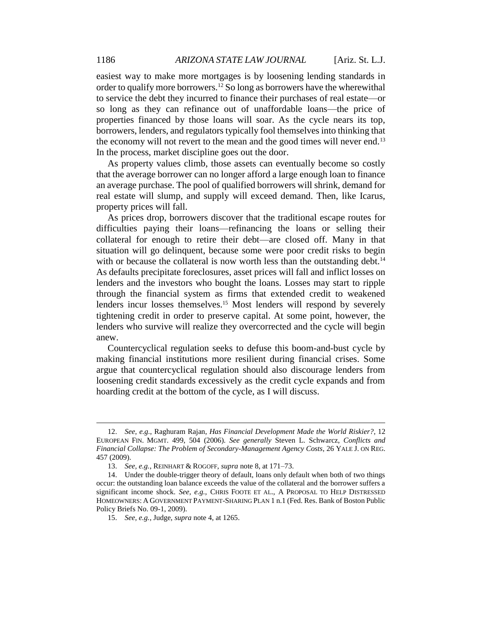easiest way to make more mortgages is by loosening lending standards in order to qualify more borrowers.<sup>12</sup> So long as borrowers have the wherewithal to service the debt they incurred to finance their purchases of real estate—or so long as they can refinance out of unaffordable loans—the price of properties financed by those loans will soar. As the cycle nears its top, borrowers, lenders, and regulators typically fool themselves into thinking that the economy will not revert to the mean and the good times will never end.<sup>13</sup> In the process, market discipline goes out the door.

As property values climb, those assets can eventually become so costly that the average borrower can no longer afford a large enough loan to finance an average purchase. The pool of qualified borrowers will shrink, demand for real estate will slump, and supply will exceed demand. Then, like Icarus, property prices will fall.

As prices drop, borrowers discover that the traditional escape routes for difficulties paying their loans—refinancing the loans or selling their collateral for enough to retire their debt—are closed off. Many in that situation will go delinquent, because some were poor credit risks to begin with or because the collateral is now worth less than the outstanding debt.<sup>14</sup> As defaults precipitate foreclosures, asset prices will fall and inflict losses on lenders and the investors who bought the loans. Losses may start to ripple through the financial system as firms that extended credit to weakened lenders incur losses themselves.<sup>15</sup> Most lenders will respond by severely tightening credit in order to preserve capital. At some point, however, the lenders who survive will realize they overcorrected and the cycle will begin anew.

Countercyclical regulation seeks to defuse this boom-and-bust cycle by making financial institutions more resilient during financial crises. Some argue that countercyclical regulation should also discourage lenders from loosening credit standards excessively as the credit cycle expands and from hoarding credit at the bottom of the cycle, as I will discuss.

<sup>12.</sup> *See, e.g.*, Raghuram Rajan, *Has Financial Development Made the World Riskier?*, 12 EUROPEAN FIN. MGMT. 499, 504 (2006). *See generally* Steven L. Schwarcz, *Conflicts and Financial Collapse: The Problem of Secondary-Management Agency Costs*, 26 YALE J. ON REG. 457 (2009).

<sup>13.</sup> *See, e.g.*, REINHART & ROGOFF, *supra* note 8, at 171–73.

<sup>14.</sup> Under the double-trigger theory of default, loans only default when both of two things occur: the outstanding loan balance exceeds the value of the collateral and the borrower suffers a significant income shock. *See, e.g.*, CHRIS FOOTE ET AL., A PROPOSAL TO HELP DISTRESSED HOMEOWNERS: A GOVERNMENT PAYMENT-SHARING PLAN 1 n.1 (Fed. Res. Bank of Boston Public Policy Briefs No. 09-1, 2009).

<sup>15.</sup> *See, e.g.*, Judge, *supra* note 4, at 1265.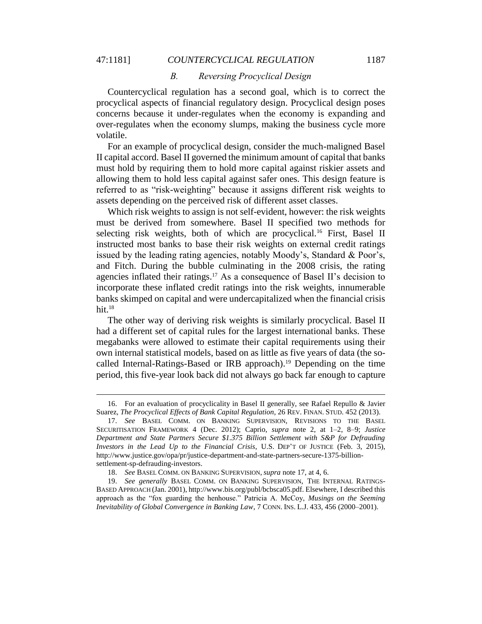$\overline{a}$ 

#### *B. Reversing Procyclical Design*

Countercyclical regulation has a second goal, which is to correct the procyclical aspects of financial regulatory design. Procyclical design poses concerns because it under-regulates when the economy is expanding and over-regulates when the economy slumps, making the business cycle more volatile.

For an example of procyclical design, consider the much-maligned Basel II capital accord. Basel II governed the minimum amount of capital that banks must hold by requiring them to hold more capital against riskier assets and allowing them to hold less capital against safer ones. This design feature is referred to as "risk-weighting" because it assigns different risk weights to assets depending on the perceived risk of different asset classes.

Which risk weights to assign is not self-evident, however: the risk weights must be derived from somewhere. Basel II specified two methods for selecting risk weights, both of which are procyclical.<sup>16</sup> First, Basel II instructed most banks to base their risk weights on external credit ratings issued by the leading rating agencies, notably Moody's, Standard & Poor's, and Fitch. During the bubble culminating in the 2008 crisis, the rating agencies inflated their ratings.<sup>17</sup> As a consequence of Basel II's decision to incorporate these inflated credit ratings into the risk weights, innumerable banks skimped on capital and were undercapitalized when the financial crisis hit. $18$ 

The other way of deriving risk weights is similarly procyclical. Basel II had a different set of capital rules for the largest international banks. These megabanks were allowed to estimate their capital requirements using their own internal statistical models, based on as little as five years of data (the socalled Internal-Ratings-Based or IRB approach).<sup>19</sup> Depending on the time period, this five-year look back did not always go back far enough to capture

<sup>16.</sup> For an evaluation of procyclicality in Basel II generally, see Rafael Repullo & Javier Suarez, *The Procyclical Effects of Bank Capital Regulation*, 26 REV. FINAN. STUD. 452 (2013).

<sup>17.</sup> *See* BASEL COMM. ON BANKING SUPERVISION, REVISIONS TO THE BASEL SECURITISATION FRAMEWORK 4 (Dec. 2012); Caprio, *supra* note 2, at 1–2, 8–9; *Justice Department and State Partners Secure \$1.375 Billion Settlement with S&P for Defrauding Investors in the Lead Up to the Financial Crisis*, U.S. DEP'T OF JUSTICE (Feb. 3, 2015), http://www.justice.gov/opa/pr/justice-department-and-state-partners-secure-1375-billionsettlement-sp-defrauding-investors.

<sup>18.</sup> *See* BASEL COMM. ON BANKING SUPERVISION, *supra* note 17, at 4, 6.

<sup>19.</sup> *See generally* BASEL COMM. ON BANKING SUPERVISION, THE INTERNAL RATINGS-BASED APPROACH (Jan. 2001), http://www.bis.org/publ/bcbsca05.pdf. Elsewhere, I described this approach as the "fox guarding the henhouse." Patricia A. McCoy, *Musings on the Seeming Inevitability of Global Convergence in Banking Law*, 7 CONN. INS. L.J. 433, 456 (2000–2001).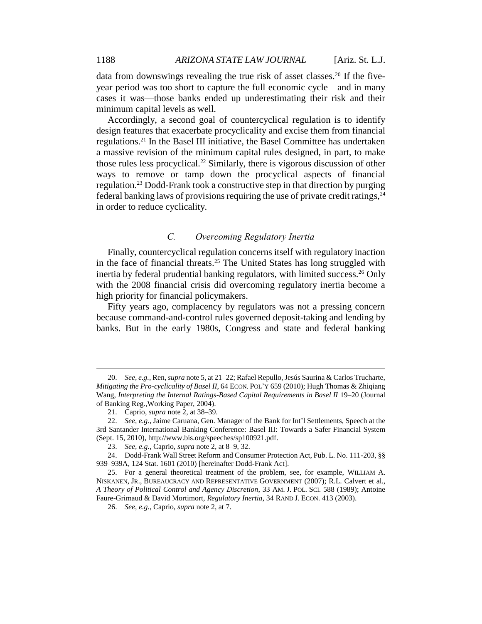data from downswings revealing the true risk of asset classes.<sup>20</sup> If the fiveyear period was too short to capture the full economic cycle—and in many cases it was—those banks ended up underestimating their risk and their minimum capital levels as well.

Accordingly, a second goal of countercyclical regulation is to identify design features that exacerbate procyclicality and excise them from financial regulations.<sup>21</sup> In the Basel III initiative, the Basel Committee has undertaken a massive revision of the minimum capital rules designed, in part, to make those rules less procyclical.<sup>22</sup> Similarly, there is vigorous discussion of other ways to remove or tamp down the procyclical aspects of financial regulation.<sup>23</sup> Dodd-Frank took a constructive step in that direction by purging federal banking laws of provisions requiring the use of private credit ratings,  $^{24}$ in order to reduce cyclicality.

## *C. Overcoming Regulatory Inertia*

Finally, countercyclical regulation concerns itself with regulatory inaction in the face of financial threats.<sup>25</sup> The United States has long struggled with inertia by federal prudential banking regulators, with limited success.<sup>26</sup> Only with the 2008 financial crisis did overcoming regulatory inertia become a high priority for financial policymakers.

Fifty years ago, complacency by regulators was not a pressing concern because command-and-control rules governed deposit-taking and lending by banks. But in the early 1980s, Congress and state and federal banking

<sup>20.</sup> *See, e.g.*, Ren, *supra* note 5, at 21–22; Rafael Repullo, Jesús Saurina & Carlos Trucharte, *Mitigating the Pro-cyclicality of Basel II*, 64 ECON. POL'Y 659 (2010); Hugh Thomas & Zhiqiang Wang, *Interpreting the Internal Ratings-Based Capital Requirements in Basel II* 19–20 (Journal of Banking Reg.,Working Paper, 2004).

<sup>21.</sup> Caprio, *supra* note 2, at 38–39.

<sup>22.</sup> *See, e.g.*, Jaime Caruana, Gen. Manager of the Bank for Int'l Settlements, Speech at the 3rd Santander International Banking Conference: Basel III: Towards a Safer Financial System (Sept. 15, 2010), http://www.bis.org/speeches/sp100921.pdf.

<sup>23.</sup> *See, e.g.*, Caprio, *supra* note 2, at 8–9, 32.

<sup>24.</sup> Dodd-Frank Wall Street Reform and Consumer Protection Act, Pub. L. No. 111-203, §§ 939–939A, 124 Stat. 1601 (2010) [hereinafter Dodd-Frank Act].

<sup>25.</sup> For a general theoretical treatment of the problem, see, for example, WILLIAM A. NISKANEN, JR., BUREAUCRACY AND REPRESENTATIVE GOVERNMENT (2007); R.L. Calvert et al., *A Theory of Political Control and Agency Discretion*, 33 AM. J. POL. SCI. 588 (1989); Antoine Faure-Grimaud & David Mortimort, *Regulatory Inertia*, 34 RAND J. ECON. 413 (2003).

<sup>26.</sup> *See, e.g.*, Caprio, *supra* note 2, at 7.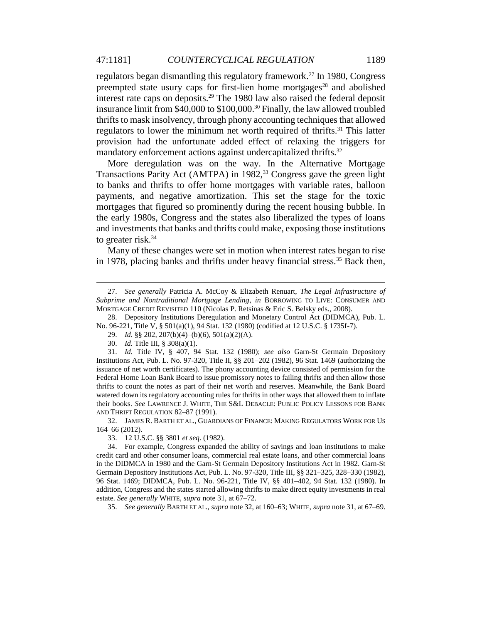regulators began dismantling this regulatory framework.<sup>27</sup> In 1980, Congress preempted state usury caps for first-lien home mortgages<sup>28</sup> and abolished interest rate caps on deposits.<sup>29</sup> The 1980 law also raised the federal deposit insurance limit from \$40,000 to \$100,000.<sup>30</sup> Finally, the law allowed troubled thrifts to mask insolvency, through phony accounting techniques that allowed regulators to lower the minimum net worth required of thrifts.<sup>31</sup> This latter provision had the unfortunate added effect of relaxing the triggers for mandatory enforcement actions against undercapitalized thrifts.<sup>32</sup>

More deregulation was on the way. In the Alternative Mortgage Transactions Parity Act (AMTPA) in 1982,<sup>33</sup> Congress gave the green light to banks and thrifts to offer home mortgages with variable rates, balloon payments, and negative amortization. This set the stage for the toxic mortgages that figured so prominently during the recent housing bubble. In the early 1980s, Congress and the states also liberalized the types of loans and investments that banks and thrifts could make, exposing those institutions to greater risk.<sup>34</sup>

Many of these changes were set in motion when interest rates began to rise in 1978, placing banks and thrifts under heavy financial stress.<sup>35</sup> Back then,

28. Depository Institutions Deregulation and Monetary Control Act (DIDMCA), Pub. L. No. 96-221, Title V, § 501(a)(1), 94 Stat. 132 (1980) (codified at 12 U.S.C. § 1735f-7).

 $\overline{a}$ 

32. JAMES R. BARTH ET AL., GUARDIANS OF FINANCE: MAKING REGULATORS WORK FOR US 164–66 (2012).

33. 12 U.S.C. §§ 3801 *et seq.* (1982).

35. *See generally* BARTH ET AL., *supra* note 32, at 160–63; WHITE, *supra* note 31, at 67–69.

<sup>27.</sup> *See generally* Patricia A. McCoy & Elizabeth Renuart, *The Legal Infrastructure of Subprime and Nontraditional Mortgage Lending*, *in* BORROWING TO LIVE: CONSUMER AND MORTGAGE CREDIT REVISITED 110 (Nicolas P. Retsinas & Eric S. Belsky eds., 2008).

<sup>29.</sup> *Id.* §§ 202, 207(b)(4)–(b)(6), 501(a)(2)(A).

<sup>30.</sup> *Id.* Title III, § 308(a)(1).

<sup>31.</sup> *Id.* Title IV, § 407, 94 Stat. 132 (1980); *see also* Garn-St Germain Depository Institutions Act, Pub. L. No. 97-320, Title II, §§ 201–202 (1982), 96 Stat. 1469 (authorizing the issuance of net worth certificates). The phony accounting device consisted of permission for the Federal Home Loan Bank Board to issue promissory notes to failing thrifts and then allow those thrifts to count the notes as part of their net worth and reserves. Meanwhile, the Bank Board watered down its regulatory accounting rules for thrifts in other ways that allowed them to inflate their books. *See* LAWRENCE J. WHITE, THE S&L DEBACLE: PUBLIC POLICY LESSONS FOR BANK AND THRIFT REGULATION 82–87 (1991).

<sup>34.</sup> For example, Congress expanded the ability of savings and loan institutions to make credit card and other consumer loans, commercial real estate loans, and other commercial loans in the DIDMCA in 1980 and the Garn-St Germain Depository Institutions Act in 1982. Garn-St Germain Depository Institutions Act, Pub. L. No. 97-320, Title III, §§ 321–325, 328–330 (1982), 96 Stat. 1469; DIDMCA, Pub. L. No. 96-221, Title IV, §§ 401–402, 94 Stat. 132 (1980). In addition, Congress and the states started allowing thrifts to make direct equity investments in real estate. *See generally* WHITE, *supra* note 31, at 67–72.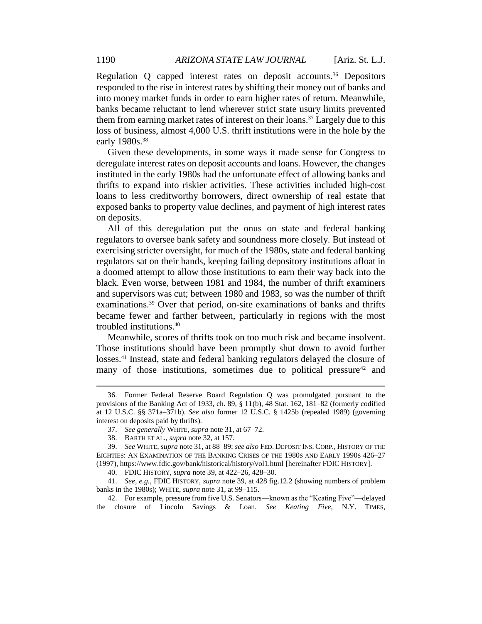Regulation Q capped interest rates on deposit accounts. <sup>36</sup> Depositors responded to the rise in interest rates by shifting their money out of banks and into money market funds in order to earn higher rates of return. Meanwhile, banks became reluctant to lend wherever strict state usury limits prevented them from earning market rates of interest on their loans.<sup>37</sup> Largely due to this loss of business, almost 4,000 U.S. thrift institutions were in the hole by the early 1980s.<sup>38</sup>

Given these developments, in some ways it made sense for Congress to deregulate interest rates on deposit accounts and loans. However, the changes instituted in the early 1980s had the unfortunate effect of allowing banks and thrifts to expand into riskier activities. These activities included high-cost loans to less creditworthy borrowers, direct ownership of real estate that exposed banks to property value declines, and payment of high interest rates on deposits.

All of this deregulation put the onus on state and federal banking regulators to oversee bank safety and soundness more closely. But instead of exercising stricter oversight, for much of the 1980s, state and federal banking regulators sat on their hands, keeping failing depository institutions afloat in a doomed attempt to allow those institutions to earn their way back into the black. Even worse, between 1981 and 1984, the number of thrift examiners and supervisors was cut; between 1980 and 1983, so was the number of thrift examinations.<sup>39</sup> Over that period, on-site examinations of banks and thrifts became fewer and farther between, particularly in regions with the most troubled institutions.<sup>40</sup>

Meanwhile, scores of thrifts took on too much risk and became insolvent. Those institutions should have been promptly shut down to avoid further losses.<sup>41</sup> Instead, state and federal banking regulators delayed the closure of many of those institutions, sometimes due to political pressure<sup>42</sup> and

<sup>36.</sup> Former Federal Reserve Board Regulation Q was promulgated pursuant to the provisions of the Banking Act of 1933, ch. 89, § 11(b), 48 Stat. 162, 181–82 (formerly codified at 12 U.S.C. §§ 371a–371b). *See also* former 12 U.S.C. § 1425b (repealed 1989) (governing interest on deposits paid by thrifts).

<sup>37.</sup> *See generally* WHITE, *supra* note 31, at 67–72.

<sup>38.</sup> BARTH ET AL., *supra* note 32, at 157.

<sup>39.</sup> *See* WHITE, *supra* note 31, at 88–89; *see also* FED. DEPOSIT INS. CORP., HISTORY OF THE EIGHTIES: AN EXAMINATION OF THE BANKING CRISES OF THE 1980S AND EARLY 1990S 426–27 (1997), https://www.fdic.gov/bank/historical/history/vol1.html [hereinafter FDIC HISTORY].

<sup>40.</sup> FDIC HISTORY, *supra* note 39, at 422–26, 428–30.

<sup>41.</sup> *See, e.g.*, FDIC HISTORY, *supra* note 39, at 428 fig.12.2 (showing numbers of problem banks in the 1980s); WHITE, *supra* note 31, at 99–115.

<sup>42.</sup> For example, pressure from five U.S. Senators—known as the "Keating Five"—delayed the closure of Lincoln Savings & Loan. *See Keating Five*, N.Y. TIMES,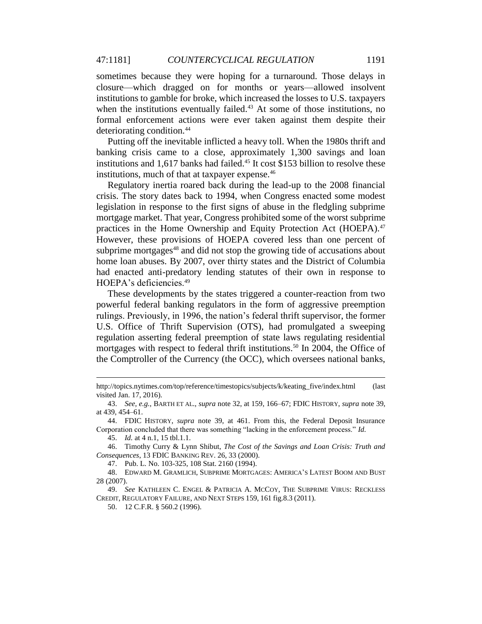sometimes because they were hoping for a turnaround. Those delays in closure—which dragged on for months or years—allowed insolvent institutions to gamble for broke, which increased the losses to U.S. taxpayers when the institutions eventually failed.<sup>43</sup> At some of those institutions, no formal enforcement actions were ever taken against them despite their deteriorating condition.<sup>44</sup>

Putting off the inevitable inflicted a heavy toll. When the 1980s thrift and banking crisis came to a close, approximately 1,300 savings and loan institutions and 1,617 banks had failed.<sup>45</sup> It cost \$153 billion to resolve these institutions, much of that at taxpayer expense.<sup>46</sup>

Regulatory inertia roared back during the lead-up to the 2008 financial crisis. The story dates back to 1994, when Congress enacted some modest legislation in response to the first signs of abuse in the fledgling subprime mortgage market. That year, Congress prohibited some of the worst subprime practices in the Home Ownership and Equity Protection Act (HOEPA).<sup>47</sup> However, these provisions of HOEPA covered less than one percent of subprime mortgages<sup>48</sup> and did not stop the growing tide of accusations about home loan abuses. By 2007, over thirty states and the District of Columbia had enacted anti-predatory lending statutes of their own in response to HOEPA's deficiencies.<sup>49</sup>

These developments by the states triggered a counter-reaction from two powerful federal banking regulators in the form of aggressive preemption rulings. Previously, in 1996, the nation's federal thrift supervisor, the former U.S. Office of Thrift Supervision (OTS), had promulgated a sweeping regulation asserting federal preemption of state laws regulating residential mortgages with respect to federal thrift institutions.<sup>50</sup> In 2004, the Office of the Comptroller of the Currency (the OCC), which oversees national banks,

 $\overline{a}$ 

50. 12 C.F.R. § 560.2 (1996).

http://topics.nytimes.com/top/reference/timestopics/subjects/k/keating\_five/index.html (last visited Jan. 17, 2016).

<sup>43.</sup> *See, e.g.*, BARTH ET AL., *supra* note 32, at 159, 166–67; FDIC HISTORY, *supra* note 39, at 439, 454–61.

<sup>44.</sup> FDIC HISTORY, *supra* note 39, at 461. From this, the Federal Deposit Insurance Corporation concluded that there was something "lacking in the enforcement process." *Id.*

<sup>45.</sup> *Id.* at 4 n.1, 15 tbl.1.1.

<sup>46.</sup> Timothy Curry & Lynn Shibut, *The Cost of the Savings and Loan Crisis: Truth and Consequences*, 13 FDIC BANKING REV. 26, 33 (2000).

<sup>47.</sup> Pub. L. No. 103-325, 108 Stat. 2160 (1994).

<sup>48.</sup> EDWARD M. GRAMLICH, SUBPRIME MORTGAGES: AMERICA'S LATEST BOOM AND BUST 28 (2007).

<sup>49.</sup> *See* KATHLEEN C. ENGEL & PATRICIA A. MCCOY, THE SUBPRIME VIRUS: RECKLESS CREDIT, REGULATORY FAILURE, AND NEXT STEPS 159, 161 fig.8.3 (2011).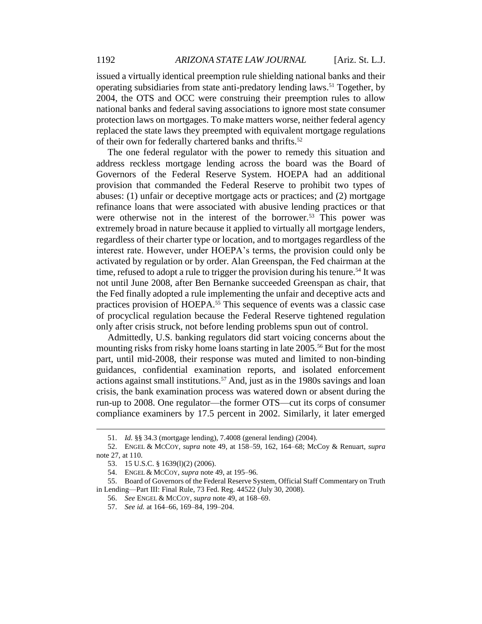issued a virtually identical preemption rule shielding national banks and their operating subsidiaries from state anti-predatory lending laws. <sup>51</sup> Together, by 2004, the OTS and OCC were construing their preemption rules to allow national banks and federal saving associations to ignore most state consumer protection laws on mortgages. To make matters worse, neither federal agency replaced the state laws they preempted with equivalent mortgage regulations of their own for federally chartered banks and thrifts.<sup>52</sup>

The one federal regulator with the power to remedy this situation and address reckless mortgage lending across the board was the Board of Governors of the Federal Reserve System. HOEPA had an additional provision that commanded the Federal Reserve to prohibit two types of abuses: (1) unfair or deceptive mortgage acts or practices; and (2) mortgage refinance loans that were associated with abusive lending practices or that were otherwise not in the interest of the borrower.<sup>53</sup> This power was extremely broad in nature because it applied to virtually all mortgage lenders, regardless of their charter type or location, and to mortgages regardless of the interest rate. However, under HOEPA's terms, the provision could only be activated by regulation or by order. Alan Greenspan, the Fed chairman at the time, refused to adopt a rule to trigger the provision during his tenure.<sup>54</sup> It was not until June 2008, after Ben Bernanke succeeded Greenspan as chair, that the Fed finally adopted a rule implementing the unfair and deceptive acts and practices provision of HOEPA.<sup>55</sup> This sequence of events was a classic case of procyclical regulation because the Federal Reserve tightened regulation only after crisis struck, not before lending problems spun out of control.

Admittedly, U.S. banking regulators did start voicing concerns about the mounting risks from risky home loans starting in late 2005.<sup>56</sup> But for the most part, until mid-2008, their response was muted and limited to non-binding guidances, confidential examination reports, and isolated enforcement actions against small institutions.<sup>57</sup> And, just as in the 1980s savings and loan crisis, the bank examination process was watered down or absent during the run-up to 2008. One regulator—the former OTS—cut its corps of consumer compliance examiners by 17.5 percent in 2002. Similarly, it later emerged

<sup>51.</sup> *Id.* §§ 34.3 (mortgage lending), 7.4008 (general lending) (2004).

<sup>52.</sup> ENGEL & MCCOY, *supra* note 49, at 158–59, 162, 164–68; McCoy & Renuart, *supra* note 27, at 110.

<sup>53.</sup> 15 U.S.C. § 1639(l)(2) (2006).

<sup>54.</sup> ENGEL & MCCOY, *supra* note 49, at 195–96.

<sup>55.</sup> Board of Governors of the Federal Reserve System, Official Staff Commentary on Truth in Lending—Part III: Final Rule, 73 Fed. Reg. 44522 (July 30, 2008).

<sup>56.</sup> *See* ENGEL & MCCOY, *supra* note 49, at 168–69.

<sup>57.</sup> *See id.* at 164–66, 169–84, 199–204.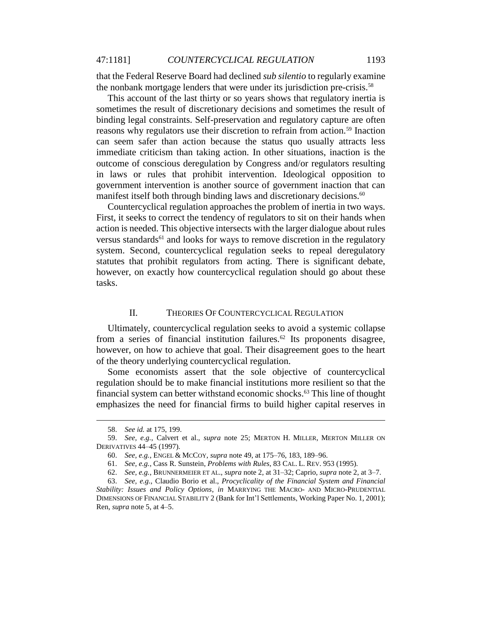that the Federal Reserve Board had declined *sub silentio* to regularly examine the nonbank mortgage lenders that were under its jurisdiction pre-crisis.<sup>58</sup>

This account of the last thirty or so years shows that regulatory inertia is sometimes the result of discretionary decisions and sometimes the result of binding legal constraints. Self-preservation and regulatory capture are often reasons why regulators use their discretion to refrain from action.<sup>59</sup> Inaction can seem safer than action because the status quo usually attracts less immediate criticism than taking action. In other situations, inaction is the outcome of conscious deregulation by Congress and/or regulators resulting in laws or rules that prohibit intervention. Ideological opposition to government intervention is another source of government inaction that can manifest itself both through binding laws and discretionary decisions.<sup>60</sup>

Countercyclical regulation approaches the problem of inertia in two ways. First, it seeks to correct the tendency of regulators to sit on their hands when action is needed. This objective intersects with the larger dialogue about rules versus standards<sup>61</sup> and looks for ways to remove discretion in the regulatory system. Second, countercyclical regulation seeks to repeal deregulatory statutes that prohibit regulators from acting. There is significant debate, however, on exactly how countercyclical regulation should go about these tasks.

## II. THEORIES OF COUNTERCYCLICAL REGULATION

Ultimately, countercyclical regulation seeks to avoid a systemic collapse from a series of financial institution failures.<sup>62</sup> Its proponents disagree, however, on how to achieve that goal. Their disagreement goes to the heart of the theory underlying countercyclical regulation.

Some economists assert that the sole objective of countercyclical regulation should be to make financial institutions more resilient so that the financial system can better withstand economic shocks.<sup>63</sup> This line of thought emphasizes the need for financial firms to build higher capital reserves in

<sup>58.</sup> *See id.* at 175, 199.

<sup>59.</sup> *See, e.g.*, Calvert et al., *supra* note 25; MERTON H. MILLER, MERTON MILLER ON DERIVATIVES 44–45 (1997).

<sup>60.</sup> *See, e.g.*, ENGEL & MCCOY, *supra* note 49, at 175–76, 183, 189–96.

<sup>61.</sup> *See, e.g.*, Cass R. Sunstein, *Problems with Rules*, 83 CAL. L. REV. 953 (1995).

<sup>62.</sup> *See, e.g.*, BRUNNERMEIER ET AL., *supra* note 2, at 31–32; Caprio, *supra* note 2, at 3–7.

<sup>63.</sup> *See, e.g.*, Claudio Borio et al., *Procyclicality of the Financial System and Financial* 

*Stability: Issues and Policy Options*, *in* MARRYING THE MACRO- AND MICRO-PRUDENTIAL DIMENSIONS OF FINANCIAL STABILITY 2 (Bank for Int'l Settlements, Working Paper No. 1, 2001); Ren, *supra* note 5, at 4–5.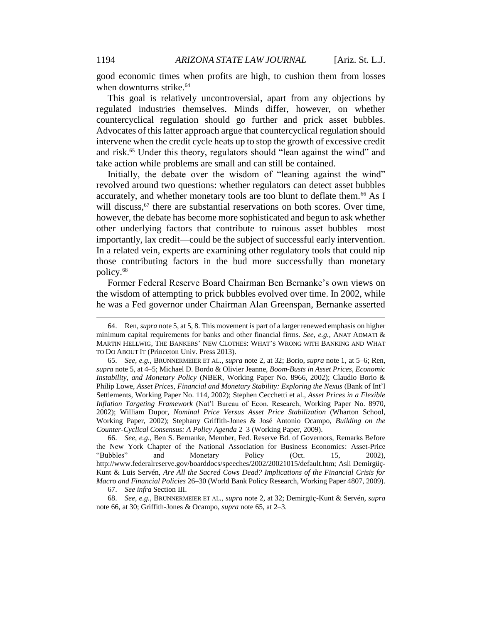good economic times when profits are high, to cushion them from losses when downturns strike.<sup>64</sup>

This goal is relatively uncontroversial, apart from any objections by regulated industries themselves. Minds differ, however, on whether countercyclical regulation should go further and prick asset bubbles. Advocates of this latter approach argue that countercyclical regulation should intervene when the credit cycle heats up to stop the growth of excessive credit and risk.<sup>65</sup> Under this theory, regulators should "lean against the wind" and take action while problems are small and can still be contained.

Initially, the debate over the wisdom of "leaning against the wind" revolved around two questions: whether regulators can detect asset bubbles accurately, and whether monetary tools are too blunt to deflate them.<sup>66</sup> As I will discuss,  $67$  there are substantial reservations on both scores. Over time, however, the debate has become more sophisticated and begun to ask whether other underlying factors that contribute to ruinous asset bubbles—most importantly, lax credit—could be the subject of successful early intervention. In a related vein, experts are examining other regulatory tools that could nip those contributing factors in the bud more successfully than monetary policy.<sup>68</sup>

Former Federal Reserve Board Chairman Ben Bernanke's own views on the wisdom of attempting to prick bubbles evolved over time. In 2002, while he was a Fed governor under Chairman Alan Greenspan, Bernanke asserted

<sup>64.</sup> Ren, *supra* note 5, at 5, 8. This movement is part of a larger renewed emphasis on higher minimum capital requirements for banks and other financial firms. *See, e.g.*, ANAT ADMATI & MARTIN HELLWIG, THE BANKERS' NEW CLOTHES: WHAT'S WRONG WITH BANKING AND WHAT TO DO ABOUT IT (Princeton Univ. Press 2013).

<sup>65.</sup> *See, e.g.*, BRUNNERMEIER ET AL., *supra* note 2, at 32; Borio, *supra* note 1, at 5–6; Ren, *supra* note 5, at 4–5; Michael D. Bordo & Olivier Jeanne, *Boom-Busts in Asset Prices, Economic Instability, and Monetary Policy* (NBER, Working Paper No. 8966, 2002); Claudio Borio & Philip Lowe, *Asset Prices, Financial and Monetary Stability: Exploring the Nexus* (Bank of Int'l Settlements, Working Paper No. 114, 2002); Stephen Cecchetti et al., *Asset Prices in a Flexible Inflation Targeting Framework* (Nat'l Bureau of Econ. Research, Working Paper No. 8970, 2002); William Dupor, *Nominal Price Versus Asset Price Stabilization* (Wharton School, Working Paper, 2002); Stephany Griffith-Jones & José Antonio Ocampo, *Building on the Counter-Cyclical Consensus: A Policy Agenda* 2–3 (Working Paper, 2009).

<sup>66.</sup> *See, e.g.*, Ben S. Bernanke, Member, Fed. Reserve Bd. of Governors, Remarks Before the New York Chapter of the National Association for Business Economics: Asset-Price "Bubbles" and Monetary Policy (Oct. 15, 2002), http://www.federalreserve.gov/boarddocs/speeches/2002/20021015/default.htm; Asli Demirgüç-Kunt & Luis Servén, *Are All the Sacred Cows Dead? Implications of the Financial Crisis for Macro and Financial Policies* 26–30 (World Bank Policy Research, Working Paper 4807, 2009).

<sup>67.</sup> *See infra* Section III.

<sup>68.</sup> *See, e.g.*, BRUNNERMEIER ET AL., *supra* note 2, at 32; Demirgüç-Kunt & Servén, *supra*  note 66, at 30; Griffith-Jones & Ocampo, *supra* note 65, at 2–3.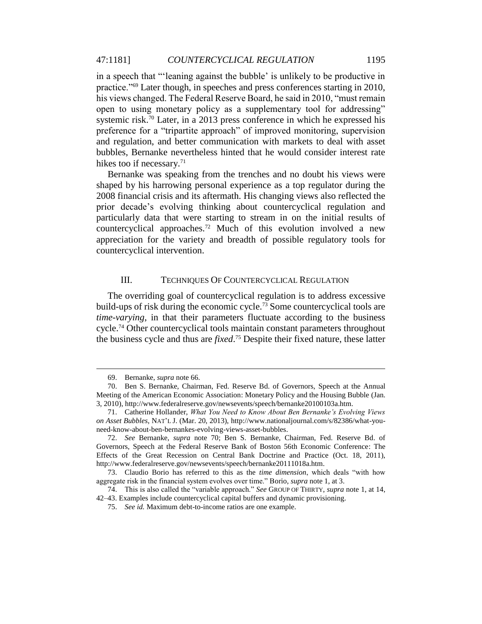in a speech that "'leaning against the bubble' is unlikely to be productive in practice."<sup>69</sup> Later though, in speeches and press conferences starting in 2010, his views changed. The Federal Reserve Board, he said in 2010, "must remain open to using monetary policy as a supplementary tool for addressing" systemic risk.<sup>70</sup> Later, in a 2013 press conference in which he expressed his preference for a "tripartite approach" of improved monitoring, supervision and regulation, and better communication with markets to deal with asset bubbles, Bernanke nevertheless hinted that he would consider interest rate hikes too if necessary.<sup>71</sup>

Bernanke was speaking from the trenches and no doubt his views were shaped by his harrowing personal experience as a top regulator during the 2008 financial crisis and its aftermath. His changing views also reflected the prior decade's evolving thinking about countercyclical regulation and particularly data that were starting to stream in on the initial results of countercyclical approaches.<sup>72</sup> Much of this evolution involved a new appreciation for the variety and breadth of possible regulatory tools for countercyclical intervention.

#### III. TECHNIQUES OF COUNTERCYCLICAL REGULATION

The overriding goal of countercyclical regulation is to address excessive build-ups of risk during the economic cycle.<sup>73</sup> Some countercyclical tools are *time-varying*, in that their parameters fluctuate according to the business cycle.<sup>74</sup> Other countercyclical tools maintain constant parameters throughout the business cycle and thus are *fixed*. <sup>75</sup> Despite their fixed nature, these latter

<sup>69.</sup> Bernanke, *supra* note 66.

<sup>70.</sup> Ben S. Bernanke, Chairman, Fed. Reserve Bd. of Governors, Speech at the Annual Meeting of the American Economic Association: Monetary Policy and the Housing Bubble (Jan. 3, 2010), http://www.federalreserve.gov/newsevents/speech/bernanke20100103a.htm.

<sup>71.</sup> Catherine Hollander, *What You Need to Know About Ben Bernanke's Evolving Views on Asset Bubbles*, NAT'L J. (Mar. 20, 2013), http://www.nationaljournal.com/s/82386/what-youneed-know-about-ben-bernankes-evolving-views-asset-bubbles.

<sup>72.</sup> *See* Bernanke, *supra* note 70; Ben S. Bernanke, Chairman, Fed. Reserve Bd. of Governors, Speech at the Federal Reserve Bank of Boston 56th Economic Conference: The Effects of the Great Recession on Central Bank Doctrine and Practice (Oct. 18, 2011), http://www.federalreserve.gov/newsevents/speech/bernanke20111018a.htm.

<sup>73.</sup> Claudio Borio has referred to this as the *time dimension*, which deals "with how aggregate risk in the financial system evolves over time." Borio, *supra* note 1, at 3.

<sup>74.</sup> This is also called the "variable approach." *See* GROUP OF THIRTY, *supra* note 1, at 14, 42–43. Examples include countercyclical capital buffers and dynamic provisioning.

<sup>75.</sup> *See id.* Maximum debt-to-income ratios are one example.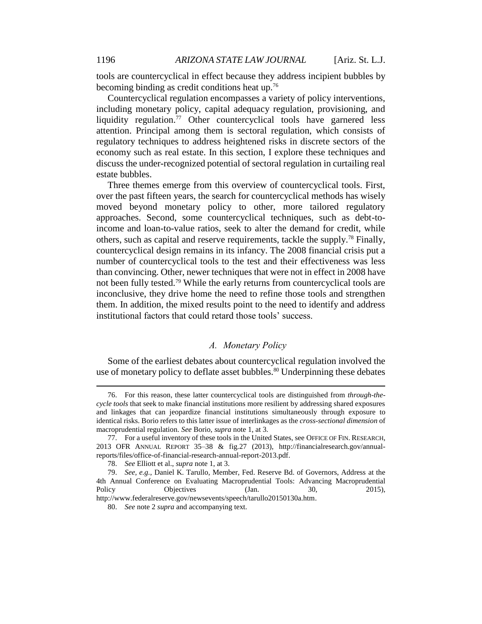tools are countercyclical in effect because they address incipient bubbles by becoming binding as credit conditions heat up.<sup>76</sup>

Countercyclical regulation encompasses a variety of policy interventions, including monetary policy, capital adequacy regulation, provisioning, and liquidity regulation.<sup>77</sup> Other countercyclical tools have garnered less attention. Principal among them is sectoral regulation, which consists of regulatory techniques to address heightened risks in discrete sectors of the economy such as real estate. In this section, I explore these techniques and discuss the under-recognized potential of sectoral regulation in curtailing real estate bubbles.

Three themes emerge from this overview of countercyclical tools. First, over the past fifteen years, the search for countercyclical methods has wisely moved beyond monetary policy to other, more tailored regulatory approaches. Second, some countercyclical techniques, such as debt-toincome and loan-to-value ratios, seek to alter the demand for credit, while others, such as capital and reserve requirements, tackle the supply.<sup>78</sup> Finally, countercyclical design remains in its infancy. The 2008 financial crisis put a number of countercyclical tools to the test and their effectiveness was less than convincing. Other, newer techniques that were not in effect in 2008 have not been fully tested.<sup>79</sup> While the early returns from countercyclical tools are inconclusive, they drive home the need to refine those tools and strengthen them. In addition, the mixed results point to the need to identify and address institutional factors that could retard those tools' success.

#### *A. Monetary Policy*

Some of the earliest debates about countercyclical regulation involved the use of monetary policy to deflate asset bubbles.<sup>80</sup> Underpinning these debates

<sup>76.</sup> For this reason, these latter countercyclical tools are distinguished from *through-thecycle tools* that seek to make financial institutions more resilient by addressing shared exposures and linkages that can jeopardize financial institutions simultaneously through exposure to identical risks. Borio refers to this latter issue of interlinkages as the *cross-sectional dimension* of macroprudential regulation. *See* Borio, *supra* note 1, at 3.

<sup>77.</sup> For a useful inventory of these tools in the United States, see OFFICE OF FIN. RESEARCH, 2013 OFR ANNUAL REPORT 35–38 & fig.27 (2013), http://financialresearch.gov/annualreports/files/office-of-financial-research-annual-report-2013.pdf.

<sup>78.</sup> *See* Elliott et al., *supra* note 1, at 3.

<sup>79.</sup> *See, e.g.*, Daniel K. Tarullo, Member, Fed. Reserve Bd. of Governors, Address at the 4th Annual Conference on Evaluating Macroprudential Tools: Advancing Macroprudential Policy **Objectives** (Jan. 30, 2015), http://www.federalreserve.gov/newsevents/speech/tarullo20150130a.htm.

<sup>80.</sup> *See* note 2 *supra* and accompanying text.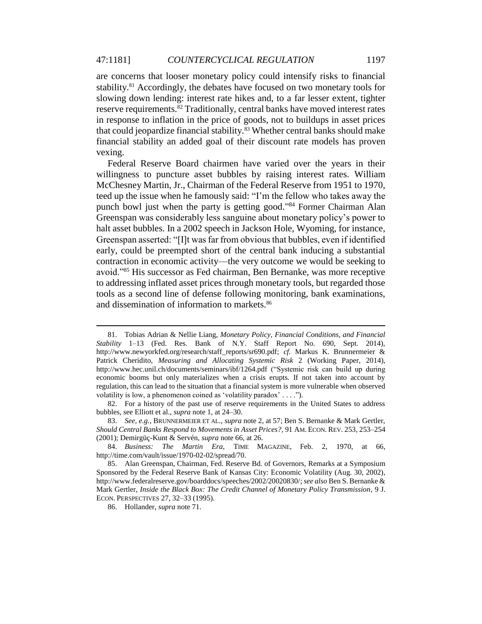are concerns that looser monetary policy could intensify risks to financial stability.<sup>81</sup> Accordingly, the debates have focused on two monetary tools for slowing down lending: interest rate hikes and, to a far lesser extent, tighter reserve requirements.<sup>82</sup> Traditionally, central banks have moved interest rates in response to inflation in the price of goods, not to buildups in asset prices that could jeopardize financial stability.<sup>83</sup> Whether central banks should make financial stability an added goal of their discount rate models has proven vexing.

Federal Reserve Board chairmen have varied over the years in their willingness to puncture asset bubbles by raising interest rates. William McChesney Martin, Jr., Chairman of the Federal Reserve from 1951 to 1970, teed up the issue when he famously said: "I'm the fellow who takes away the punch bowl just when the party is getting good."<sup>84</sup> Former Chairman Alan Greenspan was considerably less sanguine about monetary policy's power to halt asset bubbles. In a 2002 speech in Jackson Hole, Wyoming, for instance, Greenspan asserted: "[I]t was far from obvious that bubbles, even if identified early, could be preempted short of the central bank inducing a substantial contraction in economic activity—the very outcome we would be seeking to avoid."<sup>85</sup> His successor as Fed chairman, Ben Bernanke, was more receptive to addressing inflated asset prices through monetary tools, but regarded those tools as a second line of defense following monitoring, bank examinations, and dissemination of information to markets.<sup>86</sup>

<sup>81.</sup> Tobias Adrian & Nellie Liang, *Monetary Policy, Financial Conditions, and Financial Stability* 1–13 (Fed. Res. Bank of N.Y. Staff Report No. 690, Sept. 2014), http://www.newyorkfed.org/research/staff\_reports/sr690.pdf; *cf.* Markus K. Brunnermeier & Patrick Cheridito, *Measuring and Allocating Systemic Risk* 2 (Working Paper, 2014), http://www.hec.unil.ch/documents/seminars/ibf/1264.pdf ("Systemic risk can build up during economic booms but only materializes when a crisis erupts. If not taken into account by regulation, this can lead to the situation that a financial system is more vulnerable when observed volatility is low, a phenomenon coined as 'volatility paradox' . . . .").

<sup>82.</sup> For a history of the past use of reserve requirements in the United States to address bubbles, see Elliott et al., *supra* note 1, at 24–30.

<sup>83.</sup> *See, e.g.*, BRUNNERMEIER ET AL., *supra* note 2, at 57; Ben S. Bernanke & Mark Gertler, *Should Central Banks Respond to Movements in Asset Prices?*, 91 AM. ECON. REV. 253, 253–254 (2001); Demirgüç-Kunt & Servén, *supra* note 66, at 26.

<sup>84.</sup> *Business: The Martin Era*, TIME MAGAZINE, Feb. 2, 1970, at 66, http://time.com/vault/issue/1970-02-02/spread/70.

<sup>85.</sup> Alan Greenspan, Chairman, Fed. Reserve Bd. of Governors, Remarks at a Symposium Sponsored by the Federal Reserve Bank of Kansas City: Economic Volatility (Aug. 30, 2002), http://www.federalreserve.gov/boarddocs/speeches/2002/20020830/; *see also* Ben S. Bernanke & Mark Gertler, *Inside the Black Box: The Credit Channel of Monetary Policy Transmission*, 9 J. ECON. PERSPECTIVES 27, 32–33 (1995).

<sup>86.</sup> Hollander, *supra* note 71.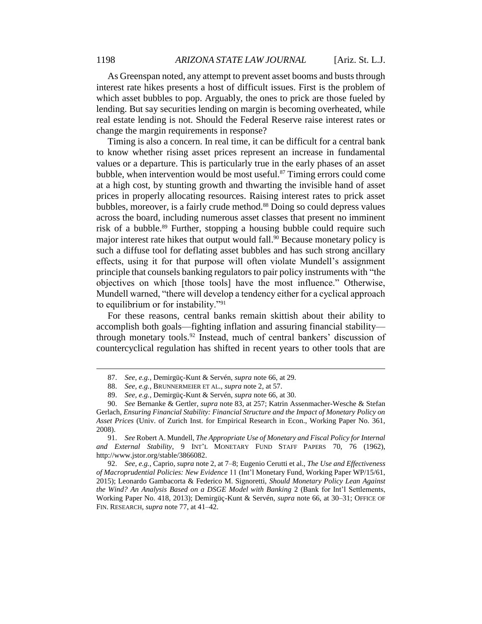As Greenspan noted, any attempt to prevent asset booms and busts through interest rate hikes presents a host of difficult issues. First is the problem of which asset bubbles to pop. Arguably, the ones to prick are those fueled by lending. But say securities lending on margin is becoming overheated, while real estate lending is not. Should the Federal Reserve raise interest rates or change the margin requirements in response?

Timing is also a concern. In real time, it can be difficult for a central bank to know whether rising asset prices represent an increase in fundamental values or a departure. This is particularly true in the early phases of an asset bubble, when intervention would be most useful. $87$  Timing errors could come at a high cost, by stunting growth and thwarting the invisible hand of asset prices in properly allocating resources. Raising interest rates to prick asset bubbles, moreover, is a fairly crude method. <sup>88</sup> Doing so could depress values across the board, including numerous asset classes that present no imminent risk of a bubble.<sup>89</sup> Further, stopping a housing bubble could require such major interest rate hikes that output would fall. <sup>90</sup> Because monetary policy is such a diffuse tool for deflating asset bubbles and has such strong ancillary effects, using it for that purpose will often violate Mundell's assignment principle that counsels banking regulators to pair policy instruments with "the objectives on which [those tools] have the most influence." Otherwise, Mundell warned, "there will develop a tendency either for a cyclical approach to equilibrium or for instability."<sup>91</sup>

For these reasons, central banks remain skittish about their ability to accomplish both goals—fighting inflation and assuring financial stability through monetary tools.<sup>92</sup> Instead, much of central bankers' discussion of countercyclical regulation has shifted in recent years to other tools that are

92. *See, e.g.*, Caprio, *supra* note 2, at 7–8; Eugenio Cerutti et al., *The Use and Effectiveness of Macroprudential Policies: New Evidence* 11 (Int'l Monetary Fund, Working Paper WP/15/61, 2015); Leonardo Gambacorta & Federico M. Signoretti, *Should Monetary Policy Lean Against the Wind? An Analysis Based on a DSGE Model with Banking* 2 (Bank for Int'l Settlements, Working Paper No. 418, 2013); Demirgüç-Kunt & Servén, *supra* note 66, at 30–31; OFFICE OF FIN. RESEARCH, *supra* note 77, at 41–42.

<sup>87.</sup> *See, e.g.*, Demirgüç-Kunt & Servén, *supra* note 66, at 29.

<sup>88.</sup> *See, e.g.*, BRUNNERMEIER ET AL., *supra* note 2, at 57.

<sup>89.</sup> *See, e.g.*, Demirgüç-Kunt & Servén, *supra* note 66, at 30.

<sup>90.</sup> *See* Bernanke & Gertler, *supra* note 83, at 257; Katrin Assenmacher-Wesche & Stefan Gerlach, *Ensuring Financial Stability: Financial Structure and the Impact of Monetary Policy on Asset Prices* (Univ. of Zurich Inst. for Empirical Research in Econ., Working Paper No. 361, 2008).

<sup>91.</sup> *See* Robert A. Mundell, *The Appropriate Use of Monetary and Fiscal Policy for Internal and External Stability*, 9 INT'L MONETARY FUND STAFF PAPERS 70, 76 (1962), http://www.jstor.org/stable/3866082.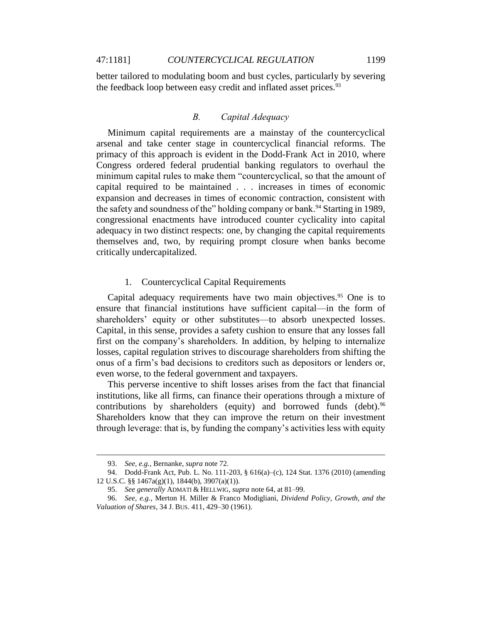better tailored to modulating boom and bust cycles, particularly by severing the feedback loop between easy credit and inflated asset prices.<sup>93</sup>

#### *B. Capital Adequacy*

Minimum capital requirements are a mainstay of the countercyclical arsenal and take center stage in countercyclical financial reforms. The primacy of this approach is evident in the Dodd-Frank Act in 2010, where Congress ordered federal prudential banking regulators to overhaul the minimum capital rules to make them "countercyclical, so that the amount of capital required to be maintained . . . increases in times of economic expansion and decreases in times of economic contraction, consistent with the safety and soundness of the" holding company or bank.<sup>94</sup> Starting in 1989, congressional enactments have introduced counter cyclicality into capital adequacy in two distinct respects: one, by changing the capital requirements themselves and, two, by requiring prompt closure when banks become critically undercapitalized.

#### 1. Countercyclical Capital Requirements

Capital adequacy requirements have two main objectives.<sup>95</sup> One is to ensure that financial institutions have sufficient capital—in the form of shareholders' equity or other substitutes—to absorb unexpected losses. Capital, in this sense, provides a safety cushion to ensure that any losses fall first on the company's shareholders. In addition, by helping to internalize losses, capital regulation strives to discourage shareholders from shifting the onus of a firm's bad decisions to creditors such as depositors or lenders or, even worse, to the federal government and taxpayers.

This perverse incentive to shift losses arises from the fact that financial institutions, like all firms, can finance their operations through a mixture of contributions by shareholders (equity) and borrowed funds (debt). $96$ Shareholders know that they can improve the return on their investment through leverage: that is, by funding the company's activities less with equity

<sup>93.</sup> *See, e.g.*, Bernanke, *supra* note 72.

<sup>94.</sup> Dodd-Frank Act, Pub. L. No. 111-203, § 616(a)–(c), 124 Stat. 1376 (2010) (amending 12 U.S.C. §§ 1467a(g)(1), 1844(b), 3907(a)(1)).

<sup>95.</sup> *See generally* ADMATI & HELLWIG, *supra* note 64, at 81–99.

<sup>96.</sup> *See, e.g.*, Merton H. Miller & Franco Modigliani, *Dividend Policy, Growth, and the Valuation of Shares*, 34 J. BUS. 411, 429–30 (1961).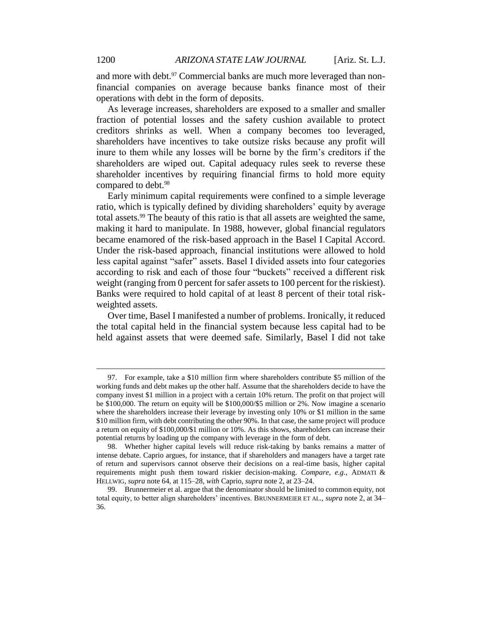and more with debt.<sup>97</sup> Commercial banks are much more leveraged than nonfinancial companies on average because banks finance most of their operations with debt in the form of deposits.

As leverage increases, shareholders are exposed to a smaller and smaller fraction of potential losses and the safety cushion available to protect creditors shrinks as well. When a company becomes too leveraged, shareholders have incentives to take outsize risks because any profit will inure to them while any losses will be borne by the firm's creditors if the shareholders are wiped out. Capital adequacy rules seek to reverse these shareholder incentives by requiring financial firms to hold more equity compared to debt.<sup>98</sup>

Early minimum capital requirements were confined to a simple leverage ratio, which is typically defined by dividing shareholders' equity by average total assets.<sup>99</sup> The beauty of this ratio is that all assets are weighted the same, making it hard to manipulate. In 1988, however, global financial regulators became enamored of the risk-based approach in the Basel I Capital Accord. Under the risk-based approach, financial institutions were allowed to hold less capital against "safer" assets. Basel I divided assets into four categories according to risk and each of those four "buckets" received a different risk weight (ranging from 0 percent for safer assets to 100 percent for the riskiest). Banks were required to hold capital of at least 8 percent of their total riskweighted assets.

Over time, Basel I manifested a number of problems. Ironically, it reduced the total capital held in the financial system because less capital had to be held against assets that were deemed safe. Similarly, Basel I did not take

<sup>97.</sup> For example, take a \$10 million firm where shareholders contribute \$5 million of the working funds and debt makes up the other half. Assume that the shareholders decide to have the company invest \$1 million in a project with a certain 10% return. The profit on that project will be \$100,000. The return on equity will be \$100,000/\$5 million or 2%. Now imagine a scenario where the shareholders increase their leverage by investing only 10% or \$1 million in the same \$10 million firm, with debt contributing the other 90%. In that case, the same project will produce a return on equity of \$100,000/\$1 million or 10%. As this shows, shareholders can increase their potential returns by loading up the company with leverage in the form of debt.

<sup>98.</sup> Whether higher capital levels will reduce risk-taking by banks remains a matter of intense debate. Caprio argues, for instance, that if shareholders and managers have a target rate of return and supervisors cannot observe their decisions on a real-time basis, higher capital requirements might push them toward riskier decision-making. *Compare, e.g.*, ADMATI & HELLWIG, *supra* note 64, at 115–28, *with* Caprio, *supra* note 2, at 23–24.

<sup>99.</sup> Brunnermeier et al. argue that the denominator should be limited to common equity, not total equity, to better align shareholders' incentives. BRUNNERMEIER ET AL., *supra* note 2, at 34– 36.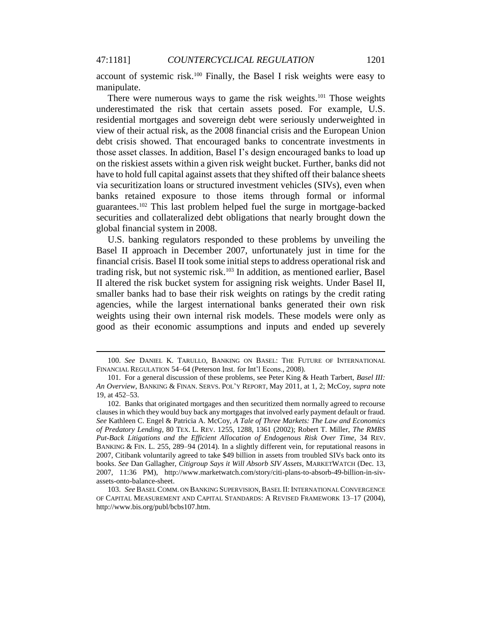account of systemic risk.<sup>100</sup> Finally, the Basel I risk weights were easy to manipulate.

There were numerous ways to game the risk weights.<sup>101</sup> Those weights underestimated the risk that certain assets posed. For example, U.S. residential mortgages and sovereign debt were seriously underweighted in view of their actual risk, as the 2008 financial crisis and the European Union debt crisis showed. That encouraged banks to concentrate investments in those asset classes. In addition, Basel I's design encouraged banks to load up on the riskiest assets within a given risk weight bucket. Further, banks did not have to hold full capital against assets that they shifted off their balance sheets via securitization loans or structured investment vehicles (SIVs), even when banks retained exposure to those items through formal or informal guarantees.<sup>102</sup> This last problem helped fuel the surge in mortgage-backed securities and collateralized debt obligations that nearly brought down the global financial system in 2008.

U.S. banking regulators responded to these problems by unveiling the Basel II approach in December 2007, unfortunately just in time for the financial crisis. Basel II took some initial steps to address operational risk and trading risk, but not systemic risk.<sup>103</sup> In addition, as mentioned earlier, Basel II altered the risk bucket system for assigning risk weights. Under Basel II, smaller banks had to base their risk weights on ratings by the credit rating agencies, while the largest international banks generated their own risk weights using their own internal risk models. These models were only as good as their economic assumptions and inputs and ended up severely

<sup>100.</sup> *See* DANIEL K. TARULLO, BANKING ON BASEL: THE FUTURE OF INTERNATIONAL FINANCIAL REGULATION 54–64 (Peterson Inst. for Int'l Econs., 2008).

<sup>101.</sup> For a general discussion of these problems, see Peter King & Heath Tarbert, *Basel III: An Overview*, BANKING & FINAN. SERVS. POL'Y REPORT, May 2011, at 1, 2; McCoy, *supra* note 19, at 452–53.

<sup>102.</sup> Banks that originated mortgages and then securitized them normally agreed to recourse clauses in which they would buy back any mortgages that involved early payment default or fraud. *See* Kathleen C. Engel & Patricia A. McCoy, *A Tale of Three Markets: The Law and Economics of Predatory Lending*, 80 TEX. L. REV. 1255, 1288, 1361 (2002); Robert T. Miller, *The RMBS Put-Back Litigations and the Efficient Allocation of Endogenous Risk Over Time*, 34 REV. BANKING & FIN. L. 255, 289-94 (2014). In a slightly different vein, for reputational reasons in 2007, Citibank voluntarily agreed to take \$49 billion in assets from troubled SIVs back onto its books. *See* Dan Gallagher, *Citigroup Says it Will Absorb SIV Assets*, MARKETWATCH (Dec. 13, 2007, 11:36 PM), http://www.marketwatch.com/story/citi-plans-to-absorb-49-billion-in-sivassets-onto-balance-sheet.

<sup>103.</sup> *See* BASEL COMM. ON BANKING SUPERVISION, BASEL II: INTERNATIONALCONVERGENCE OF CAPITAL MEASUREMENT AND CAPITAL STANDARDS: A REVISED FRAMEWORK 13–17 (2004), http://www.bis.org/publ/bcbs107.htm.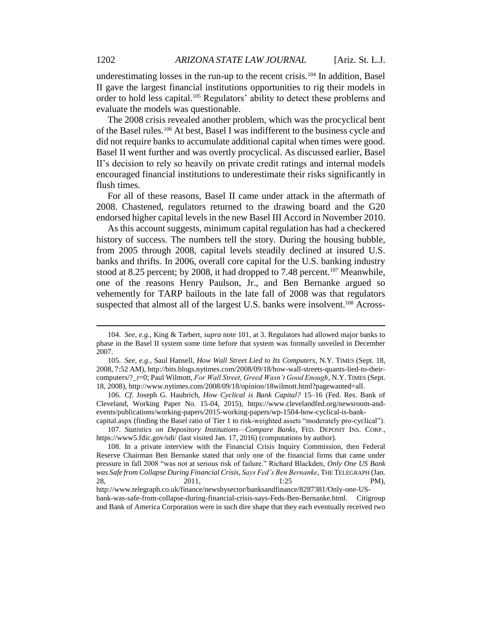underestimating losses in the run-up to the recent crisis.<sup>104</sup> In addition, Basel II gave the largest financial institutions opportunities to rig their models in order to hold less capital.<sup>105</sup> Regulators' ability to detect these problems and evaluate the models was questionable.

The 2008 crisis revealed another problem, which was the procyclical bent of the Basel rules.<sup>106</sup> At best, Basel I was indifferent to the business cycle and did not require banks to accumulate additional capital when times were good. Basel II went further and was overtly procyclical. As discussed earlier, Basel II's decision to rely so heavily on private credit ratings and internal models encouraged financial institutions to underestimate their risks significantly in flush times.

For all of these reasons, Basel II came under attack in the aftermath of 2008. Chastened, regulators returned to the drawing board and the G20 endorsed higher capital levels in the new Basel III Accord in November 2010.

As this account suggests, minimum capital regulation has had a checkered history of success. The numbers tell the story. During the housing bubble, from 2005 through 2008, capital levels steadily declined at insured U.S. banks and thrifts. In 2006, overall core capital for the U.S. banking industry stood at 8.25 percent; by 2008, it had dropped to 7.48 percent.<sup>107</sup> Meanwhile, one of the reasons Henry Paulson, Jr., and Ben Bernanke argued so vehemently for TARP bailouts in the late fall of 2008 was that regulators suspected that almost all of the largest U.S. banks were insolvent.<sup>108</sup> Across-

capital.aspx (finding the Basel ratio of Tier 1 to risk-weighted assets "moderately pro-cyclical"). 107. *Statistics on Depository Institutions—Compare Banks*, FED. DEPOSIT INS. CORP., https://www5.fdic.gov/sdi/ (last visited Jan. 17, 2016) (computations by author).

bank-was-safe-from-collapse-during-financial-crisis-says-Feds-Ben-Bernanke.html. Citigroup and Bank of America Corporation were in such dire shape that they each eventually received two

<sup>104.</sup> *See, e.g.*, King & Tarbert, *supra* note 101, at 3. Regulators had allowed major banks to phase in the Basel II system some time before that system was formally unveiled in December 2007.

<sup>105.</sup> *See, e.g.*, Saul Hansell, *How Wall Street Lied to Its Computers*, N.Y. TIMES (Sept. 18, 2008, 7:52 AM), http://bits.blogs.nytimes.com/2008/09/18/how-wall-streets-quants-lied-to-theircomputers/?\_r=0; Paul Wilmott, *For Wall Street, Greed Wasn't Good Enough*, N.Y. TIMES (Sept. 18, 2008), http://www.nytimes.com/2008/09/18/opinion/18wilmott.html?pagewanted=all.

<sup>106.</sup> *Cf.* Joseph G. Haubrich, *How Cyclical is Bank Capital?* 15–16 (Fed. Res. Bank of Cleveland, Working Paper No. 15-04, 2015), https://www.clevelandfed.org/newsroom-andevents/publications/working-papers/2015-working-papers/wp-1504-how-cyclical-is-bank-

<sup>108.</sup> In a private interview with the Financial Crisis Inquiry Commission, then Federal Reserve Chairman Ben Bernanke stated that only one of the financial firms that came under pressure in fall 2008 "was not at serious risk of failure." Richard Blackden, *Only One US Bank was Safe from Collapse During Financial Crisis, Says Fed's Ben Bernanke*, THE TELEGRAPH (Jan. 28, 2011,  $1:25$  PM), http://www.telegraph.co.uk/finance/newsbysector/banksandfinance/8287381/Only-one-US-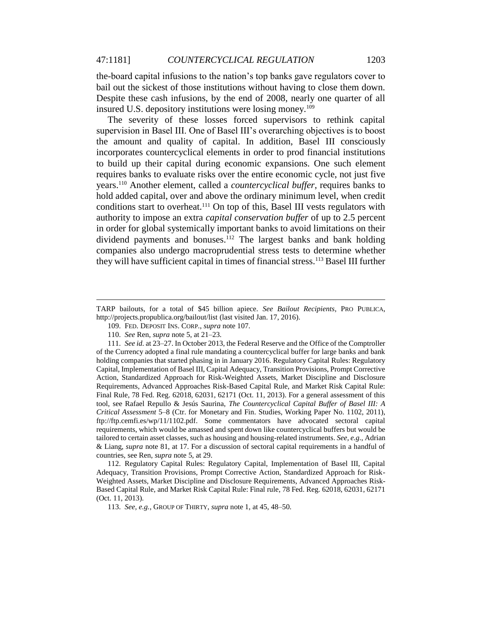the-board capital infusions to the nation's top banks gave regulators cover to bail out the sickest of those institutions without having to close them down. Despite these cash infusions, by the end of 2008, nearly one quarter of all insured U.S. depository institutions were losing money.<sup>109</sup>

The severity of these losses forced supervisors to rethink capital supervision in Basel III. One of Basel III's overarching objectives is to boost the amount and quality of capital. In addition, Basel III consciously incorporates countercyclical elements in order to prod financial institutions to build up their capital during economic expansions. One such element requires banks to evaluate risks over the entire economic cycle, not just five years.<sup>110</sup> Another element, called a *countercyclical buffer*, requires banks to hold added capital, over and above the ordinary minimum level, when credit conditions start to overheat.<sup>111</sup> On top of this, Basel III vests regulators with authority to impose an extra *capital conservation buffer* of up to 2.5 percent in order for global systemically important banks to avoid limitations on their dividend payments and bonuses.<sup>112</sup> The largest banks and bank holding companies also undergo macroprudential stress tests to determine whether they will have sufficient capital in times of financial stress.<sup>113</sup> Basel III further

 $\overline{a}$ 

111. *See id.* at 23–27. In October 2013, the Federal Reserve and the Office of the Comptroller of the Currency adopted a final rule mandating a countercyclical buffer for large banks and bank holding companies that started phasing in in January 2016. Regulatory Capital Rules: Regulatory Capital, Implementation of Basel III, Capital Adequacy, Transition Provisions, Prompt Corrective Action, Standardized Approach for Risk-Weighted Assets, Market Discipline and Disclosure Requirements, Advanced Approaches Risk-Based Capital Rule, and Market Risk Capital Rule: Final Rule, 78 Fed. Reg. 62018, 62031, 62171 (Oct. 11, 2013). For a general assessment of this tool, see Rafael Repullo & Jesús Saurina, *The Countercyclical Capital Buffer of Basel III: A Critical Assessment* 5–8 (Ctr. for Monetary and Fin. Studies, Working Paper No. 1102, 2011), ftp://ftp.cemfi.es/wp/11/1102.pdf. Some commentators have advocated sectoral capital requirements, which would be amassed and spent down like countercyclical buffers but would be tailored to certain asset classes, such as housing and housing-related instruments. *See, e.g.*, Adrian & Liang, *supra* note 81, at 17. For a discussion of sectoral capital requirements in a handful of countries, see Ren, *supra* note 5, at 29.

112. Regulatory Capital Rules: Regulatory Capital, Implementation of Basel III, Capital Adequacy, Transition Provisions, Prompt Corrective Action, Standardized Approach for Risk-Weighted Assets, Market Discipline and Disclosure Requirements, Advanced Approaches Risk-Based Capital Rule, and Market Risk Capital Rule: Final rule, 78 Fed. Reg. 62018, 62031, 62171 (Oct. 11, 2013).

113. *See, e.g.*, GROUP OF THIRTY, *supra* note 1, at 45, 48–50.

TARP bailouts, for a total of \$45 billion apiece. *See Bailout Recipients*, PRO PUBLICA, http://projects.propublica.org/bailout/list (last visited Jan. 17, 2016).

<sup>109.</sup> FED. DEPOSIT INS. CORP., *supra* note 107.

<sup>110.</sup> *See* Ren, *supra* note 5, at 21–23.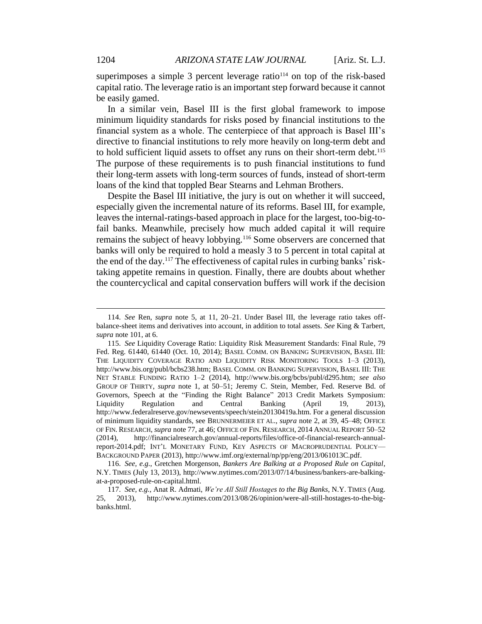superimposes a simple 3 percent leverage ratio $114$  on top of the risk-based capital ratio. The leverage ratio is an important step forward because it cannot be easily gamed.

In a similar vein, Basel III is the first global framework to impose minimum liquidity standards for risks posed by financial institutions to the financial system as a whole. The centerpiece of that approach is Basel III's directive to financial institutions to rely more heavily on long-term debt and to hold sufficient liquid assets to offset any runs on their short-term debt.<sup>115</sup> The purpose of these requirements is to push financial institutions to fund their long-term assets with long-term sources of funds, instead of short-term loans of the kind that toppled Bear Stearns and Lehman Brothers.

Despite the Basel III initiative, the jury is out on whether it will succeed, especially given the incremental nature of its reforms. Basel III, for example, leaves the internal-ratings-based approach in place for the largest, too-big-tofail banks. Meanwhile, precisely how much added capital it will require remains the subject of heavy lobbying.<sup>116</sup> Some observers are concerned that banks will only be required to hold a measly 3 to 5 percent in total capital at the end of the day.<sup>117</sup> The effectiveness of capital rules in curbing banks' risktaking appetite remains in question. Finally, there are doubts about whether the countercyclical and capital conservation buffers will work if the decision

<sup>114.</sup> *See* Ren, *supra* note 5, at 11, 20–21. Under Basel III, the leverage ratio takes offbalance-sheet items and derivatives into account, in addition to total assets. *See* King & Tarbert, *supra* note 101, at 6.

<sup>115.</sup> *See* Liquidity Coverage Ratio: Liquidity Risk Measurement Standards: Final Rule, 79 Fed. Reg. 61440, 61440 (Oct. 10, 2014); BASEL COMM. ON BANKING SUPERVISION, BASEL III: THE LIQUIDITY COVERAGE RATIO AND LIQUIDITY RISK MONITORING TOOLS 1-3 (2013), http://www.bis.org/publ/bcbs238.htm; BASEL COMM. ON BANKING SUPERVISION, BASEL III: THE NET STABLE FUNDING RATIO 1–2 (2014), http://www.bis.org/bcbs/publ/d295.htm; *see also* GROUP OF THIRTY, *supra* note 1, at 50–51; Jeremy C. Stein, Member, Fed. Reserve Bd. of Governors, Speech at the "Finding the Right Balance" 2013 Credit Markets Symposium: Liquidity Regulation and Central Banking (April 19, 2013), http://www.federalreserve.gov/newsevents/speech/stein20130419a.htm. For a general discussion of minimum liquidity standards, see BRUNNERMEIER ET AL., *supra* note 2, at 39, 45–48; OFFICE OF FIN. RESEARCH, *supra* note 77, at 46; OFFICE OF FIN. RESEARCH, 2014 ANNUAL REPORT 50–52 (2014), http://financialresearch.gov/annual-reports/files/office-of-financial-research-annualreport-2014.pdf; INT'L MONETARY FUND, KEY ASPECTS OF MACROPRUDENTIAL POLICY— BACKGROUND PAPER (2013), http://www.imf.org/external/np/pp/eng/2013/061013C.pdf.

<sup>116.</sup> *See, e.g.*, Gretchen Morgenson, *Bankers Are Balking at a Proposed Rule on Capital*, N.Y. TIMES (July 13, 2013), http://www.nytimes.com/2013/07/14/business/bankers-are-balkingat-a-proposed-rule-on-capital.html.

<sup>117.</sup> *See, e.g.*, Anat R. Admati, *We're All Still Hostages to the Big Banks*, N.Y. TIMES (Aug. 25, 2013), http://www.nytimes.com/2013/08/26/opinion/were-all-still-hostages-to-the-bigbanks.html.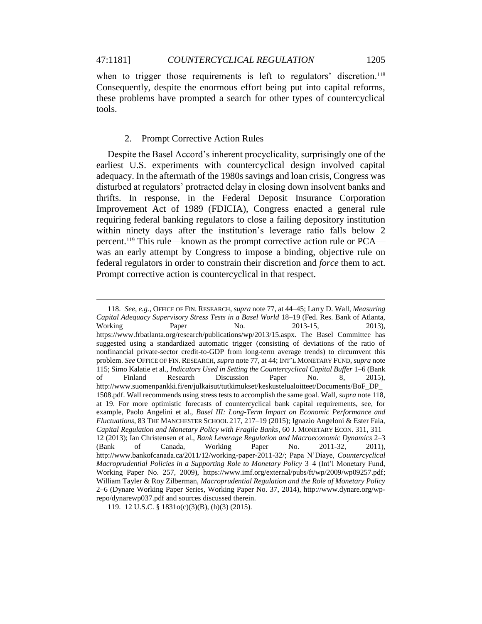when to trigger those requirements is left to regulators' discretion.<sup>118</sup> Consequently, despite the enormous effort being put into capital reforms, these problems have prompted a search for other types of countercyclical tools.

#### 2. Prompt Corrective Action Rules

Despite the Basel Accord's inherent procyclicality, surprisingly one of the earliest U.S. experiments with countercyclical design involved capital adequacy. In the aftermath of the 1980s savings and loan crisis, Congress was disturbed at regulators' protracted delay in closing down insolvent banks and thrifts. In response, in the Federal Deposit Insurance Corporation Improvement Act of 1989 (FDICIA), Congress enacted a general rule requiring federal banking regulators to close a failing depository institution within ninety days after the institution's leverage ratio falls below 2 percent.<sup>119</sup> This rule—known as the prompt corrective action rule or PCA was an early attempt by Congress to impose a binding, objective rule on federal regulators in order to constrain their discretion and *force* them to act. Prompt corrective action is countercyclical in that respect.

<sup>118.</sup> *See, e.g.*, OFFICE OF FIN. RESEARCH, *supra* note 77, at 44–45; Larry D. Wall, *Measuring Capital Adequacy Supervisory Stress Tests in a Basel World* 18–19 (Fed. Res. Bank of Atlanta, Working Paper No. 2013-15, 2013), https://www.frbatlanta.org/research/publications/wp/2013/15.aspx. The Basel Committee has suggested using a standardized automatic trigger (consisting of deviations of the ratio of nonfinancial private-sector credit-to-GDP from long-term average trends) to circumvent this problem. *See* OFFICE OF FIN. RESEARCH, *supra* note 77, at 44; INT'L MONETARY FUND, *supra* note 115; Simo Kalatie et al., *Indicators Used in Setting the Countercyclical Capital Buffer* 1–6 (Bank of Finland Research Discussion Paper No. 8, 2015), http://www.suomenpankki.fi/en/julkaisut/tutkimukset/keskustelualoitteet/Documents/BoF\_DP\_ 1508.pdf. Wall recommends using stress tests to accomplish the same goal. Wall, *supra* note 118, at 19. For more optimistic forecasts of countercyclical bank capital requirements, see, for example, Paolo Angelini et al., *Basel III: Long-Term Impact on Economic Performance and Fluctuations*, 83 THE MANCHESTER SCHOOL 217, 217–19 (2015); Ignazio Angeloni & Ester Faia, *Capital Regulation and Monetary Policy with Fragile Banks*, 60 J. MONETARY ECON. 311, 311– 12 (2013); Ian Christensen et al., *Bank Leverage Regulation and Macroeconomic Dynamics* 2–3 (Bank of Canada, Working Paper No. 2011-32, 2011), http://www.bankofcanada.ca/2011/12/working-paper-2011-32/; Papa N'Diaye, *Countercyclical Macroprudential Policies in a Supporting Role to Monetary Policy* 3–4 (Int'l Monetary Fund, Working Paper No. 257, 2009), https://www.imf.org/external/pubs/ft/wp/2009/wp09257.pdf; William Tayler & Roy Zilberman, *Macroprudential Regulation and the Role of Monetary Policy* 2–6 (Dynare Working Paper Series, Working Paper No. 37, 2014), http://www.dynare.org/wprepo/dynarewp037.pdf and sources discussed therein.

<sup>119.</sup> 12 U.S.C. § 1831o(c)(3)(B), (h)(3) (2015).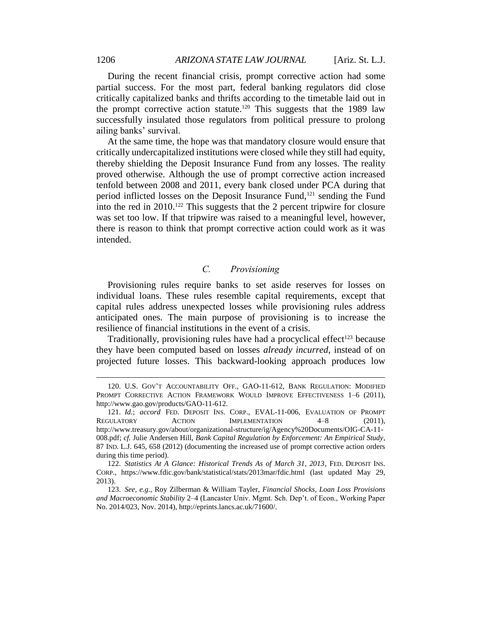During the recent financial crisis, prompt corrective action had some partial success. For the most part, federal banking regulators did close critically capitalized banks and thrifts according to the timetable laid out in the prompt corrective action statute.<sup>120</sup> This suggests that the 1989 law successfully insulated those regulators from political pressure to prolong ailing banks' survival.

At the same time, the hope was that mandatory closure would ensure that critically undercapitalized institutions were closed while they still had equity, thereby shielding the Deposit Insurance Fund from any losses. The reality proved otherwise. Although the use of prompt corrective action increased tenfold between 2008 and 2011, every bank closed under PCA during that period inflicted losses on the Deposit Insurance Fund,<sup>121</sup> sending the Fund into the red in 2010.<sup>122</sup> This suggests that the 2 percent tripwire for closure was set too low. If that tripwire was raised to a meaningful level, however, there is reason to think that prompt corrective action could work as it was intended.

## *C. Provisioning*

Provisioning rules require banks to set aside reserves for losses on individual loans. These rules resemble capital requirements, except that capital rules address unexpected losses while provisioning rules address anticipated ones. The main purpose of provisioning is to increase the resilience of financial institutions in the event of a crisis.

Traditionally, provisioning rules have had a procyclical effect<sup>123</sup> because they have been computed based on losses *already incurred*, instead of on projected future losses. This backward-looking approach produces low

<sup>120.</sup> U.S. GOV'T ACCOUNTABILITY OFF., GAO-11-612, BANK REGULATION: MODIFIED PROMPT CORRECTIVE ACTION FRAMEWORK WOULD IMPROVE EFFECTIVENESS 1–6 (2011), http://www.gao.gov/products/GAO-11-612.

<sup>121.</sup> *Id.*; *accord* FED. DEPOSIT INS. CORP., EVAL-11-006, EVALUATION OF PROMPT REGULATORY ACTION IMPLEMENTATION 4-8 (2011), http://www.treasury.gov/about/organizational-structure/ig/Agency%20Documents/OIG-CA-11- 008.pdf; *cf.* Julie Andersen Hill, *Bank Capital Regulation by Enforcement: An Empirical Study*, 87 IND. L.J. 645, 658 (2012) (documenting the increased use of prompt corrective action orders during this time period).

<sup>122.</sup> *Statistics At A Glance: Historical Trends As of March 31, 2013*, FED. DEPOSIT INS. CORP., https://www.fdic.gov/bank/statistical/stats/2013mar/fdic.html (last updated May 29, 2013).

<sup>123.</sup> *See, e.g.*, Roy Zilberman & William Tayler, *Financial Shocks, Loan Loss Provisions and Macroeconomic Stability* 2–4 (Lancaster Univ. Mgmt. Sch. Dep't. of Econ., Working Paper No. 2014/023, Nov. 2014), http://eprints.lancs.ac.uk/71600/.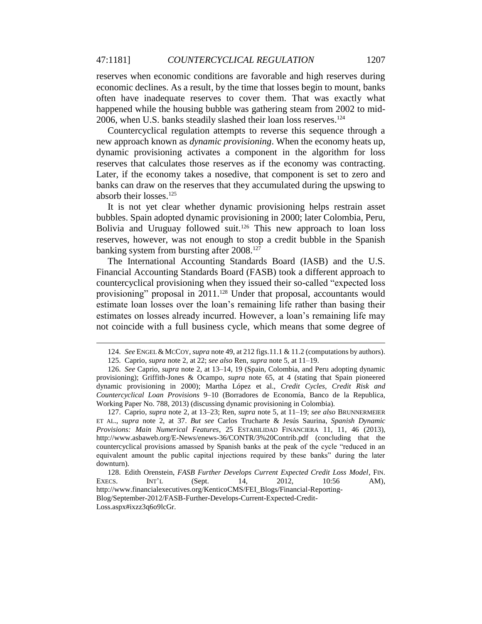reserves when economic conditions are favorable and high reserves during economic declines. As a result, by the time that losses begin to mount, banks often have inadequate reserves to cover them. That was exactly what happened while the housing bubble was gathering steam from 2002 to mid-2006, when U.S. banks steadily slashed their loan loss reserves. 124

Countercyclical regulation attempts to reverse this sequence through a new approach known as *dynamic provisioning*. When the economy heats up, dynamic provisioning activates a component in the algorithm for loss reserves that calculates those reserves as if the economy was contracting. Later, if the economy takes a nosedive, that component is set to zero and banks can draw on the reserves that they accumulated during the upswing to absorb their losses.<sup>125</sup>

It is not yet clear whether dynamic provisioning helps restrain asset bubbles. Spain adopted dynamic provisioning in 2000; later Colombia, Peru, Bolivia and Uruguay followed suit.<sup>126</sup> This new approach to loan loss reserves, however, was not enough to stop a credit bubble in the Spanish banking system from bursting after 2008.<sup>127</sup>

The International Accounting Standards Board (IASB) and the U.S. Financial Accounting Standards Board (FASB) took a different approach to countercyclical provisioning when they issued their so-called "expected loss provisioning" proposal in 2011.<sup>128</sup> Under that proposal, accountants would estimate loan losses over the loan's remaining life rather than basing their estimates on losses already incurred. However, a loan's remaining life may not coincide with a full business cycle, which means that some degree of

<sup>124.</sup> *See* ENGEL & MCCOY, *supra* note 49, at 212 figs.11.1 & 11.2 (computations by authors).

<sup>125.</sup> Caprio, *supra* note 2, at 22; *see also* Ren, *supra* note 5, at 11–19.

<sup>126.</sup> *See* Caprio, *supra* note 2, at 13–14, 19 (Spain, Colombia, and Peru adopting dynamic provisioning); Griffith-Jones & Ocampo, *supra* note 65, at 4 (stating that Spain pioneered dynamic provisioning in 2000); Martha López et al., *Credit Cycles, Credit Risk and Countercyclical Loan Provisions* 9–10 (Borradores de Economía, Banco de la Republica, Working Paper No. 788, 2013) (discussing dynamic provisioning in Colombia).

<sup>127.</sup> Caprio, *supra* note 2, at 13–23; Ren, *supra* note 5, at 11–19; *see also* BRUNNERMEIER ET AL., *supra* note 2, at 37. *But see* Carlos Trucharte & Jesús Saurina, *Spanish Dynamic Provisions: Main Numerical Features*, 25 ESTABILIDAD FINANCIERA 11, 11, 46 (2013), http://www.asbaweb.org/E-News/enews-36/CONTR/3%20Contrib.pdf (concluding that the countercyclical provisions amassed by Spanish banks at the peak of the cycle "reduced in an equivalent amount the public capital injections required by these banks" during the later downturn).

<sup>128.</sup> Edith Orenstein, *FASB Further Develops Current Expected Credit Loss Model*, FIN. EXECS. INT'L (Sept. 14, 2012, 10:56 AM), http://www.financialexecutives.org/KenticoCMS/FEI\_Blogs/Financial-Reporting-Blog/September-2012/FASB-Further-Develops-Current-Expected-Credit-Loss.aspx#ixzz3q6o9lcGr.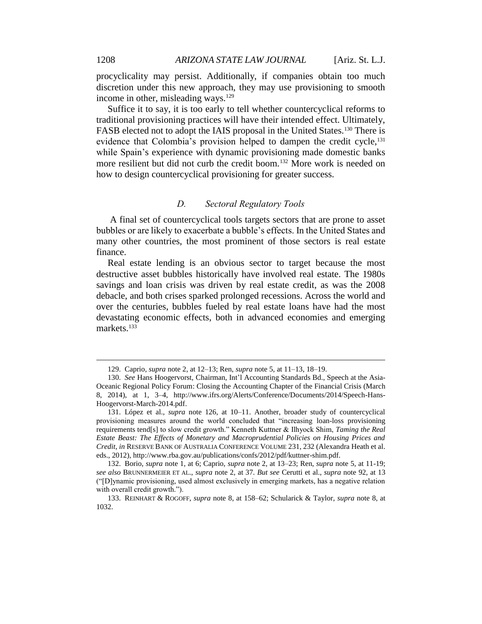procyclicality may persist. Additionally, if companies obtain too much discretion under this new approach, they may use provisioning to smooth income in other, misleading ways.<sup>129</sup>

Suffice it to say, it is too early to tell whether countercyclical reforms to traditional provisioning practices will have their intended effect. Ultimately, FASB elected not to adopt the IAIS proposal in the United States.<sup>130</sup> There is evidence that Colombia's provision helped to dampen the credit cycle,<sup>131</sup> while Spain's experience with dynamic provisioning made domestic banks more resilient but did not curb the credit boom.<sup>132</sup> More work is needed on how to design countercyclical provisioning for greater success.

#### *D. Sectoral Regulatory Tools*

A final set of countercyclical tools targets sectors that are prone to asset bubbles or are likely to exacerbate a bubble's effects. In the United States and many other countries, the most prominent of those sectors is real estate finance.

Real estate lending is an obvious sector to target because the most destructive asset bubbles historically have involved real estate. The 1980s savings and loan crisis was driven by real estate credit, as was the 2008 debacle, and both crises sparked prolonged recessions. Across the world and over the centuries, bubbles fueled by real estate loans have had the most devastating economic effects, both in advanced economies and emerging markets.<sup>133</sup>

<sup>129.</sup> Caprio, *supra* note 2, at 12–13; Ren, *supra* note 5, at 11–13, 18–19.

<sup>130.</sup> *See* Hans Hoogervorst, Chairman, Int'l Accounting Standards Bd., Speech at the Asia-Oceanic Regional Policy Forum: Closing the Accounting Chapter of the Financial Crisis (March 8, 2014), at 1, 3–4, http://www.ifrs.org/Alerts/Conference/Documents/2014/Speech-Hans-Hoogervorst-March-2014.pdf.

<sup>131.</sup> López et al., *supra* note 126, at 10–11. Another, broader study of countercyclical provisioning measures around the world concluded that "increasing loan-loss provisioning requirements tend[s] to slow credit growth." Kenneth Kuttner & Ilhyock Shim, *Taming the Real Estate Beast: The Effects of Monetary and Macroprudential Policies on Housing Prices and Credit*, *in* RESERVE BANK OF AUSTRALIA CONFERENCE VOLUME 231, 232 (Alexandra Heath et al. eds., 2012), http://www.rba.gov.au/publications/confs/2012/pdf/kuttner-shim.pdf.

<sup>132.</sup> Borio, *supra* note 1, at 6; Caprio, *supra* note 2, at 13–23; Ren, *supra* note 5, at 11-19; *see also* BRUNNERMEIER ET AL., *supra* note 2, at 37. *But see* Cerutti et al., *supra* note 92, at 13 ("[D]ynamic provisioning, used almost exclusively in emerging markets, has a negative relation with overall credit growth.").

<sup>133.</sup> REINHART & ROGOFF, *supra* note 8, at 158–62; Schularick & Taylor, *supra* note 8, at 1032.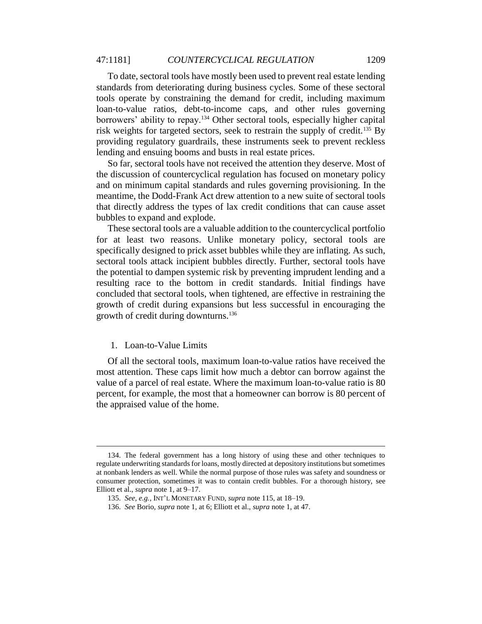#### 47:1181] *COUNTERCYCLICAL REGULATION* 1209

To date, sectoral tools have mostly been used to prevent real estate lending standards from deteriorating during business cycles. Some of these sectoral tools operate by constraining the demand for credit, including maximum loan-to-value ratios, debt-to-income caps, and other rules governing borrowers' ability to repay.<sup>134</sup> Other sectoral tools, especially higher capital risk weights for targeted sectors, seek to restrain the supply of credit.<sup>135</sup> By providing regulatory guardrails, these instruments seek to prevent reckless lending and ensuing booms and busts in real estate prices.

So far, sectoral tools have not received the attention they deserve. Most of the discussion of countercyclical regulation has focused on monetary policy and on minimum capital standards and rules governing provisioning. In the meantime, the Dodd-Frank Act drew attention to a new suite of sectoral tools that directly address the types of lax credit conditions that can cause asset bubbles to expand and explode.

These sectoral tools are a valuable addition to the countercyclical portfolio for at least two reasons. Unlike monetary policy, sectoral tools are specifically designed to prick asset bubbles while they are inflating. As such, sectoral tools attack incipient bubbles directly. Further, sectoral tools have the potential to dampen systemic risk by preventing imprudent lending and a resulting race to the bottom in credit standards. Initial findings have concluded that sectoral tools, when tightened, are effective in restraining the growth of credit during expansions but less successful in encouraging the growth of credit during downturns.<sup>136</sup>

#### 1. Loan-to-Value Limits

 $\overline{a}$ 

Of all the sectoral tools, maximum loan-to-value ratios have received the most attention. These caps limit how much a debtor can borrow against the value of a parcel of real estate. Where the maximum loan-to-value ratio is 80 percent, for example, the most that a homeowner can borrow is 80 percent of the appraised value of the home.

<sup>134.</sup> The federal government has a long history of using these and other techniques to regulate underwriting standards for loans, mostly directed at depository institutions but sometimes at nonbank lenders as well. While the normal purpose of those rules was safety and soundness or consumer protection, sometimes it was to contain credit bubbles. For a thorough history, see Elliott et al., *supra* note 1, at 9–17.

<sup>135.</sup> *See, e.g.*, INT'L MONETARY FUND, *supra* note 115, at 18–19.

<sup>136.</sup> *See* Borio, *supra* note 1, at 6; Elliott et al., *supra* note 1, at 47.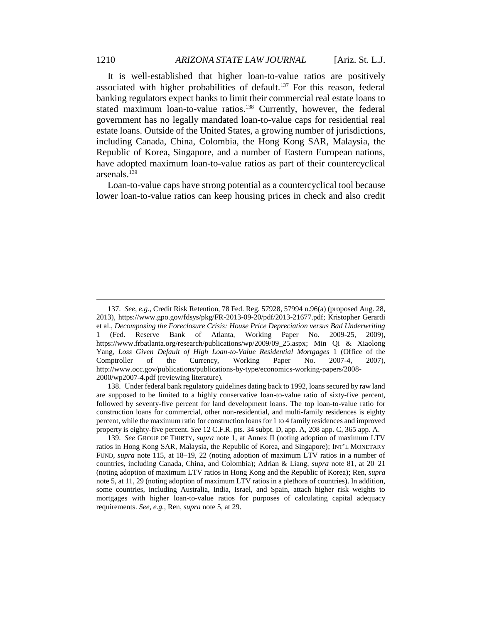It is well-established that higher loan-to-value ratios are positively associated with higher probabilities of default.<sup>137</sup> For this reason, federal banking regulators expect banks to limit their commercial real estate loans to stated maximum loan-to-value ratios.<sup>138</sup> Currently, however, the federal government has no legally mandated loan-to-value caps for residential real estate loans. Outside of the United States, a growing number of jurisdictions, including Canada, China, Colombia, the Hong Kong SAR, Malaysia, the Republic of Korea, Singapore, and a number of Eastern European nations, have adopted maximum loan-to-value ratios as part of their countercyclical arsenals.<sup>139</sup>

Loan-to-value caps have strong potential as a countercyclical tool because lower loan-to-value ratios can keep housing prices in check and also credit

138. Under federal bank regulatory guidelines dating back to 1992, loans secured by raw land are supposed to be limited to a highly conservative loan-to-value ratio of sixty-five percent, followed by seventy-five percent for land development loans. The top loan-to-value ratio for construction loans for commercial, other non-residential, and multi-family residences is eighty percent, while the maximum ratio for construction loans for 1 to 4 family residences and improved property is eighty-five percent. *See* 12 C.F.R. pts. 34 subpt. D, app. A, 208 app. C, 365 app. A.

<sup>137.</sup> *See, e.g.*, Credit Risk Retention, 78 Fed. Reg. 57928, 57994 n.96(a) (proposed Aug. 28, 2013), https://www.gpo.gov/fdsys/pkg/FR-2013-09-20/pdf/2013-21677.pdf; Kristopher Gerardi et al., *Decomposing the Foreclosure Crisis: House Price Depreciation versus Bad Underwriting* 1 (Fed. Reserve Bank of Atlanta, Working Paper No. 2009-25, 2009), https://www.frbatlanta.org/research/publications/wp/2009/09\_25.aspx; Min Qi & Xiaolong Yang, *Loss Given Default of High Loan-to-Value Residential Mortgages* 1 (Office of the Comptroller of the Currency, Working Paper No. 2007-4, 2007), http://www.occ.gov/publications/publications-by-type/economics-working-papers/2008- 2000/wp2007-4.pdf (reviewing literature).

<sup>139.</sup> *See* GROUP OF THIRTY, *supra* note 1, at Annex II (noting adoption of maximum LTV ratios in Hong Kong SAR, Malaysia, the Republic of Korea, and Singapore); INT'L MONETARY FUND, *supra* note 115, at 18–19, 22 (noting adoption of maximum LTV ratios in a number of countries, including Canada, China, and Colombia); Adrian & Liang, *supra* note 81, at 20–21 (noting adoption of maximum LTV ratios in Hong Kong and the Republic of Korea); Ren, *supra* note 5, at 11, 29 (noting adoption of maximum LTV ratios in a plethora of countries). In addition, some countries, including Australia, India, Israel, and Spain, attach higher risk weights to mortgages with higher loan-to-value ratios for purposes of calculating capital adequacy requirements. *See, e.g.*, Ren, *supra* note 5, at 29.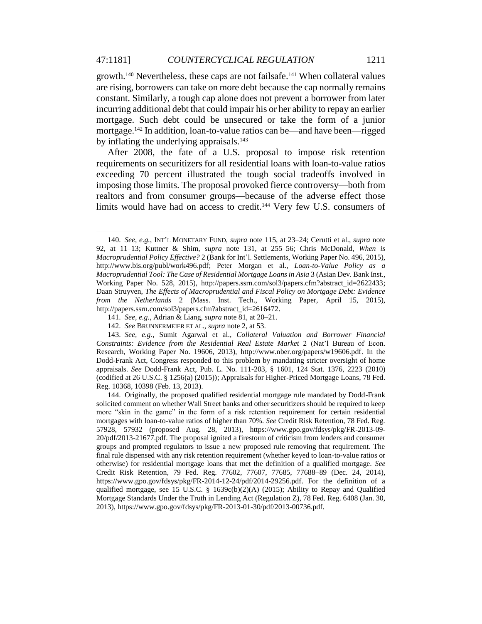growth.<sup>140</sup> Nevertheless, these caps are not failsafe.<sup>141</sup> When collateral values are rising, borrowers can take on more debt because the cap normally remains constant. Similarly, a tough cap alone does not prevent a borrower from later incurring additional debt that could impair his or her ability to repay an earlier mortgage. Such debt could be unsecured or take the form of a junior mortgage.<sup>142</sup> In addition, loan-to-value ratios can be—and have been—rigged by inflating the underlying appraisals.<sup>143</sup>

After 2008, the fate of a U.S. proposal to impose risk retention requirements on securitizers for all residential loans with loan-to-value ratios exceeding 70 percent illustrated the tough social tradeoffs involved in imposing those limits. The proposal provoked fierce controversy—both from realtors and from consumer groups—because of the adverse effect those limits would have had on access to credit.<sup>144</sup> Very few U.S. consumers of

<sup>140.</sup> *See, e.g.*, INT'L MONETARY FUND, *supra* note 115, at 23–24; Cerutti et al., *supra* note 92, at 11–13; Kuttner & Shim, *supra* note 131, at 255–56; Chris McDonald, *When is Macroprudential Policy Effective?* 2 (Bank for Int'l. Settlements, Working Paper No. 496, 2015), http://www.bis.org/publ/work496.pdf; Peter Morgan et al., *Loan-to-Value Policy as a Macroprudential Tool: The Case of Residential Mortgage Loans in Asia* 3 (Asian Dev. Bank Inst., Working Paper No. 528, 2015), http://papers.ssrn.com/sol3/papers.cfm?abstract\_id=2622433; Daan Struyven, *The Effects of Macroprudential and Fiscal Policy on Mortgage Debt: Evidence from the Netherlands* 2 (Mass. Inst. Tech., Working Paper, April 15, 2015), http://papers.ssrn.com/sol3/papers.cfm?abstract\_id=2616472.

<sup>141.</sup> *See, e.g.*, Adrian & Liang, *supra* note 81, at 20–21.

<sup>142.</sup> *See* BRUNNERMEIER ET AL., *supra* note 2, at 53.

<sup>143.</sup> *See, e.g.*, Sumit Agarwal et al., *Collateral Valuation and Borrower Financial Constraints: Evidence from the Residential Real Estate Market* 2 (Nat'l Bureau of Econ. Research, Working Paper No. 19606, 2013), http://www.nber.org/papers/w19606.pdf. In the Dodd-Frank Act, Congress responded to this problem by mandating stricter oversight of home appraisals. *See* Dodd-Frank Act, Pub. L. No. 111-203, § 1601, 124 Stat. 1376, 2223 (2010) (codified at 26 U.S.C. § 1256(a) (2015)); Appraisals for Higher-Priced Mortgage Loans, 78 Fed. Reg. 10368, 10398 (Feb. 13, 2013).

<sup>144.</sup> Originally, the proposed qualified residential mortgage rule mandated by Dodd-Frank solicited comment on whether Wall Street banks and other securitizers should be required to keep more "skin in the game" in the form of a risk retention requirement for certain residential mortgages with loan-to-value ratios of higher than 70%. *See* Credit Risk Retention, 78 Fed. Reg. 57928, 57932 (proposed Aug. 28, 2013), https://www.gpo.gov/fdsys/pkg/FR-2013-09- 20/pdf/2013-21677.pdf. The proposal ignited a firestorm of criticism from lenders and consumer groups and prompted regulators to issue a new proposed rule removing that requirement. The final rule dispensed with any risk retention requirement (whether keyed to loan-to-value ratios or otherwise) for residential mortgage loans that met the definition of a qualified mortgage. *See* Credit Risk Retention, 79 Fed. Reg. 77602, 77607, 77685, 77688–89 (Dec. 24, 2014), https://www.gpo.gov/fdsys/pkg/FR-2014-12-24/pdf/2014-29256.pdf. For the definition of a qualified mortgage, see 15 U.S.C. § 1639c(b)(2)(A) (2015); Ability to Repay and Qualified Mortgage Standards Under the Truth in Lending Act (Regulation Z), 78 Fed. Reg. 6408 (Jan. 30, 2013), https://www.gpo.gov/fdsys/pkg/FR-2013-01-30/pdf/2013-00736.pdf.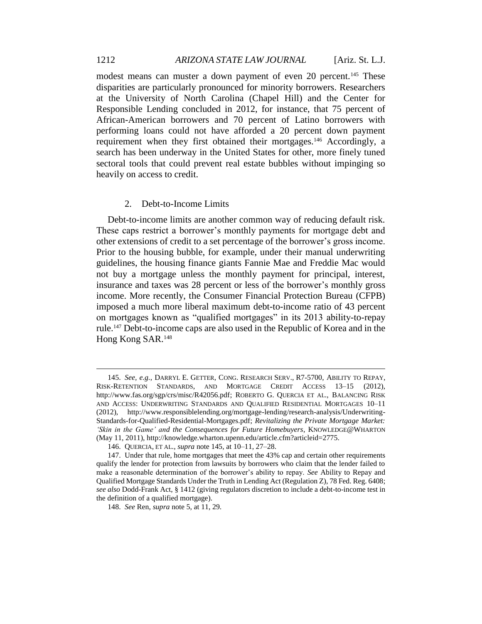modest means can muster a down payment of even 20 percent.<sup>145</sup> These disparities are particularly pronounced for minority borrowers. Researchers at the University of North Carolina (Chapel Hill) and the Center for Responsible Lending concluded in 2012, for instance, that 75 percent of African-American borrowers and 70 percent of Latino borrowers with performing loans could not have afforded a 20 percent down payment requirement when they first obtained their mortgages.<sup>146</sup> Accordingly, a search has been underway in the United States for other, more finely tuned sectoral tools that could prevent real estate bubbles without impinging so heavily on access to credit.

#### 2. Debt-to-Income Limits

Debt-to-income limits are another common way of reducing default risk. These caps restrict a borrower's monthly payments for mortgage debt and other extensions of credit to a set percentage of the borrower's gross income. Prior to the housing bubble, for example, under their manual underwriting guidelines, the housing finance giants Fannie Mae and Freddie Mac would not buy a mortgage unless the monthly payment for principal, interest, insurance and taxes was 28 percent or less of the borrower's monthly gross income. More recently, the Consumer Financial Protection Bureau (CFPB) imposed a much more liberal maximum debt-to-income ratio of 43 percent on mortgages known as "qualified mortgages" in its 2013 ability-to-repay rule.<sup>147</sup> Debt-to-income caps are also used in the Republic of Korea and in the Hong Kong SAR.<sup>148</sup>

<sup>145.</sup> *See, e.g.*, DARRYL E. GETTER, CONG. RESEARCH SERV., R7-5700, ABILITY TO REPAY, RISK-RETENTION STANDARDS, AND MORTGAGE CREDIT ACCESS 13–15 (2012), http://www.fas.org/sgp/crs/misc/R42056.pdf; ROBERTO G. QUERCIA ET AL., BALANCING RISK AND ACCESS: UNDERWRITING STANDARDS AND QUALIFIED RESIDENTIAL MORTGAGES 10–11 (2012), http://www.responsiblelending.org/mortgage-lending/research-analysis/Underwriting-Standards-for-Qualified-Residential-Mortgages.pdf; *Revitalizing the Private Mortgage Market: 'Skin in the Game' and the Consequences for Future Homebuyers*, KNOWLEDGE@WHARTON (May 11, 2011), http://knowledge.wharton.upenn.edu/article.cfm?articleid=2775.

<sup>146.</sup> QUERCIA, ET AL., *supra* note 145, at 10–11, 27–28.

<sup>147.</sup> Under that rule, home mortgages that meet the 43% cap and certain other requirements qualify the lender for protection from lawsuits by borrowers who claim that the lender failed to make a reasonable determination of the borrower's ability to repay. *See* Ability to Repay and Qualified Mortgage Standards Under the Truth in Lending Act (Regulation Z), 78 Fed. Reg. 6408; *see also* Dodd-Frank Act, § 1412 (giving regulators discretion to include a debt-to-income test in the definition of a qualified mortgage).

<sup>148.</sup> *See* Ren, *supra* note 5, at 11, 29.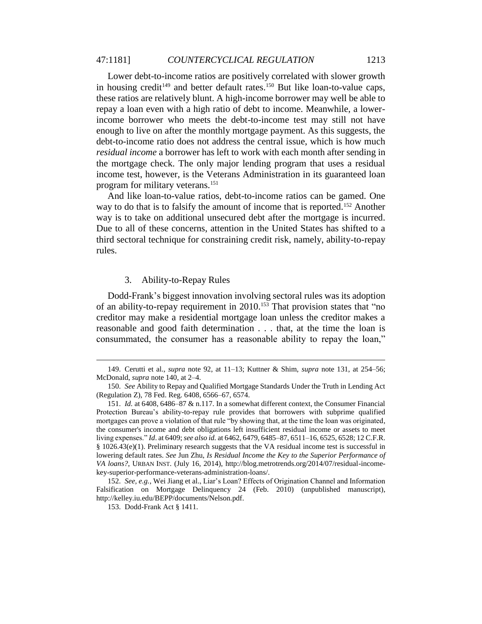Lower debt-to-income ratios are positively correlated with slower growth in housing credit<sup>149</sup> and better default rates.<sup>150</sup> But like loan-to-value caps, these ratios are relatively blunt. A high-income borrower may well be able to repay a loan even with a high ratio of debt to income. Meanwhile, a lowerincome borrower who meets the debt-to-income test may still not have enough to live on after the monthly mortgage payment. As this suggests, the debt-to-income ratio does not address the central issue, which is how much *residual income* a borrower has left to work with each month after sending in the mortgage check. The only major lending program that uses a residual income test, however, is the Veterans Administration in its guaranteed loan program for military veterans.<sup>151</sup>

And like loan-to-value ratios, debt-to-income ratios can be gamed. One way to do that is to falsify the amount of income that is reported.<sup>152</sup> Another way is to take on additional unsecured debt after the mortgage is incurred. Due to all of these concerns, attention in the United States has shifted to a third sectoral technique for constraining credit risk, namely, ability-to-repay rules.

#### 3. Ability-to-Repay Rules

Dodd-Frank's biggest innovation involving sectoral rules was its adoption of an ability-to-repay requirement in 2010.<sup>153</sup> That provision states that "no creditor may make a residential mortgage loan unless the creditor makes a reasonable and good faith determination . . . that, at the time the loan is consummated, the consumer has a reasonable ability to repay the loan,"

<sup>149.</sup> Cerutti et al., *supra* note 92, at 11–13; Kuttner & Shim, *supra* note 131, at 254–56; McDonald, *supra* note 140, at 2–4.

<sup>150.</sup> *See* Ability to Repay and Qualified Mortgage Standards Under the Truth in Lending Act (Regulation Z), 78 Fed. Reg. 6408, 6566–67, 6574.

<sup>151.</sup> *Id.* at 6408, 6486–87 & n.117. In a somewhat different context, the Consumer Financial Protection Bureau's ability-to-repay rule provides that borrowers with subprime qualified mortgages can prove a violation of that rule "by showing that, at the time the loan was originated, the consumer's income and debt obligations left insufficient residual income or assets to meet living expenses." *Id*. at 6409; *see also id.* at 6462, 6479, 6485–87, 6511–16, 6525, 6528; 12 C.F.R. § 1026.43(e)(1). Preliminary research suggests that the VA residual income test is successful in lowering default rates. *See* Jun Zhu, *Is Residual Income the Key to the Superior Performance of VA loans?*, URBAN INST. (July 16, 2014), http://blog.metrotrends.org/2014/07/residual-incomekey-superior-performance-veterans-administration-loans/.

<sup>152.</sup> *See, e.g.*, Wei Jiang et al., Liar's Loan? Effects of Origination Channel and Information Falsification on Mortgage Delinquency 24 (Feb. 2010) (unpublished manuscript), http://kelley.iu.edu/BEPP/documents/Nelson.pdf.

<sup>153.</sup> Dodd-Frank Act § 1411.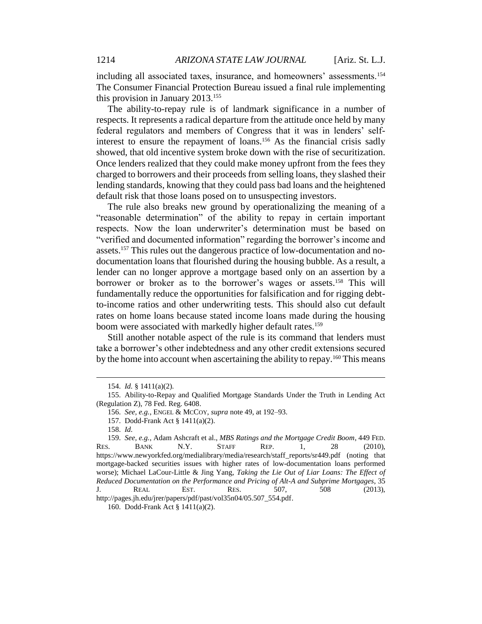including all associated taxes, insurance, and homeowners' assessments.<sup>154</sup> The Consumer Financial Protection Bureau issued a final rule implementing this provision in January 2013.<sup>155</sup>

The ability-to-repay rule is of landmark significance in a number of respects. It represents a radical departure from the attitude once held by many federal regulators and members of Congress that it was in lenders' selfinterest to ensure the repayment of loans.<sup>156</sup> As the financial crisis sadly showed, that old incentive system broke down with the rise of securitization. Once lenders realized that they could make money upfront from the fees they charged to borrowers and their proceeds from selling loans, they slashed their lending standards, knowing that they could pass bad loans and the heightened default risk that those loans posed on to unsuspecting investors.

The rule also breaks new ground by operationalizing the meaning of a "reasonable determination" of the ability to repay in certain important respects. Now the loan underwriter's determination must be based on "verified and documented information" regarding the borrower's income and assets.<sup>157</sup> This rules out the dangerous practice of low-documentation and nodocumentation loans that flourished during the housing bubble. As a result, a lender can no longer approve a mortgage based only on an assertion by a borrower or broker as to the borrower's wages or assets.<sup>158</sup> This will fundamentally reduce the opportunities for falsification and for rigging debtto-income ratios and other underwriting tests. This should also cut default rates on home loans because stated income loans made during the housing boom were associated with markedly higher default rates.<sup>159</sup>

Still another notable aspect of the rule is its command that lenders must take a borrower's other indebtedness and any other credit extensions secured by the home into account when ascertaining the ability to repay.<sup>160</sup> This means

<sup>154.</sup> *Id.* § 1411(a)(2).

<sup>155.</sup> Ability-to-Repay and Qualified Mortgage Standards Under the Truth in Lending Act (Regulation Z), 78 Fed. Reg. 6408.

<sup>156.</sup> *See, e.g.*, ENGEL & MCCOY, *supra* note 49, at 192–93.

<sup>157.</sup> Dodd-Frank Act § 1411(a)(2).

<sup>158.</sup> *Id.*

<sup>159.</sup> *See, e.g.*, Adam Ashcraft et al., *MBS Ratings and the Mortgage Credit Boom*, 449 FED. RES. BANK N.Y. STAFF REP. 1, 28 (2010), https://www.newyorkfed.org/medialibrary/media/research/staff\_reports/sr449.pdf (noting that mortgage-backed securities issues with higher rates of low-documentation loans performed worse); Michael LaCour-Little & Jing Yang, *Taking the Lie Out of Liar Loans: The Effect of Reduced Documentation on the Performance and Pricing of Alt-A and Subprime Mortgages*, 35 J. REAL EST. RES. 507, 508 (2013), http://pages.jh.edu/jrer/papers/pdf/past/vol35n04/05.507\_554.pdf.

<sup>160.</sup> Dodd-Frank Act § 1411(a)(2).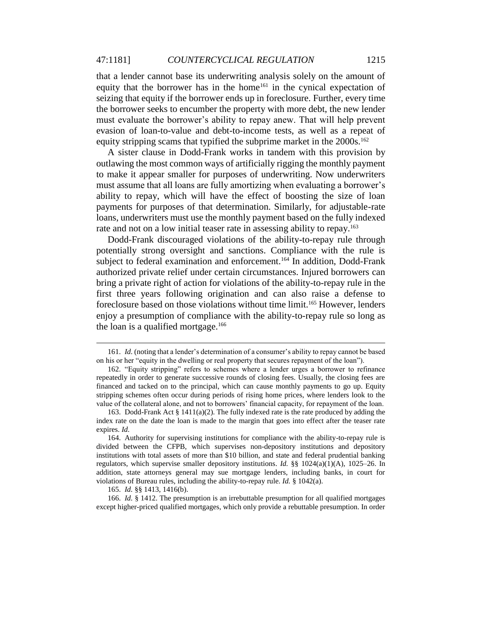#### 47:1181] *COUNTERCYCLICAL REGULATION* 1215

that a lender cannot base its underwriting analysis solely on the amount of equity that the borrower has in the home<sup>161</sup> in the cynical expectation of seizing that equity if the borrower ends up in foreclosure. Further, every time the borrower seeks to encumber the property with more debt, the new lender must evaluate the borrower's ability to repay anew. That will help prevent evasion of loan-to-value and debt-to-income tests, as well as a repeat of equity stripping scams that typified the subprime market in the 2000s.<sup>162</sup>

A sister clause in Dodd-Frank works in tandem with this provision by outlawing the most common ways of artificially rigging the monthly payment to make it appear smaller for purposes of underwriting. Now underwriters must assume that all loans are fully amortizing when evaluating a borrower's ability to repay, which will have the effect of boosting the size of loan payments for purposes of that determination. Similarly, for adjustable-rate loans, underwriters must use the monthly payment based on the fully indexed rate and not on a low initial teaser rate in assessing ability to repay.<sup>163</sup>

Dodd-Frank discouraged violations of the ability-to-repay rule through potentially strong oversight and sanctions. Compliance with the rule is subject to federal examination and enforcement.<sup>164</sup> In addition, Dodd-Frank authorized private relief under certain circumstances. Injured borrowers can bring a private right of action for violations of the ability-to-repay rule in the first three years following origination and can also raise a defense to foreclosure based on those violations without time limit.<sup>165</sup> However, lenders enjoy a presumption of compliance with the ability-to-repay rule so long as the loan is a qualified mortgage. $166$ 

<sup>161.</sup> *Id.* (noting that a lender's determination of a consumer's ability to repay cannot be based on his or her "equity in the dwelling or real property that secures repayment of the loan").

<sup>162.</sup> "Equity stripping" refers to schemes where a lender urges a borrower to refinance repeatedly in order to generate successive rounds of closing fees. Usually, the closing fees are financed and tacked on to the principal, which can cause monthly payments to go up. Equity stripping schemes often occur during periods of rising home prices, where lenders look to the value of the collateral alone, and not to borrowers' financial capacity, for repayment of the loan.

<sup>163.</sup> Dodd-Frank Act § 1411(a)(2). The fully indexed rate is the rate produced by adding the index rate on the date the loan is made to the margin that goes into effect after the teaser rate expires. *Id.*

<sup>164.</sup> Authority for supervising institutions for compliance with the ability-to-repay rule is divided between the CFPB, which supervises non-depository institutions and depository institutions with total assets of more than \$10 billion, and state and federal prudential banking regulators, which supervise smaller depository institutions. *Id.* §§ 1024(a)(1)(A), 1025–26. In addition, state attorneys general may sue mortgage lenders, including banks, in court for violations of Bureau rules, including the ability-to-repay rule. *Id.* § 1042(a).

<sup>165.</sup> *Id.* §§ 1413, 1416(b).

<sup>166.</sup> *Id.* § 1412. The presumption is an irrebuttable presumption for all qualified mortgages except higher-priced qualified mortgages, which only provide a rebuttable presumption. In order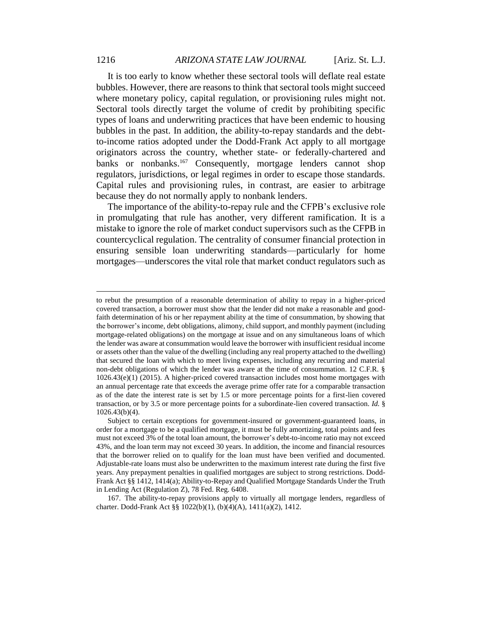It is too early to know whether these sectoral tools will deflate real estate bubbles. However, there are reasons to think that sectoral tools might succeed where monetary policy, capital regulation, or provisioning rules might not. Sectoral tools directly target the volume of credit by prohibiting specific types of loans and underwriting practices that have been endemic to housing bubbles in the past. In addition, the ability-to-repay standards and the debtto-income ratios adopted under the Dodd-Frank Act apply to all mortgage originators across the country, whether state- or federally-chartered and banks or nonbanks.<sup>167</sup> Consequently, mortgage lenders cannot shop regulators, jurisdictions, or legal regimes in order to escape those standards. Capital rules and provisioning rules, in contrast, are easier to arbitrage because they do not normally apply to nonbank lenders.

The importance of the ability-to-repay rule and the CFPB's exclusive role in promulgating that rule has another, very different ramification. It is a mistake to ignore the role of market conduct supervisors such as the CFPB in countercyclical regulation. The centrality of consumer financial protection in ensuring sensible loan underwriting standards—particularly for home mortgages—underscores the vital role that market conduct regulators such as

167. The ability-to-repay provisions apply to virtually all mortgage lenders, regardless of charter. Dodd-Frank Act §§ 1022(b)(1), (b)(4)(A), 1411(a)(2), 1412.

to rebut the presumption of a reasonable determination of ability to repay in a higher-priced covered transaction, a borrower must show that the lender did not make a reasonable and goodfaith determination of his or her repayment ability at the time of consummation, by showing that the borrower's income, debt obligations, alimony, child support, and monthly payment (including mortgage-related obligations) on the mortgage at issue and on any simultaneous loans of which the lender was aware at consummation would leave the borrower with insufficient residual income or assets other than the value of the dwelling (including any real property attached to the dwelling) that secured the loan with which to meet living expenses, including any recurring and material non-debt obligations of which the lender was aware at the time of consummation. 12 C.F.R. § 1026.43(e)(1) (2015). A higher-priced covered transaction includes most home mortgages with an annual percentage rate that exceeds the average prime offer rate for a comparable transaction as of the date the interest rate is set by 1.5 or more percentage points for a first-lien covered transaction, or by 3.5 or more percentage points for a subordinate-lien covered transaction. *Id.* § 1026.43(b)(4).

Subject to certain exceptions for government-insured or government-guaranteed loans, in order for a mortgage to be a qualified mortgage, it must be fully amortizing, total points and fees must not exceed 3% of the total loan amount, the borrower's debt-to-income ratio may not exceed 43%, and the loan term may not exceed 30 years. In addition, the income and financial resources that the borrower relied on to qualify for the loan must have been verified and documented. Adjustable-rate loans must also be underwritten to the maximum interest rate during the first five years. Any prepayment penalties in qualified mortgages are subject to strong restrictions. Dodd-Frank Act §§ 1412, 1414(a); Ability-to-Repay and Qualified Mortgage Standards Under the Truth in Lending Act (Regulation Z), 78 Fed. Reg. 6408.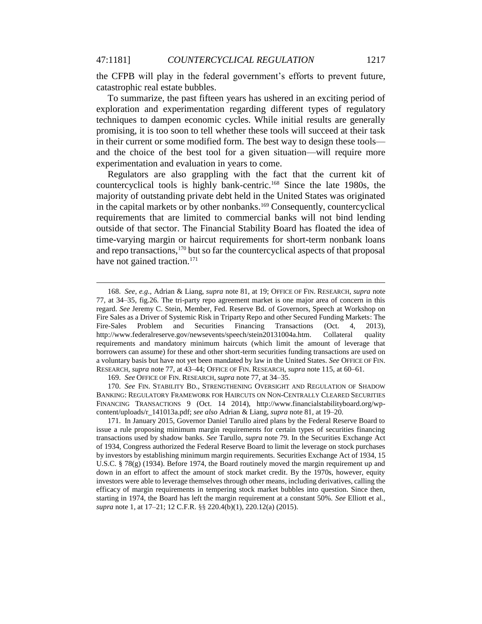the CFPB will play in the federal government's efforts to prevent future, catastrophic real estate bubbles.

To summarize, the past fifteen years has ushered in an exciting period of exploration and experimentation regarding different types of regulatory techniques to dampen economic cycles. While initial results are generally promising, it is too soon to tell whether these tools will succeed at their task in their current or some modified form. The best way to design these tools and the choice of the best tool for a given situation—will require more experimentation and evaluation in years to come.

Regulators are also grappling with the fact that the current kit of countercyclical tools is highly bank-centric.<sup>168</sup> Since the late 1980s, the majority of outstanding private debt held in the United States was originated in the capital markets or by other nonbanks.<sup>169</sup> Consequently, countercyclical requirements that are limited to commercial banks will not bind lending outside of that sector. The Financial Stability Board has floated the idea of time-varying margin or haircut requirements for short-term nonbank loans and repo transactions,<sup>170</sup> but so far the countercyclical aspects of that proposal have not gained traction.<sup>171</sup>

<sup>168.</sup> *See, e.g.*, Adrian & Liang, *supra* note 81, at 19; OFFICE OF FIN. RESEARCH, *supra* note 77, at 34–35, fig.26. The tri-party repo agreement market is one major area of concern in this regard. *See* Jeremy C. Stein, Member, Fed. Reserve Bd. of Governors, Speech at Workshop on Fire Sales as a Driver of Systemic Risk in Triparty Repo and other Secured Funding Markets: The Fire-Sales Problem and Securities Financing Transactions (Oct. 4, 2013), http://www.federalreserve.gov/newsevents/speech/stein20131004a.htm. Collateral quality requirements and mandatory minimum haircuts (which limit the amount of leverage that borrowers can assume) for these and other short-term securities funding transactions are used on a voluntary basis but have not yet been mandated by law in the United States. *See* OFFICE OF FIN. RESEARCH, *supra* note 77*,* at 43–44; OFFICE OF FIN. RESEARCH, *supra* note 115, at 60–61.

<sup>169.</sup> *See* OFFICE OF FIN. RESEARCH, *supra* note 77, at 34–35.

<sup>170.</sup> *See* FIN. STABILITY BD., STRENGTHENING OVERSIGHT AND REGULATION OF SHADOW BANKING: REGULATORY FRAMEWORK FOR HAIRCUTS ON NON-CENTRALLY CLEARED SECURITIES FINANCING TRANSACTIONS 9 (Oct. 14 2014), http://www.financialstabilityboard.org/wpcontent/uploads/r\_141013a.pdf; *see also* Adrian & Liang, *supra* note 81, at 19–20.

<sup>171.</sup> In January 2015, Governor Daniel Tarullo aired plans by the Federal Reserve Board to issue a rule proposing minimum margin requirements for certain types of securities financing transactions used by shadow banks. *See* Tarullo, *supra* note 79. In the Securities Exchange Act of 1934, Congress authorized the Federal Reserve Board to limit the leverage on stock purchases by investors by establishing minimum margin requirements. Securities Exchange Act of 1934, 15 U.S.C.  $\S$  78(g) (1934). Before 1974, the Board routinely moved the margin requirement up and down in an effort to affect the amount of stock market credit. By the 1970s, however, equity investors were able to leverage themselves through other means, including derivatives, calling the efficacy of margin requirements in tempering stock market bubbles into question. Since then, starting in 1974, the Board has left the margin requirement at a constant 50%. *See* Elliott et al., *supra* note 1, at 17–21; 12 C.F.R. §§ 220.4(b)(1), 220.12(a) (2015).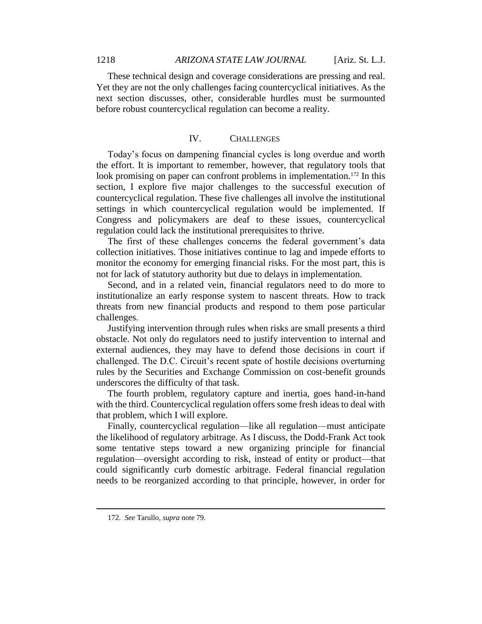These technical design and coverage considerations are pressing and real. Yet they are not the only challenges facing countercyclical initiatives. As the next section discusses, other, considerable hurdles must be surmounted before robust countercyclical regulation can become a reality.

## IV. CHALLENGES

Today's focus on dampening financial cycles is long overdue and worth the effort. It is important to remember, however, that regulatory tools that look promising on paper can confront problems in implementation.<sup>172</sup> In this section, I explore five major challenges to the successful execution of countercyclical regulation. These five challenges all involve the institutional settings in which countercyclical regulation would be implemented. If Congress and policymakers are deaf to these issues, countercyclical regulation could lack the institutional prerequisites to thrive.

The first of these challenges concerns the federal government's data collection initiatives. Those initiatives continue to lag and impede efforts to monitor the economy for emerging financial risks. For the most part, this is not for lack of statutory authority but due to delays in implementation.

Second, and in a related vein, financial regulators need to do more to institutionalize an early response system to nascent threats. How to track threats from new financial products and respond to them pose particular challenges.

Justifying intervention through rules when risks are small presents a third obstacle. Not only do regulators need to justify intervention to internal and external audiences, they may have to defend those decisions in court if challenged. The D.C. Circuit's recent spate of hostile decisions overturning rules by the Securities and Exchange Commission on cost-benefit grounds underscores the difficulty of that task.

The fourth problem, regulatory capture and inertia, goes hand-in-hand with the third. Countercyclical regulation offers some fresh ideas to deal with that problem, which I will explore.

Finally, countercyclical regulation—like all regulation—must anticipate the likelihood of regulatory arbitrage. As I discuss, the Dodd-Frank Act took some tentative steps toward a new organizing principle for financial regulation—oversight according to risk, instead of entity or product—that could significantly curb domestic arbitrage. Federal financial regulation needs to be reorganized according to that principle, however, in order for

<sup>172.</sup> *See* Tarullo, *supra* note 79.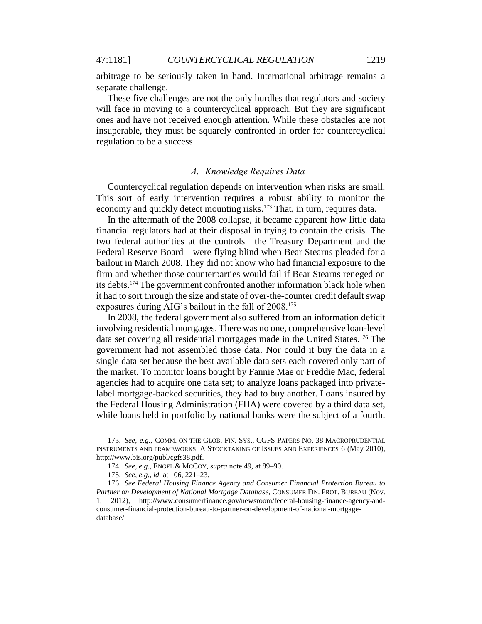arbitrage to be seriously taken in hand. International arbitrage remains a separate challenge.

These five challenges are not the only hurdles that regulators and society will face in moving to a countercyclical approach. But they are significant ones and have not received enough attention. While these obstacles are not insuperable, they must be squarely confronted in order for countercyclical regulation to be a success.

#### *A. Knowledge Requires Data*

Countercyclical regulation depends on intervention when risks are small. This sort of early intervention requires a robust ability to monitor the economy and quickly detect mounting risks.<sup>173</sup> That, in turn, requires data.

In the aftermath of the 2008 collapse, it became apparent how little data financial regulators had at their disposal in trying to contain the crisis. The two federal authorities at the controls—the Treasury Department and the Federal Reserve Board—were flying blind when Bear Stearns pleaded for a bailout in March 2008. They did not know who had financial exposure to the firm and whether those counterparties would fail if Bear Stearns reneged on its debts.<sup>174</sup> The government confronted another information black hole when it had to sort through the size and state of over-the-counter credit default swap exposures during AIG's bailout in the fall of 2008.<sup>175</sup>

In 2008, the federal government also suffered from an information deficit involving residential mortgages. There was no one, comprehensive loan-level data set covering all residential mortgages made in the United States.<sup>176</sup> The government had not assembled those data. Nor could it buy the data in a single data set because the best available data sets each covered only part of the market. To monitor loans bought by Fannie Mae or Freddie Mac, federal agencies had to acquire one data set; to analyze loans packaged into privatelabel mortgage-backed securities, they had to buy another. Loans insured by the Federal Housing Administration (FHA) were covered by a third data set, while loans held in portfolio by national banks were the subject of a fourth.

<sup>173.</sup> *See, e.g.*, COMM. ON THE GLOB. FIN. SYS., CGFS PAPERS NO. 38 MACROPRUDENTIAL INSTRUMENTS AND FRAMEWORKS: A STOCKTAKING OF ISSUES AND EXPERIENCES 6 (May 2010), http://www.bis.org/publ/cgfs38.pdf.

<sup>174.</sup> *See, e.g.*, ENGEL & MCCOY, *supra* note 49, at 89–90.

<sup>175.</sup> *See, e.g.*, *id.* at 106, 221–23.

<sup>176.</sup> *See Federal Housing Finance Agency and Consumer Financial Protection Bureau to Partner on Development of National Mortgage Database*, CONSUMER FIN. PROT. BUREAU (Nov. 1, 2012), http://www.consumerfinance.gov/newsroom/federal-housing-finance-agency-andconsumer-financial-protection-bureau-to-partner-on-development-of-national-mortgagedatabase/.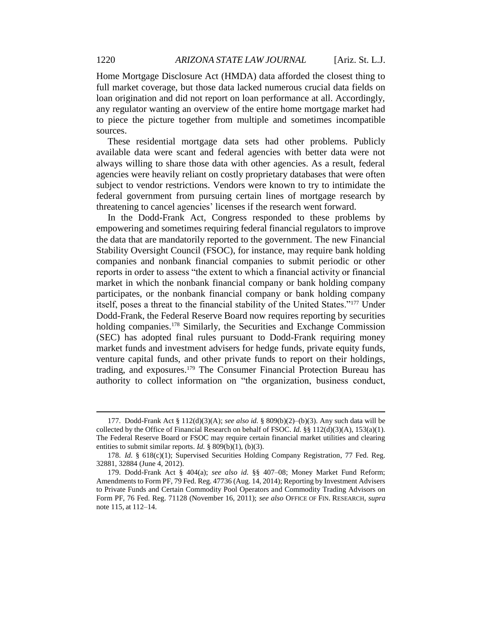Home Mortgage Disclosure Act (HMDA) data afforded the closest thing to full market coverage, but those data lacked numerous crucial data fields on loan origination and did not report on loan performance at all. Accordingly, any regulator wanting an overview of the entire home mortgage market had to piece the picture together from multiple and sometimes incompatible sources.

These residential mortgage data sets had other problems. Publicly available data were scant and federal agencies with better data were not always willing to share those data with other agencies. As a result, federal agencies were heavily reliant on costly proprietary databases that were often subject to vendor restrictions. Vendors were known to try to intimidate the federal government from pursuing certain lines of mortgage research by threatening to cancel agencies' licenses if the research went forward.

In the Dodd-Frank Act, Congress responded to these problems by empowering and sometimes requiring federal financial regulators to improve the data that are mandatorily reported to the government. The new Financial Stability Oversight Council (FSOC), for instance, may require bank holding companies and nonbank financial companies to submit periodic or other reports in order to assess "the extent to which a financial activity or financial market in which the nonbank financial company or bank holding company participates, or the nonbank financial company or bank holding company itself, poses a threat to the financial stability of the United States."<sup>177</sup> Under Dodd-Frank, the Federal Reserve Board now requires reporting by securities holding companies.<sup>178</sup> Similarly, the Securities and Exchange Commission (SEC) has adopted final rules pursuant to Dodd-Frank requiring money market funds and investment advisers for hedge funds, private equity funds, venture capital funds, and other private funds to report on their holdings, trading, and exposures.<sup>179</sup> The Consumer Financial Protection Bureau has authority to collect information on "the organization, business conduct,

<sup>177.</sup> Dodd-Frank Act § 112(d)(3)(A); *see also id.* § 809(b)(2)–(b)(3). Any such data will be collected by the Office of Financial Research on behalf of FSOC. *Id.* §§ 112(d)(3)(A), 153(a)(1). The Federal Reserve Board or FSOC may require certain financial market utilities and clearing entities to submit similar reports. *Id.* § 809(b)(1), (b)(3).

<sup>178.</sup> *Id.* § 618(c)(1); Supervised Securities Holding Company Registration, 77 Fed. Reg. 32881, 32884 (June 4, 2012).

<sup>179.</sup> Dodd-Frank Act § 404(a); *see also id.* §§ 407–08; Money Market Fund Reform; Amendments to Form PF, 79 Fed. Reg. 47736 (Aug. 14, 2014); Reporting by Investment Advisers to Private Funds and Certain Commodity Pool Operators and Commodity Trading Advisors on Form PF, 76 Fed. Reg. 71128 (November 16, 2011); *see also* OFFICE OF FIN. RESEARCH, *supra* note 115, at 112–14.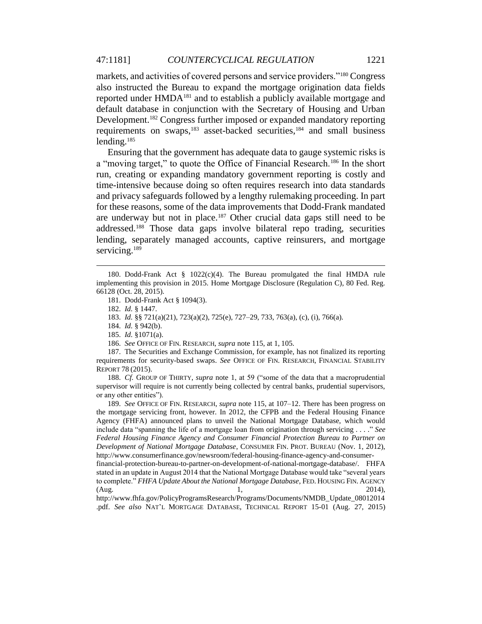markets, and activities of covered persons and service providers."<sup>180</sup> Congress also instructed the Bureau to expand the mortgage origination data fields reported under HMDA<sup>181</sup> and to establish a publicly available mortgage and default database in conjunction with the Secretary of Housing and Urban Development.<sup>182</sup> Congress further imposed or expanded mandatory reporting requirements on swaps,<sup>183</sup> asset-backed securities,<sup>184</sup> and small business lending.<sup>185</sup>

Ensuring that the government has adequate data to gauge systemic risks is a "moving target," to quote the Office of Financial Research.<sup>186</sup> In the short run, creating or expanding mandatory government reporting is costly and time-intensive because doing so often requires research into data standards and privacy safeguards followed by a lengthy rulemaking proceeding. In part for these reasons, some of the data improvements that Dodd-Frank mandated are underway but not in place.<sup>187</sup> Other crucial data gaps still need to be addressed.<sup>188</sup> Those data gaps involve bilateral repo trading, securities lending, separately managed accounts, captive reinsurers, and mortgage servicing.<sup>189</sup>

 $\overline{a}$ 

188. *Cf.* GROUP OF THIRTY, *supra* note 1, at 59 ("some of the data that a macroprudential supervisor will require is not currently being collected by central banks, prudential supervisors, or any other entities").

189. *See* OFFICE OF FIN. RESEARCH, *supra* note 115, at 107–12. There has been progress on the mortgage servicing front, however. In 2012, the CFPB and the Federal Housing Finance Agency (FHFA) announced plans to unveil the National Mortgage Database, which would include data "spanning the life of a mortgage loan from origination through servicing . . . ." *See Federal Housing Finance Agency and Consumer Financial Protection Bureau to Partner on Development of National Mortgage Database*, CONSUMER FIN. PROT. BUREAU (Nov. 1, 2012), http://www.consumerfinance.gov/newsroom/federal-housing-finance-agency-and-consumer-

financial-protection-bureau-to-partner-on-development-of-national-mortgage-database/. FHFA stated in an update in August 2014 that the National Mortgage Database would take "several years to complete." *FHFA Update About the National Mortgage Database*, FED. HOUSING FIN. AGENCY (Aug. 2014), 2014), 2014

http://www.fhfa.gov/PolicyProgramsResearch/Programs/Documents/NMDB\_Update\_08012014 .pdf. *See also* NAT'L MORTGAGE DATABASE, TECHNICAL REPORT 15-01 (Aug. 27, 2015)

<sup>180.</sup> Dodd-Frank Act  $\S$  1022(c)(4). The Bureau promulgated the final HMDA rule implementing this provision in 2015. Home Mortgage Disclosure (Regulation C), 80 Fed. Reg. 66128 (Oct. 28, 2015).

<sup>181.</sup> Dodd-Frank Act § 1094(3).

<sup>182.</sup> *Id.* § 1447.

<sup>183.</sup> *Id.* §§ 721(a)(21), 723(a)(2), 725(e), 727–29, 733, 763(a), (c), (i), 766(a).

<sup>184.</sup> *Id.* § 942(b).

<sup>185.</sup> *Id.* §1071(a).

<sup>186.</sup> *See* OFFICE OF FIN. RESEARCH, *supra* note 115, at 1, 105.

<sup>187.</sup> The Securities and Exchange Commission, for example, has not finalized its reporting requirements for security-based swaps. *See* OFFICE OF FIN. RESEARCH, FINANCIAL STABILITY REPORT 78 (2015).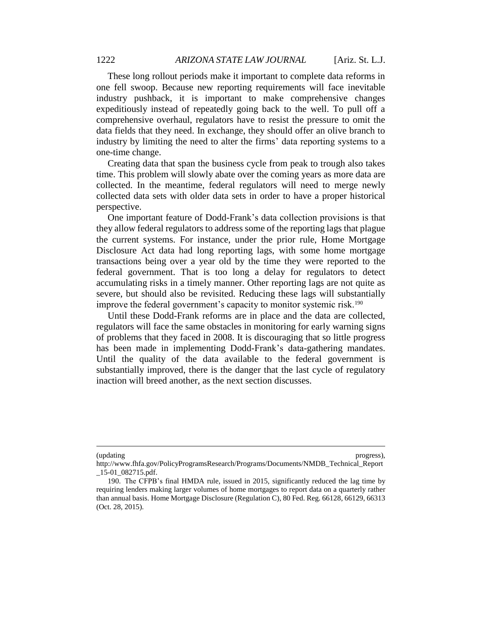These long rollout periods make it important to complete data reforms in one fell swoop. Because new reporting requirements will face inevitable industry pushback, it is important to make comprehensive changes expeditiously instead of repeatedly going back to the well. To pull off a comprehensive overhaul, regulators have to resist the pressure to omit the data fields that they need. In exchange, they should offer an olive branch to industry by limiting the need to alter the firms' data reporting systems to a one-time change.

Creating data that span the business cycle from peak to trough also takes time. This problem will slowly abate over the coming years as more data are collected. In the meantime, federal regulators will need to merge newly collected data sets with older data sets in order to have a proper historical perspective.

One important feature of Dodd-Frank's data collection provisions is that they allow federal regulators to address some of the reporting lags that plague the current systems. For instance, under the prior rule, Home Mortgage Disclosure Act data had long reporting lags, with some home mortgage transactions being over a year old by the time they were reported to the federal government. That is too long a delay for regulators to detect accumulating risks in a timely manner. Other reporting lags are not quite as severe, but should also be revisited. Reducing these lags will substantially improve the federal government's capacity to monitor systemic risk.<sup>190</sup>

Until these Dodd-Frank reforms are in place and the data are collected, regulators will face the same obstacles in monitoring for early warning signs of problems that they faced in 2008. It is discouraging that so little progress has been made in implementing Dodd-Frank's data-gathering mandates. Until the quality of the data available to the federal government is substantially improved, there is the danger that the last cycle of regulatory inaction will breed another, as the next section discusses.

<sup>(</sup>updating progress),

http://www.fhfa.gov/PolicyProgramsResearch/Programs/Documents/NMDB\_Technical\_Report \_15-01\_082715.pdf.

<sup>190.</sup> The CFPB's final HMDA rule, issued in 2015, significantly reduced the lag time by requiring lenders making larger volumes of home mortgages to report data on a quarterly rather than annual basis. Home Mortgage Disclosure (Regulation C), 80 Fed. Reg. 66128, 66129, 66313 (Oct. 28, 2015).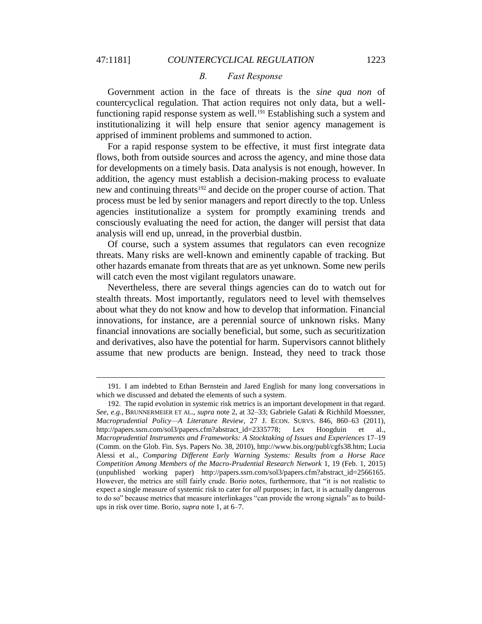$\overline{a}$ 

#### *B. Fast Response*

Government action in the face of threats is the *sine qua non* of countercyclical regulation. That action requires not only data, but a wellfunctioning rapid response system as well.<sup>191</sup> Establishing such a system and institutionalizing it will help ensure that senior agency management is apprised of imminent problems and summoned to action.

For a rapid response system to be effective, it must first integrate data flows, both from outside sources and across the agency, and mine those data for developments on a timely basis. Data analysis is not enough, however. In addition, the agency must establish a decision-making process to evaluate new and continuing threats<sup>192</sup> and decide on the proper course of action. That process must be led by senior managers and report directly to the top. Unless agencies institutionalize a system for promptly examining trends and consciously evaluating the need for action, the danger will persist that data analysis will end up, unread, in the proverbial dustbin.

Of course, such a system assumes that regulators can even recognize threats. Many risks are well-known and eminently capable of tracking. But other hazards emanate from threats that are as yet unknown. Some new perils will catch even the most vigilant regulators unaware.

Nevertheless, there are several things agencies can do to watch out for stealth threats. Most importantly, regulators need to level with themselves about what they do not know and how to develop that information. Financial innovations, for instance, are a perennial source of unknown risks. Many financial innovations are socially beneficial, but some, such as securitization and derivatives, also have the potential for harm. Supervisors cannot blithely assume that new products are benign. Instead, they need to track those

<sup>191.</sup> I am indebted to Ethan Bernstein and Jared English for many long conversations in which we discussed and debated the elements of such a system.

<sup>192.</sup> The rapid evolution in systemic risk metrics is an important development in that regard. *See, e.g.*, BRUNNERMEIER ET AL., *supra* note 2, at 32–33; Gabriele Galati & Richhild Moessner, *Macroprudential Policy—A Literature Review*, 27 J. ECON. SURVS. 846, 860–63 (2011), http://papers.ssrn.com/sol3/papers.cfm?abstract\_id=2335778; Lex Hoogduin et al., *Macroprudential Instruments and Frameworks: A Stocktaking of Issues and Experiences* 17–19 (Comm. on the Glob. Fin. Sys. Papers No. 38, 2010), http://www.bis.org/publ/cgfs38.htm; Lucia Alessi et al., *Comparing Different Early Warning Systems: Results from a Horse Race Competition Among Members of the Macro-Prudential Research Network* 1, 19 (Feb. 1, 2015) (unpublished working paper) http://papers.ssrn.com/sol3/papers.cfm?abstract\_id=2566165. However, the metrics are still fairly crude. Borio notes, furthermore, that "it is not realistic to expect a single measure of systemic risk to cater for *all* purposes; in fact, it is actually dangerous to do so" because metrics that measure interlinkages "can provide the wrong signals" as to buildups in risk over time. Borio, *supra* note 1, at 6–7.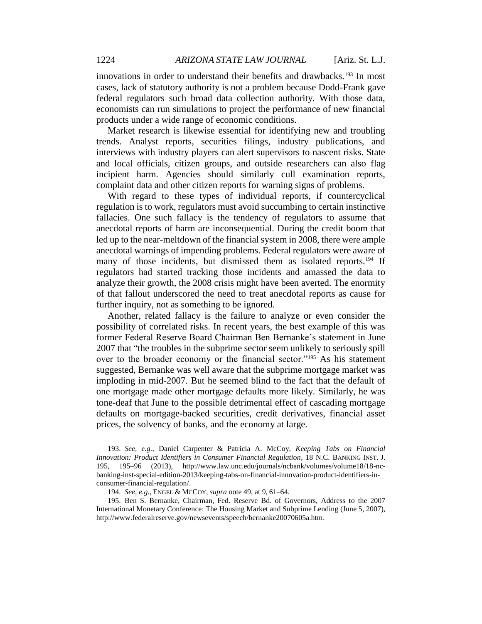innovations in order to understand their benefits and drawbacks.<sup>193</sup> In most cases, lack of statutory authority is not a problem because Dodd-Frank gave federal regulators such broad data collection authority. With those data, economists can run simulations to project the performance of new financial products under a wide range of economic conditions.

Market research is likewise essential for identifying new and troubling trends. Analyst reports, securities filings, industry publications, and interviews with industry players can alert supervisors to nascent risks. State and local officials, citizen groups, and outside researchers can also flag incipient harm. Agencies should similarly cull examination reports, complaint data and other citizen reports for warning signs of problems.

With regard to these types of individual reports, if countercyclical regulation is to work, regulators must avoid succumbing to certain instinctive fallacies. One such fallacy is the tendency of regulators to assume that anecdotal reports of harm are inconsequential. During the credit boom that led up to the near-meltdown of the financial system in 2008, there were ample anecdotal warnings of impending problems. Federal regulators were aware of many of those incidents, but dismissed them as isolated reports.<sup>194</sup> If regulators had started tracking those incidents and amassed the data to analyze their growth, the 2008 crisis might have been averted. The enormity of that fallout underscored the need to treat anecdotal reports as cause for further inquiry, not as something to be ignored.

Another, related fallacy is the failure to analyze or even consider the possibility of correlated risks. In recent years, the best example of this was former Federal Reserve Board Chairman Ben Bernanke's statement in June 2007 that "the troubles in the subprime sector seem unlikely to seriously spill over to the broader economy or the financial sector."<sup>195</sup> As his statement suggested, Bernanke was well aware that the subprime mortgage market was imploding in mid-2007. But he seemed blind to the fact that the default of one mortgage made other mortgage defaults more likely. Similarly, he was tone-deaf that June to the possible detrimental effect of cascading mortgage defaults on mortgage-backed securities, credit derivatives, financial asset prices, the solvency of banks, and the economy at large.

<sup>193.</sup> *See, e.g.*, Daniel Carpenter & Patricia A. McCoy, *Keeping Tabs on Financial Innovation: Product Identifiers in Consumer Financial Regulation*, 18 N.C. BANKING INST. J. 195, 195–96 (2013), http://www.law.unc.edu/journals/ncbank/volumes/volume18/18-ncbanking-inst-special-edition-2013/keeping-tabs-on-financial-innovation-product-identifiers-inconsumer-financial-regulation/.

<sup>194.</sup> *See, e.g.*, ENGEL & MCCOY, *supra* note 49, at 9, 61–64.

<sup>195.</sup> Ben S. Bernanke, Chairman, Fed. Reserve Bd. of Governors, Address to the 2007 International Monetary Conference: The Housing Market and Subprime Lending (June 5, 2007), http://www.federalreserve.gov/newsevents/speech/bernanke20070605a.htm.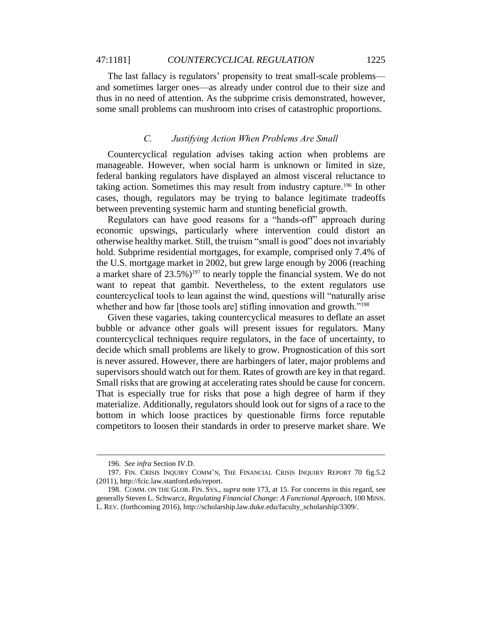#### 47:1181] *COUNTERCYCLICAL REGULATION* 1225

The last fallacy is regulators' propensity to treat small-scale problems and sometimes larger ones—as already under control due to their size and thus in no need of attention. As the subprime crisis demonstrated, however, some small problems can mushroom into crises of catastrophic proportions.

## *C. Justifying Action When Problems Are Small*

Countercyclical regulation advises taking action when problems are manageable. However, when social harm is unknown or limited in size, federal banking regulators have displayed an almost visceral reluctance to taking action. Sometimes this may result from industry capture.<sup>196</sup> In other cases, though, regulators may be trying to balance legitimate tradeoffs between preventing systemic harm and stunting beneficial growth.

Regulators can have good reasons for a "hands-off" approach during economic upswings, particularly where intervention could distort an otherwise healthy market. Still, the truism "small is good" does not invariably hold. Subprime residential mortgages, for example, comprised only 7.4% of the U.S. mortgage market in 2002, but grew large enough by 2006 (reaching a market share of  $23.5\%$ )<sup>197</sup> to nearly topple the financial system. We do not want to repeat that gambit. Nevertheless, to the extent regulators use countercyclical tools to lean against the wind, questions will "naturally arise whether and how far [those tools are] stifling innovation and growth."<sup>198</sup>

Given these vagaries, taking countercyclical measures to deflate an asset bubble or advance other goals will present issues for regulators. Many countercyclical techniques require regulators, in the face of uncertainty, to decide which small problems are likely to grow. Prognostication of this sort is never assured. However, there are harbingers of later, major problems and supervisors should watch out for them. Rates of growth are key in that regard. Small risks that are growing at accelerating rates should be cause for concern. That is especially true for risks that pose a high degree of harm if they materialize. Additionally, regulators should look out for signs of a race to the bottom in which loose practices by questionable firms force reputable competitors to loosen their standards in order to preserve market share. We

<sup>196.</sup> *See infra* Section IV.D.

<sup>197.</sup> FIN. CRISIS INQUIRY COMM'N, THE FINANCIAL CRISIS INQUIRY REPORT 70 fig.5.2 (2011), http://fcic.law.stanford.edu/report.

<sup>198.</sup> COMM. ON THE GLOB. FIN. SYS., *supra* note 173, at 15. For concerns in this regard, see generally Steven L. Schwarcz, *Regulating Financial Change: A Functional Approach*, 100 MINN. L. REV. (forthcoming 2016), http://scholarship.law.duke.edu/faculty\_scholarship/3309/.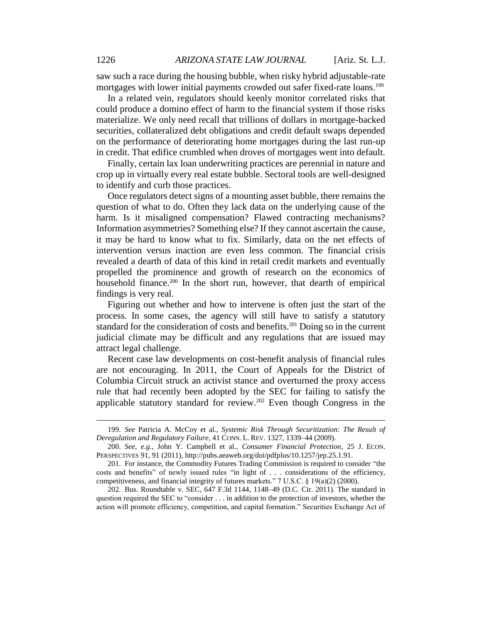saw such a race during the housing bubble, when risky hybrid adjustable-rate mortgages with lower initial payments crowded out safer fixed-rate loans.<sup>199</sup>

In a related vein, regulators should keenly monitor correlated risks that could produce a domino effect of harm to the financial system if those risks materialize. We only need recall that trillions of dollars in mortgage-backed securities, collateralized debt obligations and credit default swaps depended on the performance of deteriorating home mortgages during the last run-up in credit. That edifice crumbled when droves of mortgages went into default.

Finally, certain lax loan underwriting practices are perennial in nature and crop up in virtually every real estate bubble. Sectoral tools are well-designed to identify and curb those practices.

Once regulators detect signs of a mounting asset bubble, there remains the question of what to do. Often they lack data on the underlying cause of the harm. Is it misaligned compensation? Flawed contracting mechanisms? Information asymmetries? Something else? If they cannot ascertain the cause, it may be hard to know what to fix. Similarly, data on the net effects of intervention versus inaction are even less common. The financial crisis revealed a dearth of data of this kind in retail credit markets and eventually propelled the prominence and growth of research on the economics of household finance.<sup>200</sup> In the short run, however, that dearth of empirical findings is very real.

Figuring out whether and how to intervene is often just the start of the process. In some cases, the agency will still have to satisfy a statutory standard for the consideration of costs and benefits.<sup>201</sup> Doing so in the current judicial climate may be difficult and any regulations that are issued may attract legal challenge.

Recent case law developments on cost-benefit analysis of financial rules are not encouraging. In 2011, the Court of Appeals for the District of Columbia Circuit struck an activist stance and overturned the proxy access rule that had recently been adopted by the SEC for failing to satisfy the applicable statutory standard for review.<sup>202</sup> Even though Congress in the

<sup>199.</sup> *See* Patricia A. McCoy et al., *Systemic Risk Through Securitization: The Result of Deregulation and Regulatory Failure*, 41 CONN. L. REV. 1327, 1339–44 (2009).

<sup>200.</sup> *See, e.g.*, John Y. Campbell et al., *Consumer Financial Protection*, 25 J. ECON. PERSPECTIVES 91, 91 (2011), http://pubs.aeaweb.org/doi/pdfplus/10.1257/jep.25.1.91.

<sup>201.</sup> For instance, the Commodity Futures Trading Commission is required to consider "the costs and benefits" of newly issued rules "in light of . . . considerations of the efficiency, competitiveness, and financial integrity of futures markets." 7 U.S.C. § 19(a)(2) (2000).

<sup>202.</sup> Bus. Roundtable v. SEC, 647 F.3d 1144, 1148–49 (D.C. Cir. 2011). The standard in question required the SEC to "consider . . . in addition to the protection of investors, whether the action will promote efficiency, competition, and capital formation." Securities Exchange Act of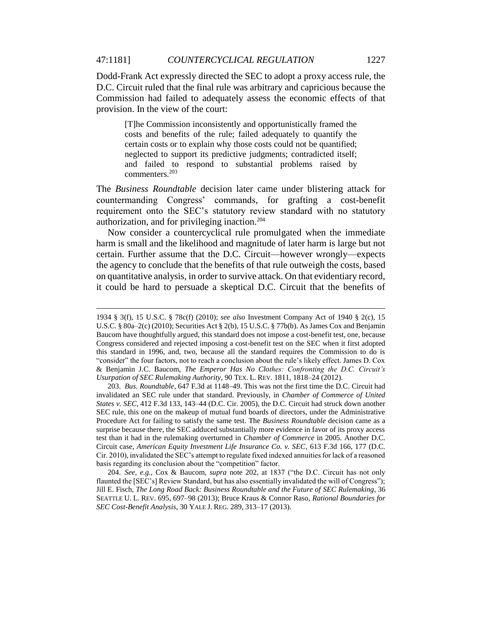Dodd-Frank Act expressly directed the SEC to adopt a proxy access rule, the D.C. Circuit ruled that the final rule was arbitrary and capricious because the Commission had failed to adequately assess the economic effects of that provision. In the view of the court:

[T]he Commission inconsistently and opportunistically framed the costs and benefits of the rule; failed adequately to quantify the certain costs or to explain why those costs could not be quantified; neglected to support its predictive judgments; contradicted itself; and failed to respond to substantial problems raised by commenters*.* 203

The *Business Roundtable* decision later came under blistering attack for countermanding Congress' commands, for grafting a cost-benefit requirement onto the SEC's statutory review standard with no statutory authorization, and for privileging inaction.<sup>204</sup>

Now consider a countercyclical rule promulgated when the immediate harm is small and the likelihood and magnitude of later harm is large but not certain. Further assume that the D.C. Circuit—however wrongly—expects the agency to conclude that the benefits of that rule outweigh the costs, based on quantitative analysis, in order to survive attack. On that evidentiary record, it could be hard to persuade a skeptical D.C. Circuit that the benefits of

 $\overline{a}$ 

204. *See, e.g.*, Cox & Baucom, *supra* note 202, at 1837 ("the D.C. Circuit has not only flaunted the [SEC's] Review Standard, but has also essentially invalidated the will of Congress"); Jill E. Fisch, *The Long Road Back: Business Roundtable and the Future of SEC Rulemaking*, 36 SEATTLE U. L. REV. 695, 697–98 (2013); Bruce Kraus & Connor Raso, *Rational Boundaries for SEC Cost-Benefit Analysis*, 30 YALE J. REG. 289, 313–17 (2013).

<sup>1934 § 3(</sup>f), 15 U.S.C. § 78c(f) (2010); *see also* Investment Company Act of 1940 § 2(c), 15 U.S.C. § 80a–2(c) (2010); Securities Act § 2(b), 15 U.S.C. § 77b(b). As James Cox and Benjamin Baucom have thoughtfully argued, this standard does not impose a cost-benefit test, one, because Congress considered and rejected imposing a cost-benefit test on the SEC when it first adopted this standard in 1996, and, two, because all the standard requires the Commission to do is "consider" the four factors, not to reach a conclusion about the rule's likely effect. James D. Cox & Benjamin J.C. Baucom, *The Emperor Has No Clothes: Confronting the D.C. Circuit's Usurpation of SEC Rulemaking Authority*, 90 TEX. L. REV. 1811, 1818–24 (2012).

<sup>203.</sup> *Bus. Roundtable*, 647 F.3d at 1148–49. This was not the first time the D.C. Circuit had invalidated an SEC rule under that standard. Previously, in *Chamber of Commerce of United States v. SEC*, 412 F.3d 133, 143–44 (D.C. Cir. 2005), the D.C. Circuit had struck down another SEC rule, this one on the makeup of mutual fund boards of directors, under the Administrative Procedure Act for failing to satisfy the same test. The *Business Roundtable* decision came as a surprise because there, the SEC adduced substantially more evidence in favor of its proxy access test than it had in the rulemaking overturned in *Chamber of Commerce* in 2005. Another D.C. Circuit case, *American Equity Investment Life Insurance Co. v. SEC,* 613 F.3d 166, 177 (D.C. Cir. 2010), invalidated the SEC's attempt to regulate fixed indexed annuities for lack of a reasoned basis regarding its conclusion about the "competition" factor.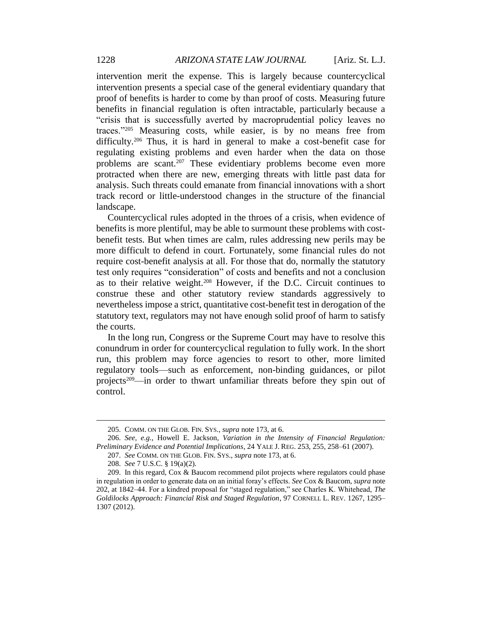intervention merit the expense. This is largely because countercyclical intervention presents a special case of the general evidentiary quandary that proof of benefits is harder to come by than proof of costs. Measuring future benefits in financial regulation is often intractable, particularly because a "crisis that is successfully averted by macroprudential policy leaves no traces."<sup>205</sup> Measuring costs, while easier, is by no means free from difficulty.<sup>206</sup> Thus, it is hard in general to make a cost-benefit case for regulating existing problems and even harder when the data on those problems are scant.<sup>207</sup> These evidentiary problems become even more protracted when there are new, emerging threats with little past data for analysis. Such threats could emanate from financial innovations with a short track record or little-understood changes in the structure of the financial landscape.

Countercyclical rules adopted in the throes of a crisis, when evidence of benefits is more plentiful, may be able to surmount these problems with costbenefit tests. But when times are calm, rules addressing new perils may be more difficult to defend in court. Fortunately, some financial rules do not require cost-benefit analysis at all. For those that do, normally the statutory test only requires "consideration" of costs and benefits and not a conclusion as to their relative weight.<sup>208</sup> However, if the D.C. Circuit continues to construe these and other statutory review standards aggressively to nevertheless impose a strict, quantitative cost-benefit test in derogation of the statutory text, regulators may not have enough solid proof of harm to satisfy the courts.

In the long run, Congress or the Supreme Court may have to resolve this conundrum in order for countercyclical regulation to fully work. In the short run, this problem may force agencies to resort to other, more limited regulatory tools—such as enforcement, non-binding guidances, or pilot projects<sup>209</sup>—in order to thwart unfamiliar threats before they spin out of control.

<sup>205.</sup> COMM. ON THE GLOB. FIN. SYS., *supra* note 173, at 6.

<sup>206.</sup> *See, e.g.*, Howell E. Jackson, *Variation in the Intensity of Financial Regulation: Preliminary Evidence and Potential Implications*, 24 YALE J. REG. 253, 255, 258–61 (2007).

<sup>207.</sup> *See* COMM. ON THE GLOB. FIN. SYS., *supra* note 173, at 6.

<sup>208.</sup> *See* 7 U.S.C. § 19(a)(2).

<sup>209.</sup> In this regard, Cox & Baucom recommend pilot projects where regulators could phase in regulation in order to generate data on an initial foray's effects. *See* Cox & Baucom, *supra* note 202, at 1842–44. For a kindred proposal for "staged regulation," see Charles K. Whitehead, *The Goldilocks Approach: Financial Risk and Staged Regulation*, 97 CORNELL L. REV. 1267, 1295– 1307 (2012).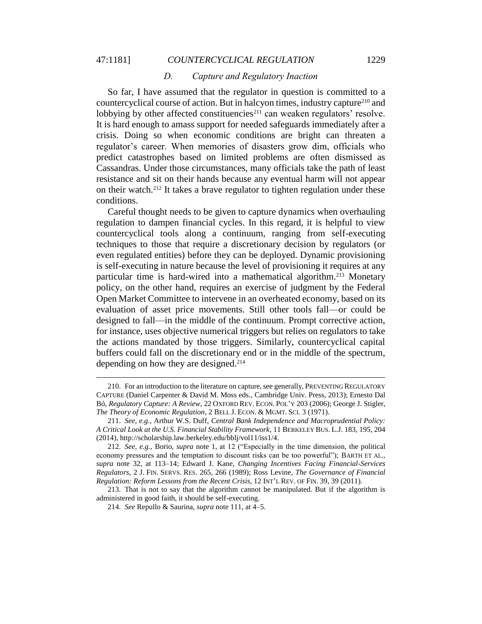$\overline{a}$ 

#### 47:1181] *COUNTERCYCLICAL REGULATION* 1229

#### *D. Capture and Regulatory Inaction*

So far, I have assumed that the regulator in question is committed to a countercyclical course of action. But in halcyon times, industry capture<sup>210</sup> and lobbying by other affected constituencies<sup> $211$ </sup> can weaken regulators' resolve. It is hard enough to amass support for needed safeguards immediately after a crisis. Doing so when economic conditions are bright can threaten a regulator's career. When memories of disasters grow dim, officials who predict catastrophes based on limited problems are often dismissed as Cassandras. Under those circumstances, many officials take the path of least resistance and sit on their hands because any eventual harm will not appear on their watch.<sup>212</sup> It takes a brave regulator to tighten regulation under these conditions.

Careful thought needs to be given to capture dynamics when overhauling regulation to dampen financial cycles. In this regard, it is helpful to view countercyclical tools along a continuum, ranging from self-executing techniques to those that require a discretionary decision by regulators (or even regulated entities) before they can be deployed. Dynamic provisioning is self-executing in nature because the level of provisioning it requires at any particular time is hard-wired into a mathematical algorithm.<sup>213</sup> Monetary policy, on the other hand, requires an exercise of judgment by the Federal Open Market Committee to intervene in an overheated economy, based on its evaluation of asset price movements. Still other tools fall—or could be designed to fall—in the middle of the continuum. Prompt corrective action, for instance, uses objective numerical triggers but relies on regulators to take the actions mandated by those triggers. Similarly, countercyclical capital buffers could fall on the discretionary end or in the middle of the spectrum, depending on how they are designed.<sup>214</sup>

<sup>210.</sup> For an introduction to the literature on capture, see generally, PREVENTING REGULATORY CAPTURE (Daniel Carpenter & David M. Moss eds., Cambridge Univ. Press, 2013); Ernesto Dal Bó, *Regulatory Capture: A Review*, 22 OXFORD REV. ECON. POL'Y 203 (2006); George J. Stigler, *The Theory of Economic Regulation*, 2 BELL J. ECON. & MGMT. SCI. 3 (1971).

<sup>211.</sup> *See, e.g.*, Arthur W.S. Duff, *Central Bank Independence and Macroprudential Policy: A Critical Look at the U.S. Financial Stability Framework*, 11 BERKELEY BUS. L.J. 183, 195, 204 (2014), http://scholarship.law.berkeley.edu/bblj/vol11/iss1/4.

<sup>212.</sup> *See, e.g.*, Borio, *supra* note 1, at 12 ("Especially in the time dimension, the political economy pressures and the temptation to discount risks can be too powerful"); BARTH ET AL., *supra* note 32, at 113–14; Edward J. Kane, *Changing Incentives Facing Financial-Services Regulators*, 2 J. FIN. SERVS. RES. 265, 266 (1989); Ross Levine, *The Governance of Financial Regulation: Reform Lessons from the Recent Crisis*, 12 INT'L REV. OF FIN. 39, 39 (2011).

<sup>213.</sup> That is not to say that the algorithm cannot be manipulated. But if the algorithm is administered in good faith, it should be self-executing.

<sup>214.</sup> *See* Repullo & Saurina, *supra* note 111, at 4–5.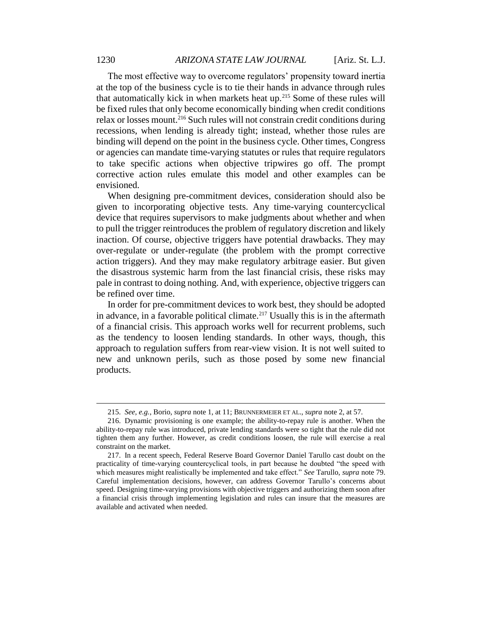The most effective way to overcome regulators' propensity toward inertia at the top of the business cycle is to tie their hands in advance through rules that automatically kick in when markets heat up.<sup>215</sup> Some of these rules will be fixed rules that only become economically binding when credit conditions relax or losses mount.<sup>216</sup> Such rules will not constrain credit conditions during recessions, when lending is already tight; instead, whether those rules are binding will depend on the point in the business cycle. Other times, Congress or agencies can mandate time-varying statutes or rules that require regulators to take specific actions when objective tripwires go off. The prompt corrective action rules emulate this model and other examples can be envisioned.

When designing pre-commitment devices, consideration should also be given to incorporating objective tests. Any time-varying countercyclical device that requires supervisors to make judgments about whether and when to pull the trigger reintroduces the problem of regulatory discretion and likely inaction. Of course, objective triggers have potential drawbacks. They may over-regulate or under-regulate (the problem with the prompt corrective action triggers). And they may make regulatory arbitrage easier. But given the disastrous systemic harm from the last financial crisis, these risks may pale in contrast to doing nothing. And, with experience, objective triggers can be refined over time.

In order for pre-commitment devices to work best, they should be adopted in advance, in a favorable political climate.<sup>217</sup> Usually this is in the aftermath of a financial crisis. This approach works well for recurrent problems, such as the tendency to loosen lending standards. In other ways, though, this approach to regulation suffers from rear-view vision. It is not well suited to new and unknown perils, such as those posed by some new financial products.

<sup>215.</sup> *See, e.g.*, Borio, *supra* note 1, at 11; BRUNNERMEIER ET AL., *supra* note 2, at 57.

<sup>216.</sup> Dynamic provisioning is one example; the ability-to-repay rule is another. When the ability-to-repay rule was introduced, private lending standards were so tight that the rule did not tighten them any further. However, as credit conditions loosen, the rule will exercise a real constraint on the market.

<sup>217.</sup> In a recent speech, Federal Reserve Board Governor Daniel Tarullo cast doubt on the practicality of time-varying countercyclical tools, in part because he doubted "the speed with which measures might realistically be implemented and take effect." *See* Tarullo, *supra* note 79. Careful implementation decisions, however, can address Governor Tarullo's concerns about speed. Designing time-varying provisions with objective triggers and authorizing them soon after a financial crisis through implementing legislation and rules can insure that the measures are available and activated when needed.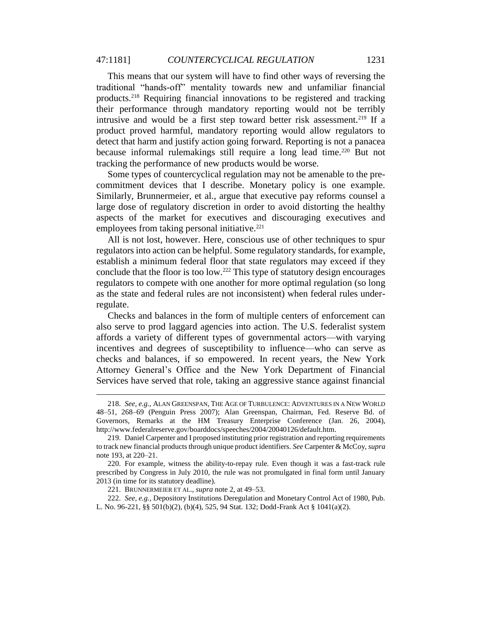This means that our system will have to find other ways of reversing the traditional "hands-off" mentality towards new and unfamiliar financial products.<sup>218</sup> Requiring financial innovations to be registered and tracking their performance through mandatory reporting would not be terribly intrusive and would be a first step toward better risk assessment.<sup>219</sup> If a product proved harmful, mandatory reporting would allow regulators to detect that harm and justify action going forward. Reporting is not a panacea because informal rulemakings still require a long lead time.<sup>220</sup> But not tracking the performance of new products would be worse.

Some types of countercyclical regulation may not be amenable to the precommitment devices that I describe. Monetary policy is one example. Similarly, Brunnermeier, et al., argue that executive pay reforms counsel a large dose of regulatory discretion in order to avoid distorting the healthy aspects of the market for executives and discouraging executives and employees from taking personal initiative.<sup>221</sup>

All is not lost, however. Here, conscious use of other techniques to spur regulators into action can be helpful. Some regulatory standards, for example, establish a minimum federal floor that state regulators may exceed if they conclude that the floor is too low.<sup>222</sup> This type of statutory design encourages regulators to compete with one another for more optimal regulation (so long as the state and federal rules are not inconsistent) when federal rules underregulate.

Checks and balances in the form of multiple centers of enforcement can also serve to prod laggard agencies into action. The U.S. federalist system affords a variety of different types of governmental actors—with varying incentives and degrees of susceptibility to influence—who can serve as checks and balances, if so empowered. In recent years, the New York Attorney General's Office and the New York Department of Financial Services have served that role, taking an aggressive stance against financial

<sup>218.</sup> *See, e.g.*, ALAN GREENSPAN, THE AGE OF TURBULENCE: ADVENTURES IN A NEW WORLD 48–51, 268–69 (Penguin Press 2007); Alan Greenspan, Chairman, Fed. Reserve Bd. of Governors, Remarks at the HM Treasury Enterprise Conference (Jan. 26, 2004), http://www.federalreserve.gov/boarddocs/speeches/2004/20040126/default.htm.

<sup>219.</sup> Daniel Carpenter and I proposed instituting prior registration and reporting requirements to track new financial products through unique product identifiers. *See* Carpenter & McCoy, *supra*  note 193, at 220–21.

<sup>220.</sup> For example, witness the ability-to-repay rule. Even though it was a fast-track rule prescribed by Congress in July 2010, the rule was not promulgated in final form until January 2013 (in time for its statutory deadline).

<sup>221.</sup> BRUNNERMEIER ET AL., *supra* note 2, at 49–53.

<sup>222.</sup> *See, e.g.*, Depository Institutions Deregulation and Monetary Control Act of 1980, Pub. L. No. 96-221, §§ 501(b)(2), (b)(4), 525, 94 Stat. 132; Dodd-Frank Act § 1041(a)(2).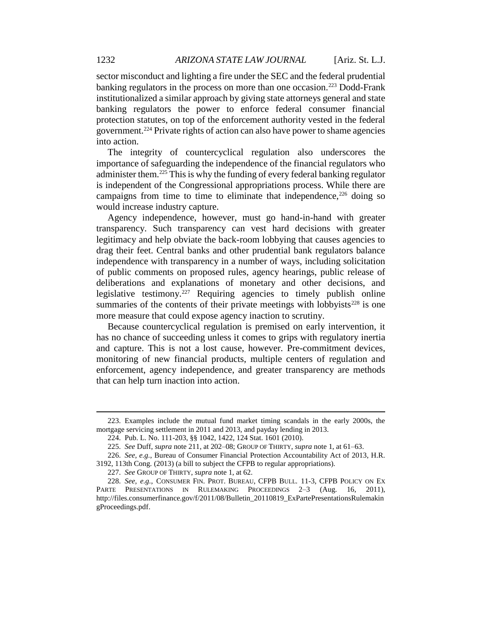sector misconduct and lighting a fire under the SEC and the federal prudential banking regulators in the process on more than one occasion.<sup>223</sup> Dodd-Frank institutionalized a similar approach by giving state attorneys general and state banking regulators the power to enforce federal consumer financial protection statutes, on top of the enforcement authority vested in the federal government.<sup>224</sup> Private rights of action can also have power to shame agencies into action.

The integrity of countercyclical regulation also underscores the importance of safeguarding the independence of the financial regulators who administer them.<sup>225</sup> This is why the funding of every federal banking regulator is independent of the Congressional appropriations process. While there are campaigns from time to time to eliminate that independence,  $226$  doing so would increase industry capture.

Agency independence, however, must go hand-in-hand with greater transparency. Such transparency can vest hard decisions with greater legitimacy and help obviate the back-room lobbying that causes agencies to drag their feet. Central banks and other prudential bank regulators balance independence with transparency in a number of ways, including solicitation of public comments on proposed rules, agency hearings, public release of deliberations and explanations of monetary and other decisions, and legislative testimony.<sup>227</sup> Requiring agencies to timely publish online summaries of the contents of their private meetings with lobbyists<sup> $228$ </sup> is one more measure that could expose agency inaction to scrutiny.

Because countercyclical regulation is premised on early intervention, it has no chance of succeeding unless it comes to grips with regulatory inertia and capture. This is not a lost cause, however. Pre-commitment devices, monitoring of new financial products, multiple centers of regulation and enforcement, agency independence, and greater transparency are methods that can help turn inaction into action.

<sup>223.</sup> Examples include the mutual fund market timing scandals in the early 2000s, the mortgage servicing settlement in 2011 and 2013, and payday lending in 2013.

<sup>224.</sup> Pub. L. No. 111-203, §§ 1042, 1422, 124 Stat. 1601 (2010).

<sup>225.</sup> *See* Duff, *supra* note 211, at 202–08; GROUP OF THIRTY, *supra* note 1, at 61–63.

<sup>226.</sup> *See, e.g.*, Bureau of Consumer Financial Protection Accountability Act of 2013, H.R.

<sup>3192, 113</sup>th Cong. (2013) (a bill to subject the CFPB to regular appropriations).

<sup>227.</sup> *See* GROUP OF THIRTY, *supra* note 1, at 62.

<sup>228.</sup> *See, e.g.*, CONSUMER FIN. PROT. BUREAU, CFPB BULL. 11-3, CFPB POLICY ON EX PARTE PRESENTATIONS IN RULEMAKING PROCEEDINGS 2–3 (Aug. 16, 2011), http://files.consumerfinance.gov/f/2011/08/Bulletin\_20110819\_ExPartePresentationsRulemakin gProceedings.pdf.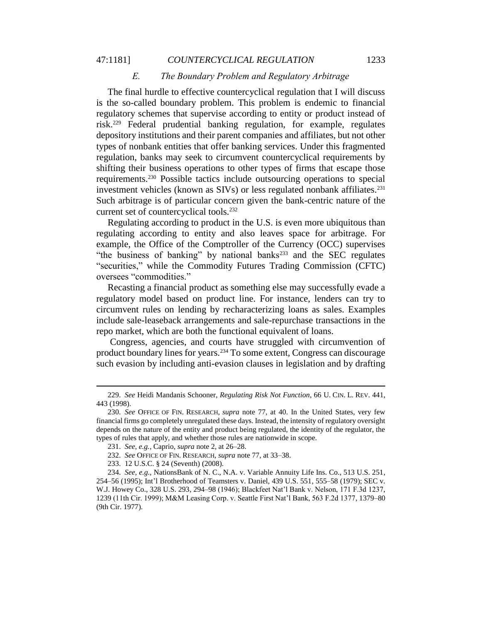#### 47:1181] *COUNTERCYCLICAL REGULATION* 1233

#### *E. The Boundary Problem and Regulatory Arbitrage*

The final hurdle to effective countercyclical regulation that I will discuss is the so-called boundary problem. This problem is endemic to financial regulatory schemes that supervise according to entity or product instead of risk.<sup>229</sup> Federal prudential banking regulation, for example, regulates depository institutions and their parent companies and affiliates, but not other types of nonbank entities that offer banking services. Under this fragmented regulation, banks may seek to circumvent countercyclical requirements by shifting their business operations to other types of firms that escape those requirements.<sup>230</sup> Possible tactics include outsourcing operations to special investment vehicles (known as SIVs) or less regulated nonbank affiliates.<sup>231</sup> Such arbitrage is of particular concern given the bank-centric nature of the current set of countercyclical tools.<sup>232</sup>

Regulating according to product in the U.S. is even more ubiquitous than regulating according to entity and also leaves space for arbitrage. For example, the Office of the Comptroller of the Currency (OCC) supervises "the business of banking" by national banks $^{233}$  and the SEC regulates "securities," while the Commodity Futures Trading Commission (CFTC) oversees "commodities."

Recasting a financial product as something else may successfully evade a regulatory model based on product line. For instance, lenders can try to circumvent rules on lending by recharacterizing loans as sales. Examples include sale-leaseback arrangements and sale-repurchase transactions in the repo market, which are both the functional equivalent of loans.

Congress, agencies, and courts have struggled with circumvention of product boundary lines for years.<sup>234</sup> To some extent, Congress can discourage such evasion by including anti-evasion clauses in legislation and by drafting

<sup>229.</sup> *See* Heidi Mandanis Schooner, *Regulating Risk Not Function*, 66 U. CIN. L. REV. 441, 443 (1998).

<sup>230.</sup> *See* OFFICE OF FIN. RESEARCH, *supra* note 77, at 40. In the United States, very few financial firms go completely unregulated these days. Instead, the intensity of regulatory oversight depends on the nature of the entity and product being regulated, the identity of the regulator, the types of rules that apply, and whether those rules are nationwide in scope.

<sup>231.</sup> *See, e.g.*, Caprio, *supra* note 2, at 26–28.

<sup>232.</sup> *See* OFFICE OF FIN. RESEARCH, *supra* note 77, at 33–38.

<sup>233.</sup> 12 U.S.C. § 24 (Seventh) (2008).

<sup>234.</sup> *See, e.g.*, NationsBank of N. C., N.A. v. Variable Annuity Life Ins. Co., 513 U.S. 251, 254–56 (1995); Int'l Brotherhood of Teamsters v. Daniel, 439 U.S. 551, 555–58 (1979); SEC v. W.J. Howey Co., 328 U.S. 293, 294–98 (1946); Blackfeet Nat'l Bank v. Nelson, 171 F.3d 1237, 1239 (11th Cir. 1999); M&M Leasing Corp. v. Seattle First Nat'l Bank, 563 F.2d 1377, 1379–80 (9th Cir. 1977).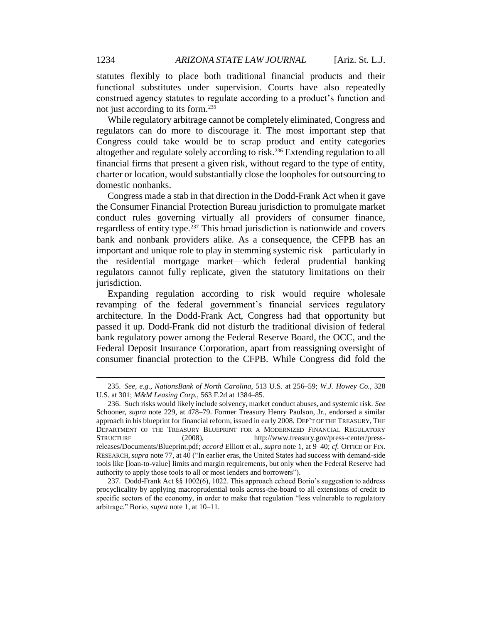statutes flexibly to place both traditional financial products and their functional substitutes under supervision. Courts have also repeatedly construed agency statutes to regulate according to a product's function and not just according to its form.<sup>235</sup>

While regulatory arbitrage cannot be completely eliminated, Congress and regulators can do more to discourage it. The most important step that Congress could take would be to scrap product and entity categories altogether and regulate solely according to risk.<sup>236</sup> Extending regulation to all financial firms that present a given risk, without regard to the type of entity, charter or location, would substantially close the loopholes for outsourcing to domestic nonbanks.

Congress made a stab in that direction in the Dodd-Frank Act when it gave the Consumer Financial Protection Bureau jurisdiction to promulgate market conduct rules governing virtually all providers of consumer finance, regardless of entity type.<sup>237</sup> This broad jurisdiction is nationwide and covers bank and nonbank providers alike. As a consequence, the CFPB has an important and unique role to play in stemming systemic risk—particularly in the residential mortgage market—which federal prudential banking regulators cannot fully replicate, given the statutory limitations on their jurisdiction.

Expanding regulation according to risk would require wholesale revamping of the federal government's financial services regulatory architecture. In the Dodd-Frank Act, Congress had that opportunity but passed it up. Dodd-Frank did not disturb the traditional division of federal bank regulatory power among the Federal Reserve Board, the OCC, and the Federal Deposit Insurance Corporation, apart from reassigning oversight of consumer financial protection to the CFPB. While Congress did fold the

<sup>235.</sup> *See, e.g.*, *NationsBank of North Carolina*, 513 U.S. at 256–59; *W.J. Howey Co.*, 328 U.S. at 301; *M&M Leasing Corp.*, 563 F.2d at 1384–85.

<sup>236.</sup> Such risks would likely include solvency, market conduct abuses, and systemic risk. *See*  Schooner, *supra* note 229, at 478–79. Former Treasury Henry Paulson, Jr., endorsed a similar approach in his blueprint for financial reform, issued in early 2008. DEP'T OF THE TREASURY, THE DEPARTMENT OF THE TREASURY BLUEPRINT FOR A MODERNIZED FINANCIAL REGULATORY<br>STRUCTURE (2008). http://www.treasury.gov/press-center/press-(2008), http://www.treasury.gov/press-center/pressreleases/Documents/Blueprint.pdf; *accord* Elliott et al., *supra* note 1, at 9–40; *cf.* OFFICE OF FIN. RESEARCH,*supra* note 77, at 40 ("In earlier eras, the United States had success with demand-side tools like [loan-to-value] limits and margin requirements, but only when the Federal Reserve had authority to apply those tools to all or most lenders and borrowers").

<sup>237.</sup> Dodd-Frank Act §§ 1002(6), 1022. This approach echoed Borio's suggestion to address procyclicality by applying macroprudential tools across-the-board to all extensions of credit to specific sectors of the economy, in order to make that regulation "less vulnerable to regulatory arbitrage." Borio, *supra* note 1, at 10–11.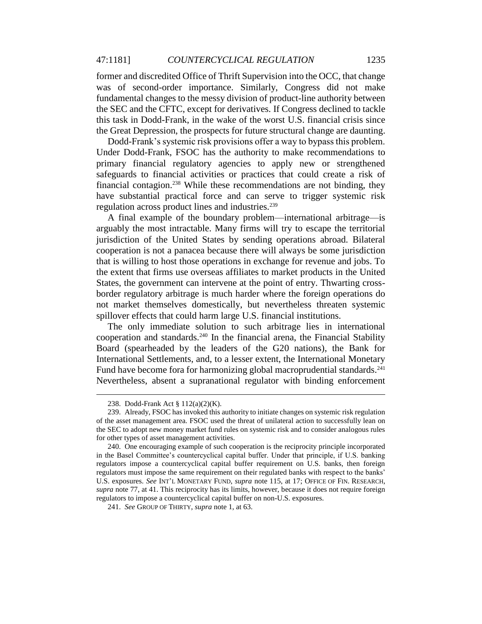former and discredited Office of Thrift Supervision into the OCC, that change was of second-order importance. Similarly, Congress did not make fundamental changes to the messy division of product-line authority between the SEC and the CFTC, except for derivatives. If Congress declined to tackle this task in Dodd-Frank, in the wake of the worst U.S. financial crisis since the Great Depression, the prospects for future structural change are daunting.

Dodd-Frank's systemic risk provisions offer a way to bypass this problem. Under Dodd-Frank, FSOC has the authority to make recommendations to primary financial regulatory agencies to apply new or strengthened safeguards to financial activities or practices that could create a risk of financial contagion.<sup>238</sup> While these recommendations are not binding, they have substantial practical force and can serve to trigger systemic risk regulation across product lines and industries.<sup>239</sup>

A final example of the boundary problem—international arbitrage—is arguably the most intractable. Many firms will try to escape the territorial jurisdiction of the United States by sending operations abroad. Bilateral cooperation is not a panacea because there will always be some jurisdiction that is willing to host those operations in exchange for revenue and jobs. To the extent that firms use overseas affiliates to market products in the United States, the government can intervene at the point of entry. Thwarting crossborder regulatory arbitrage is much harder where the foreign operations do not market themselves domestically, but nevertheless threaten systemic spillover effects that could harm large U.S. financial institutions.

The only immediate solution to such arbitrage lies in international cooperation and standards.<sup>240</sup> In the financial arena, the Financial Stability Board (spearheaded by the leaders of the G20 nations), the Bank for International Settlements, and, to a lesser extent, the International Monetary Fund have become fora for harmonizing global macroprudential standards.<sup>241</sup> Nevertheless, absent a supranational regulator with binding enforcement

<sup>238.</sup> Dodd-Frank Act § 112(a)(2)(K).

<sup>239.</sup> Already, FSOC has invoked this authority to initiate changes on systemic risk regulation of the asset management area. FSOC used the threat of unilateral action to successfully lean on the SEC to adopt new money market fund rules on systemic risk and to consider analogous rules for other types of asset management activities.

<sup>240.</sup> One encouraging example of such cooperation is the reciprocity principle incorporated in the Basel Committee's countercyclical capital buffer. Under that principle, if U.S. banking regulators impose a countercyclical capital buffer requirement on U.S. banks, then foreign regulators must impose the same requirement on their regulated banks with respect to the banks' U.S. exposures. *See* INT'L MONETARY FUND, *supra* note 115, at 17; OFFICE OF FIN. RESEARCH, *supra* note 77, at 41. This reciprocity has its limits, however, because it does not require foreign regulators to impose a countercyclical capital buffer on non-U.S. exposures.

<sup>241.</sup> *See* GROUP OF THIRTY, *supra* note 1, at 63.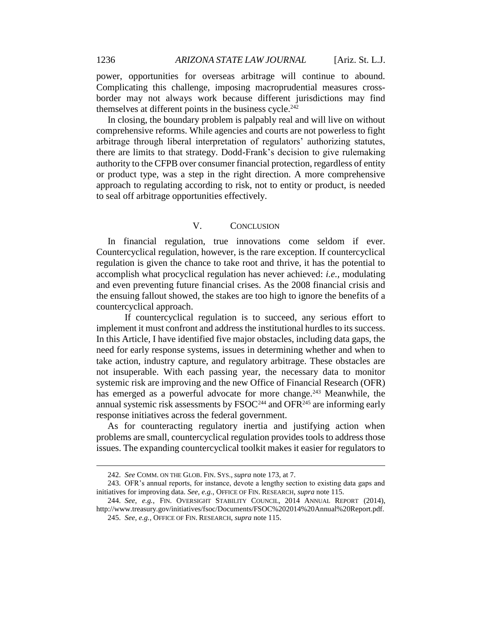power, opportunities for overseas arbitrage will continue to abound. Complicating this challenge, imposing macroprudential measures crossborder may not always work because different jurisdictions may find themselves at different points in the business cycle. $242$ 

In closing, the boundary problem is palpably real and will live on without comprehensive reforms. While agencies and courts are not powerless to fight arbitrage through liberal interpretation of regulators' authorizing statutes, there are limits to that strategy. Dodd-Frank's decision to give rulemaking authority to the CFPB over consumer financial protection, regardless of entity or product type, was a step in the right direction. A more comprehensive approach to regulating according to risk, not to entity or product, is needed to seal off arbitrage opportunities effectively.

## V. CONCLUSION

In financial regulation, true innovations come seldom if ever. Countercyclical regulation, however, is the rare exception. If countercyclical regulation is given the chance to take root and thrive, it has the potential to accomplish what procyclical regulation has never achieved: *i.e.,* modulating and even preventing future financial crises. As the 2008 financial crisis and the ensuing fallout showed, the stakes are too high to ignore the benefits of a countercyclical approach.

If countercyclical regulation is to succeed, any serious effort to implement it must confront and address the institutional hurdles to its success. In this Article, I have identified five major obstacles, including data gaps, the need for early response systems, issues in determining whether and when to take action, industry capture, and regulatory arbitrage. These obstacles are not insuperable. With each passing year, the necessary data to monitor systemic risk are improving and the new Office of Financial Research (OFR) has emerged as a powerful advocate for more change.<sup>243</sup> Meanwhile, the annual systemic risk assessments by  $FSOC<sup>244</sup>$  and  $OFR<sup>245</sup>$  are informing early response initiatives across the federal government.

As for counteracting regulatory inertia and justifying action when problems are small, countercyclical regulation provides tools to address those issues. The expanding countercyclical toolkit makes it easier for regulators to

<sup>242.</sup> *See* COMM. ON THE GLOB. FIN. SYS., *supra* note 173, at 7.

<sup>243.</sup> OFR's annual reports, for instance, devote a lengthy section to existing data gaps and initiatives for improving data. *See, e.g.*, OFFICE OF FIN. RESEARCH, *supra* note 115.

<sup>244.</sup> *See, e.g.*, FIN. OVERSIGHT STABILITY COUNCIL, 2014 ANNUAL REPORT (2014), http://www.treasury.gov/initiatives/fsoc/Documents/FSOC%202014%20Annual%20Report.pdf.

<sup>245.</sup> *See, e.g.*, OFFICE OF FIN. RESEARCH, *supra* note 115.